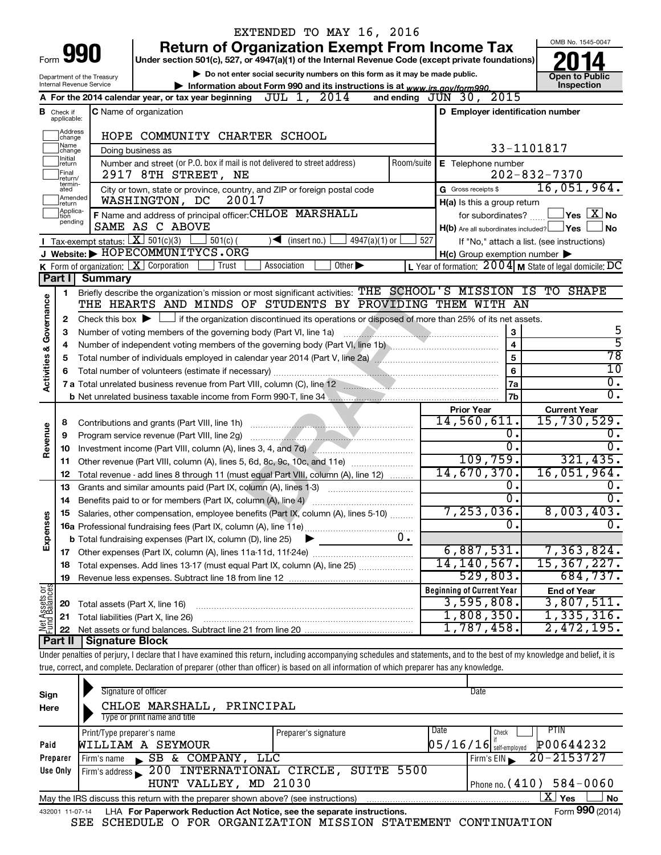|                                    |                               |                                                                   | EXTENDED TO MAY 16, 2016                                                                                                                                                   |                                                         |                                                           |
|------------------------------------|-------------------------------|-------------------------------------------------------------------|----------------------------------------------------------------------------------------------------------------------------------------------------------------------------|---------------------------------------------------------|-----------------------------------------------------------|
|                                    |                               |                                                                   | <b>Return of Organization Exempt From Income Tax</b>                                                                                                                       |                                                         | OMB No. 1545-0047                                         |
|                                    |                               | Form 990                                                          | Under section 501(c), 527, or 4947(a)(1) of the Internal Revenue Code (except private foundations)                                                                         |                                                         |                                                           |
|                                    |                               | Department of the Treasury                                        | Do not enter social security numbers on this form as it may be made public.<br>Information about Form 990 and its instructions is at www.irs.gov/form990.                  |                                                         | <b>Open to Public</b>                                     |
| Internal Revenue Service           | Inspection                    |                                                                   |                                                                                                                                                                            |                                                         |                                                           |
|                                    |                               |                                                                   | A For the 2014 calendar year, or tax year beginning $\overline{JUL}$ 1, $2014$                                                                                             | 2015<br>and ending $J\bar{U}N$ 30,                      |                                                           |
|                                    | <b>B</b> Check if applicable: |                                                                   | <b>C</b> Name of organization                                                                                                                                              | D Employer identification number                        |                                                           |
|                                    | Address                       |                                                                   |                                                                                                                                                                            |                                                         |                                                           |
|                                    | change<br> Name               |                                                                   | HOPE COMMUNITY CHARTER SCHOOL                                                                                                                                              |                                                         | 33-1101817                                                |
|                                    | change<br>Initial             |                                                                   | Doing business as                                                                                                                                                          |                                                         |                                                           |
|                                    | return<br>Final               |                                                                   | Number and street (or P.O. box if mail is not delivered to street address)<br>Room/suite<br>2917 8TH STREET, NE                                                            | E Telephone number                                      | $202 - 832 - 7370$                                        |
|                                    | return/<br>termin-<br>ated    |                                                                   | City or town, state or province, country, and ZIP or foreign postal code                                                                                                   | G Gross receipts \$                                     | 16,051,964.                                               |
|                                    | Amended<br>Ireturn            |                                                                   | 20017<br>WASHINGTON, DC                                                                                                                                                    | H(a) Is this a group return                             |                                                           |
|                                    | Applica-<br>tion              |                                                                   | F Name and address of principal officer: CHLOE MARSHALL                                                                                                                    | for subordinates?                                       | $\sqrt{}$ Yes $\left\lfloor \frac{X}{X} \right\rfloor$ No |
|                                    | pending                       |                                                                   | SAME AS C ABOVE                                                                                                                                                            | $H(b)$ Are all subordinates included? $\Box$ Yes        | ∣No                                                       |
|                                    |                               |                                                                   | Tax-exempt status: $X \over 301(c)(3)$<br>$501(c)$ (<br>$4947(a)(1)$ or<br>$(\text{insert no.})$                                                                           | 527                                                     | If "No," attach a list. (see instructions)                |
|                                    |                               |                                                                   | J Website: FIOPECOMMUNITYCS.ORG                                                                                                                                            | $H(c)$ Group exemption number $\blacktriangleright$     |                                                           |
|                                    |                               |                                                                   | K Form of organization:   X Corporation<br>$\overline{Other}$<br>Trust<br>Association                                                                                      | L Year of formation: 2004 M State of legal domicile: DC |                                                           |
|                                    | Part I                        | <b>Summary</b>                                                    |                                                                                                                                                                            |                                                         |                                                           |
|                                    | 1                             |                                                                   | Briefly describe the organization's mission or most significant activities: THE SCHOOL'S MISSION IS TO SHAPE                                                               |                                                         |                                                           |
| <b>Activities &amp; Governance</b> |                               |                                                                   | THE HEARTS AND MINDS OF STUDENTS BY PROVIDING THEM WITH AN                                                                                                                 |                                                         |                                                           |
|                                    | 2                             |                                                                   | Check this box $\blacktriangleright$ $\Box$ if the organization discontinued its operations or disposed of more than 25% of its net assets.                                |                                                         |                                                           |
|                                    | 3                             | Number of voting members of the governing body (Part VI, line 1a) | 3                                                                                                                                                                          | 5                                                       |                                                           |
|                                    | 4                             |                                                                   | $\overline{\mathbf{4}}$                                                                                                                                                    | $\overline{5}$                                          |                                                           |
|                                    | 5                             |                                                                   |                                                                                                                                                                            | 5                                                       | $\overline{78}$                                           |
|                                    |                               |                                                                   |                                                                                                                                                                            | $\bf 6$                                                 | $\overline{10}$<br>$\overline{0}$ .                       |
|                                    |                               |                                                                   | 7 a Total unrelated business revenue from Part VIII, column (C), line 12 <b>Column 2016</b>                                                                                | 7a                                                      | $\overline{0}$ .                                          |
|                                    |                               |                                                                   |                                                                                                                                                                            | 7b<br><b>Prior Year</b>                                 | <b>Current Year</b>                                       |
|                                    | 8                             |                                                                   |                                                                                                                                                                            | 14,560,611.                                             | 15,730,529.                                               |
| Revenue                            | 9                             |                                                                   | Program service revenue (Part VIII, line 2g)                                                                                                                               | $\overline{0}$ .                                        | $\overline{0}$ .                                          |
|                                    | 10                            |                                                                   | Investment income (Part VIII, column (A), lines 3, 4, and 7d)                                                                                                              | σ.                                                      | $\overline{0}$ .                                          |
|                                    | 11                            |                                                                   | Other revenue (Part VIII, column (A), lines 5, 6d, 8c, 9c, 10c, and 11e)                                                                                                   | 109,759.                                                | 321,435.                                                  |
|                                    | 12                            |                                                                   | Total revenue - add lines 8 through 11 (must equal Part VIII, column (A), line 12)                                                                                         | 14,670,370.                                             | 16,051,964.                                               |
|                                    | 13                            |                                                                   | Grants and similar amounts paid (Part IX, column (A), lines 1-3)                                                                                                           | о.                                                      | $0$ .                                                     |
|                                    | 14                            |                                                                   |                                                                                                                                                                            | σ.                                                      | $\overline{0}$ .                                          |
|                                    |                               |                                                                   | Salaries, other compensation, employee benefits (Part IX, column (A), lines 5-10)                                                                                          | 7, 253, 036.                                            | 8,003,403.                                                |
| Expenses                           |                               |                                                                   |                                                                                                                                                                            | 0                                                       | $\overline{0}$ .                                          |
|                                    |                               |                                                                   | 0.<br><b>b</b> Total fundraising expenses (Part IX, column (D), line 25)                                                                                                   |                                                         |                                                           |
|                                    | 17                            |                                                                   |                                                                                                                                                                            | 6,887,531.                                              | 7,363,824.                                                |
|                                    | 18                            |                                                                   | Total expenses. Add lines 13-17 (must equal Part IX, column (A), line 25)                                                                                                  | 14, 140, 567.                                           | 15, 367, 227.                                             |
|                                    | 19                            |                                                                   |                                                                                                                                                                            | 529,803.                                                | 684,737.                                                  |
| Net Assets or<br>Fund Balances     |                               |                                                                   |                                                                                                                                                                            | <b>Beginning of Current Year</b>                        | <b>End of Year</b>                                        |
|                                    | 20                            | Total assets (Part X, line 16)                                    |                                                                                                                                                                            | 3,595,808.<br>1,808,350.                                | 3,807,511.<br>1,335,316.                                  |
|                                    | 21                            |                                                                   | Total liabilities (Part X, line 26)                                                                                                                                        | 1,787,458.                                              | 2,472,195.                                                |
|                                    | 22                            | <b>Part II   Signature Block</b>                                  |                                                                                                                                                                            |                                                         |                                                           |
|                                    |                               |                                                                   | Under penalties of perjury, I declare that I have examined this return, including accompanying schedules and statements, and to the best of my knowledge and belief, it is |                                                         |                                                           |
|                                    |                               |                                                                   | true, correct, and complete. Declaration of preparer (other than officer) is based on all information of which preparer has any knowledge.                                 |                                                         |                                                           |
|                                    |                               |                                                                   |                                                                                                                                                                            |                                                         |                                                           |
| Sign                               |                               |                                                                   | Signature of officer                                                                                                                                                       | Date                                                    |                                                           |

| Sign     | <b>Signally OF OTIGER</b>                                                                                    |                      | Dalt                                  |  |  |  |  |  |  |  |  |
|----------|--------------------------------------------------------------------------------------------------------------|----------------------|---------------------------------------|--|--|--|--|--|--|--|--|
| Here     | CHLOE MARSHALL, PRINCIPAL                                                                                    |                      |                                       |  |  |  |  |  |  |  |  |
|          | Type or print name and title                                                                                 |                      |                                       |  |  |  |  |  |  |  |  |
|          | Print/Type preparer's name                                                                                   | Preparer's signature | Date<br>PTIN<br>Check                 |  |  |  |  |  |  |  |  |
| Paid     | WILLIAM A SEYMOUR                                                                                            |                      | P00644232<br>$05/16/16$ self-employed |  |  |  |  |  |  |  |  |
| Preparer | COMPANY, LLC<br>SB<br>&<br>Firm's name<br>$\blacksquare$                                                     |                      | 20-2153727<br>Firm's EIN              |  |  |  |  |  |  |  |  |
| Use Only | Firm's address 200 INTERNATIONAL CIRCLE,                                                                     | SUITE 5500           |                                       |  |  |  |  |  |  |  |  |
|          | HUNT VALLEY, MD 21030                                                                                        |                      | Phone no. $(410)$ 584-0060            |  |  |  |  |  |  |  |  |
|          | x<br>No<br>Yes<br>May the IRS discuss this return with the preparer shown above? (see instructions)          |                      |                                       |  |  |  |  |  |  |  |  |
|          | Form 990 (2014)<br>LHA For Paperwork Reduction Act Notice, see the separate instructions.<br>432001 11-07-14 |                      |                                       |  |  |  |  |  |  |  |  |

SEE SCHEDULE O FOR ORGANIZATION MISSION STATEMENT CONTINUATION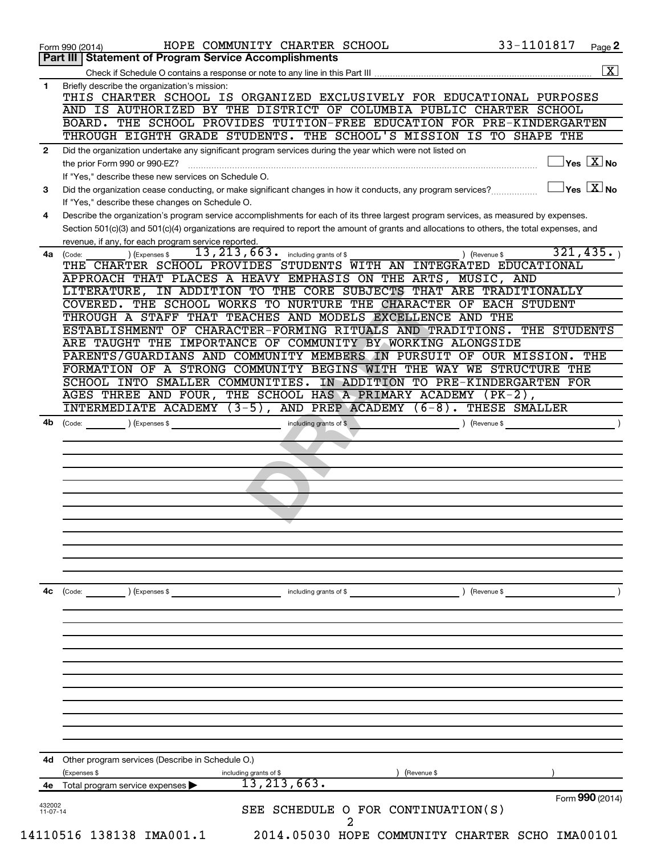| Part III   Statement of Program Service Accomplishments<br>Briefly describe the organization's mission:<br>1<br>THIS CHARTER SCHOOL IS ORGANIZED EXCLUSIVELY FOR EDUCATIONAL PURPOSES<br>AND IS AUTHORIZED BY THE DISTRICT OF COLUMBIA PUBLIC CHARTER SCHOOL<br>BOARD. THE SCHOOL PROVIDES TUITION-FREE EDUCATION FOR PRE-KINDERGARTEN<br>THROUGH EIGHTH GRADE STUDENTS. THE SCHOOL'S MISSION IS TO SHAPE THE<br>Did the organization undertake any significant program services during the year which were not listed on<br>$\mathbf{2}$<br>the prior Form 990 or 990-EZ?<br>If "Yes," describe these new services on Schedule O.<br>Did the organization cease conducting, or make significant changes in how it conducts, any program services?<br>3<br>If "Yes," describe these changes on Schedule O.<br>Describe the organization's program service accomplishments for each of its three largest program services, as measured by expenses.<br>4<br>Section 501(c)(3) and 501(c)(4) organizations are required to report the amount of grants and allocations to others, the total expenses, and<br>revenue, if any, for each program service reported.<br>13,213,663.<br>) (Expenses \$<br>including grants of \$<br>4a<br>(Code:<br>) (Revenue \$<br>THE CHARTER SCHOOL PROVIDES STUDENTS WITH AN INTEGRATED EDUCATIONAL<br>APPROACH THAT PLACES A HEAVY EMPHASIS ON THE ARTS, MUSIC, AND<br>LITERATURE, IN ADDITION TO THE CORE SUBJECTS THAT ARE TRADITIONALLY<br>COVERED. THE SCHOOL WORKS TO NURTURE THE CHARACTER OF EACH STUDENT<br>THROUGH A STAFF THAT TEACHES AND MODELS EXCELLENCE AND THE<br>ESTABLISHMENT OF CHARACTER-FORMING RITUALS AND TRADITIONS. THE STUDENTS<br>ARE TAUGHT THE IMPORTANCE OF COMMUNITY BY WORKING ALONGSIDE<br>PARENTS/GUARDIANS AND COMMUNITY MEMBERS IN PURSUIT OF OUR MISSION.<br>FORMATION OF A STRONG COMMUNITY BEGINS WITH THE WAY WE STRUCTURE THE<br>SCHOOL INTO SMALLER COMMUNITIES. IN ADDITION TO PRE-KINDERGARTEN FOR<br>AGES THREE AND FOUR, THE SCHOOL HAS A PRIMARY ACADEMY<br>$(FK-2)$ ,<br>INTERMEDIATE ACADEMY (3-5), AND PREP ACADEMY<br>$(6-8)$ . THESE SMALLER<br>4b<br>including grants of \$<br>(Code:<br>(Expenses \$<br>Revenue \$<br>) (Revenue \$<br>4с<br>including grants of \$<br>(Code:<br>) (Expenses \$<br>Other program services (Describe in Schedule O.)<br>4d<br>(Expenses \$<br>including grants of \$<br>(Revenue \$ | 33-1101817<br>Page 2                                                |
|---------------------------------------------------------------------------------------------------------------------------------------------------------------------------------------------------------------------------------------------------------------------------------------------------------------------------------------------------------------------------------------------------------------------------------------------------------------------------------------------------------------------------------------------------------------------------------------------------------------------------------------------------------------------------------------------------------------------------------------------------------------------------------------------------------------------------------------------------------------------------------------------------------------------------------------------------------------------------------------------------------------------------------------------------------------------------------------------------------------------------------------------------------------------------------------------------------------------------------------------------------------------------------------------------------------------------------------------------------------------------------------------------------------------------------------------------------------------------------------------------------------------------------------------------------------------------------------------------------------------------------------------------------------------------------------------------------------------------------------------------------------------------------------------------------------------------------------------------------------------------------------------------------------------------------------------------------------------------------------------------------------------------------------------------------------------------------------------------------------------------------------------------------------------------------------------------------------------------------------------------------------------------------------------------------------------------------------------------------------------------------------------------------|---------------------------------------------------------------------|
|                                                                                                                                                                                                                                                                                                                                                                                                                                                                                                                                                                                                                                                                                                                                                                                                                                                                                                                                                                                                                                                                                                                                                                                                                                                                                                                                                                                                                                                                                                                                                                                                                                                                                                                                                                                                                                                                                                                                                                                                                                                                                                                                                                                                                                                                                                                                                                                                         |                                                                     |
|                                                                                                                                                                                                                                                                                                                                                                                                                                                                                                                                                                                                                                                                                                                                                                                                                                                                                                                                                                                                                                                                                                                                                                                                                                                                                                                                                                                                                                                                                                                                                                                                                                                                                                                                                                                                                                                                                                                                                                                                                                                                                                                                                                                                                                                                                                                                                                                                         |                                                                     |
|                                                                                                                                                                                                                                                                                                                                                                                                                                                                                                                                                                                                                                                                                                                                                                                                                                                                                                                                                                                                                                                                                                                                                                                                                                                                                                                                                                                                                                                                                                                                                                                                                                                                                                                                                                                                                                                                                                                                                                                                                                                                                                                                                                                                                                                                                                                                                                                                         |                                                                     |
|                                                                                                                                                                                                                                                                                                                                                                                                                                                                                                                                                                                                                                                                                                                                                                                                                                                                                                                                                                                                                                                                                                                                                                                                                                                                                                                                                                                                                                                                                                                                                                                                                                                                                                                                                                                                                                                                                                                                                                                                                                                                                                                                                                                                                                                                                                                                                                                                         |                                                                     |
|                                                                                                                                                                                                                                                                                                                                                                                                                                                                                                                                                                                                                                                                                                                                                                                                                                                                                                                                                                                                                                                                                                                                                                                                                                                                                                                                                                                                                                                                                                                                                                                                                                                                                                                                                                                                                                                                                                                                                                                                                                                                                                                                                                                                                                                                                                                                                                                                         |                                                                     |
|                                                                                                                                                                                                                                                                                                                                                                                                                                                                                                                                                                                                                                                                                                                                                                                                                                                                                                                                                                                                                                                                                                                                                                                                                                                                                                                                                                                                                                                                                                                                                                                                                                                                                                                                                                                                                                                                                                                                                                                                                                                                                                                                                                                                                                                                                                                                                                                                         | $ {\mathsf Y}\mathsf{es}\ \boxed{{\mathsf X}}$ No                   |
|                                                                                                                                                                                                                                                                                                                                                                                                                                                                                                                                                                                                                                                                                                                                                                                                                                                                                                                                                                                                                                                                                                                                                                                                                                                                                                                                                                                                                                                                                                                                                                                                                                                                                                                                                                                                                                                                                                                                                                                                                                                                                                                                                                                                                                                                                                                                                                                                         | $ {\mathsf Y}{\mathsf e}{\mathsf s}^\top\overline{{\mathbf X}} $ No |
|                                                                                                                                                                                                                                                                                                                                                                                                                                                                                                                                                                                                                                                                                                                                                                                                                                                                                                                                                                                                                                                                                                                                                                                                                                                                                                                                                                                                                                                                                                                                                                                                                                                                                                                                                                                                                                                                                                                                                                                                                                                                                                                                                                                                                                                                                                                                                                                                         |                                                                     |
|                                                                                                                                                                                                                                                                                                                                                                                                                                                                                                                                                                                                                                                                                                                                                                                                                                                                                                                                                                                                                                                                                                                                                                                                                                                                                                                                                                                                                                                                                                                                                                                                                                                                                                                                                                                                                                                                                                                                                                                                                                                                                                                                                                                                                                                                                                                                                                                                         |                                                                     |
|                                                                                                                                                                                                                                                                                                                                                                                                                                                                                                                                                                                                                                                                                                                                                                                                                                                                                                                                                                                                                                                                                                                                                                                                                                                                                                                                                                                                                                                                                                                                                                                                                                                                                                                                                                                                                                                                                                                                                                                                                                                                                                                                                                                                                                                                                                                                                                                                         | 321, 435.                                                           |
|                                                                                                                                                                                                                                                                                                                                                                                                                                                                                                                                                                                                                                                                                                                                                                                                                                                                                                                                                                                                                                                                                                                                                                                                                                                                                                                                                                                                                                                                                                                                                                                                                                                                                                                                                                                                                                                                                                                                                                                                                                                                                                                                                                                                                                                                                                                                                                                                         |                                                                     |
|                                                                                                                                                                                                                                                                                                                                                                                                                                                                                                                                                                                                                                                                                                                                                                                                                                                                                                                                                                                                                                                                                                                                                                                                                                                                                                                                                                                                                                                                                                                                                                                                                                                                                                                                                                                                                                                                                                                                                                                                                                                                                                                                                                                                                                                                                                                                                                                                         |                                                                     |
|                                                                                                                                                                                                                                                                                                                                                                                                                                                                                                                                                                                                                                                                                                                                                                                                                                                                                                                                                                                                                                                                                                                                                                                                                                                                                                                                                                                                                                                                                                                                                                                                                                                                                                                                                                                                                                                                                                                                                                                                                                                                                                                                                                                                                                                                                                                                                                                                         |                                                                     |
|                                                                                                                                                                                                                                                                                                                                                                                                                                                                                                                                                                                                                                                                                                                                                                                                                                                                                                                                                                                                                                                                                                                                                                                                                                                                                                                                                                                                                                                                                                                                                                                                                                                                                                                                                                                                                                                                                                                                                                                                                                                                                                                                                                                                                                                                                                                                                                                                         |                                                                     |
|                                                                                                                                                                                                                                                                                                                                                                                                                                                                                                                                                                                                                                                                                                                                                                                                                                                                                                                                                                                                                                                                                                                                                                                                                                                                                                                                                                                                                                                                                                                                                                                                                                                                                                                                                                                                                                                                                                                                                                                                                                                                                                                                                                                                                                                                                                                                                                                                         |                                                                     |
|                                                                                                                                                                                                                                                                                                                                                                                                                                                                                                                                                                                                                                                                                                                                                                                                                                                                                                                                                                                                                                                                                                                                                                                                                                                                                                                                                                                                                                                                                                                                                                                                                                                                                                                                                                                                                                                                                                                                                                                                                                                                                                                                                                                                                                                                                                                                                                                                         |                                                                     |
|                                                                                                                                                                                                                                                                                                                                                                                                                                                                                                                                                                                                                                                                                                                                                                                                                                                                                                                                                                                                                                                                                                                                                                                                                                                                                                                                                                                                                                                                                                                                                                                                                                                                                                                                                                                                                                                                                                                                                                                                                                                                                                                                                                                                                                                                                                                                                                                                         | THE                                                                 |
|                                                                                                                                                                                                                                                                                                                                                                                                                                                                                                                                                                                                                                                                                                                                                                                                                                                                                                                                                                                                                                                                                                                                                                                                                                                                                                                                                                                                                                                                                                                                                                                                                                                                                                                                                                                                                                                                                                                                                                                                                                                                                                                                                                                                                                                                                                                                                                                                         |                                                                     |
|                                                                                                                                                                                                                                                                                                                                                                                                                                                                                                                                                                                                                                                                                                                                                                                                                                                                                                                                                                                                                                                                                                                                                                                                                                                                                                                                                                                                                                                                                                                                                                                                                                                                                                                                                                                                                                                                                                                                                                                                                                                                                                                                                                                                                                                                                                                                                                                                         |                                                                     |
|                                                                                                                                                                                                                                                                                                                                                                                                                                                                                                                                                                                                                                                                                                                                                                                                                                                                                                                                                                                                                                                                                                                                                                                                                                                                                                                                                                                                                                                                                                                                                                                                                                                                                                                                                                                                                                                                                                                                                                                                                                                                                                                                                                                                                                                                                                                                                                                                         |                                                                     |
|                                                                                                                                                                                                                                                                                                                                                                                                                                                                                                                                                                                                                                                                                                                                                                                                                                                                                                                                                                                                                                                                                                                                                                                                                                                                                                                                                                                                                                                                                                                                                                                                                                                                                                                                                                                                                                                                                                                                                                                                                                                                                                                                                                                                                                                                                                                                                                                                         |                                                                     |
|                                                                                                                                                                                                                                                                                                                                                                                                                                                                                                                                                                                                                                                                                                                                                                                                                                                                                                                                                                                                                                                                                                                                                                                                                                                                                                                                                                                                                                                                                                                                                                                                                                                                                                                                                                                                                                                                                                                                                                                                                                                                                                                                                                                                                                                                                                                                                                                                         |                                                                     |
|                                                                                                                                                                                                                                                                                                                                                                                                                                                                                                                                                                                                                                                                                                                                                                                                                                                                                                                                                                                                                                                                                                                                                                                                                                                                                                                                                                                                                                                                                                                                                                                                                                                                                                                                                                                                                                                                                                                                                                                                                                                                                                                                                                                                                                                                                                                                                                                                         |                                                                     |
|                                                                                                                                                                                                                                                                                                                                                                                                                                                                                                                                                                                                                                                                                                                                                                                                                                                                                                                                                                                                                                                                                                                                                                                                                                                                                                                                                                                                                                                                                                                                                                                                                                                                                                                                                                                                                                                                                                                                                                                                                                                                                                                                                                                                                                                                                                                                                                                                         |                                                                     |
|                                                                                                                                                                                                                                                                                                                                                                                                                                                                                                                                                                                                                                                                                                                                                                                                                                                                                                                                                                                                                                                                                                                                                                                                                                                                                                                                                                                                                                                                                                                                                                                                                                                                                                                                                                                                                                                                                                                                                                                                                                                                                                                                                                                                                                                                                                                                                                                                         |                                                                     |
|                                                                                                                                                                                                                                                                                                                                                                                                                                                                                                                                                                                                                                                                                                                                                                                                                                                                                                                                                                                                                                                                                                                                                                                                                                                                                                                                                                                                                                                                                                                                                                                                                                                                                                                                                                                                                                                                                                                                                                                                                                                                                                                                                                                                                                                                                                                                                                                                         |                                                                     |
|                                                                                                                                                                                                                                                                                                                                                                                                                                                                                                                                                                                                                                                                                                                                                                                                                                                                                                                                                                                                                                                                                                                                                                                                                                                                                                                                                                                                                                                                                                                                                                                                                                                                                                                                                                                                                                                                                                                                                                                                                                                                                                                                                                                                                                                                                                                                                                                                         |                                                                     |
|                                                                                                                                                                                                                                                                                                                                                                                                                                                                                                                                                                                                                                                                                                                                                                                                                                                                                                                                                                                                                                                                                                                                                                                                                                                                                                                                                                                                                                                                                                                                                                                                                                                                                                                                                                                                                                                                                                                                                                                                                                                                                                                                                                                                                                                                                                                                                                                                         |                                                                     |
|                                                                                                                                                                                                                                                                                                                                                                                                                                                                                                                                                                                                                                                                                                                                                                                                                                                                                                                                                                                                                                                                                                                                                                                                                                                                                                                                                                                                                                                                                                                                                                                                                                                                                                                                                                                                                                                                                                                                                                                                                                                                                                                                                                                                                                                                                                                                                                                                         |                                                                     |
|                                                                                                                                                                                                                                                                                                                                                                                                                                                                                                                                                                                                                                                                                                                                                                                                                                                                                                                                                                                                                                                                                                                                                                                                                                                                                                                                                                                                                                                                                                                                                                                                                                                                                                                                                                                                                                                                                                                                                                                                                                                                                                                                                                                                                                                                                                                                                                                                         |                                                                     |
|                                                                                                                                                                                                                                                                                                                                                                                                                                                                                                                                                                                                                                                                                                                                                                                                                                                                                                                                                                                                                                                                                                                                                                                                                                                                                                                                                                                                                                                                                                                                                                                                                                                                                                                                                                                                                                                                                                                                                                                                                                                                                                                                                                                                                                                                                                                                                                                                         |                                                                     |
|                                                                                                                                                                                                                                                                                                                                                                                                                                                                                                                                                                                                                                                                                                                                                                                                                                                                                                                                                                                                                                                                                                                                                                                                                                                                                                                                                                                                                                                                                                                                                                                                                                                                                                                                                                                                                                                                                                                                                                                                                                                                                                                                                                                                                                                                                                                                                                                                         |                                                                     |
|                                                                                                                                                                                                                                                                                                                                                                                                                                                                                                                                                                                                                                                                                                                                                                                                                                                                                                                                                                                                                                                                                                                                                                                                                                                                                                                                                                                                                                                                                                                                                                                                                                                                                                                                                                                                                                                                                                                                                                                                                                                                                                                                                                                                                                                                                                                                                                                                         |                                                                     |
|                                                                                                                                                                                                                                                                                                                                                                                                                                                                                                                                                                                                                                                                                                                                                                                                                                                                                                                                                                                                                                                                                                                                                                                                                                                                                                                                                                                                                                                                                                                                                                                                                                                                                                                                                                                                                                                                                                                                                                                                                                                                                                                                                                                                                                                                                                                                                                                                         |                                                                     |
|                                                                                                                                                                                                                                                                                                                                                                                                                                                                                                                                                                                                                                                                                                                                                                                                                                                                                                                                                                                                                                                                                                                                                                                                                                                                                                                                                                                                                                                                                                                                                                                                                                                                                                                                                                                                                                                                                                                                                                                                                                                                                                                                                                                                                                                                                                                                                                                                         |                                                                     |
|                                                                                                                                                                                                                                                                                                                                                                                                                                                                                                                                                                                                                                                                                                                                                                                                                                                                                                                                                                                                                                                                                                                                                                                                                                                                                                                                                                                                                                                                                                                                                                                                                                                                                                                                                                                                                                                                                                                                                                                                                                                                                                                                                                                                                                                                                                                                                                                                         |                                                                     |
|                                                                                                                                                                                                                                                                                                                                                                                                                                                                                                                                                                                                                                                                                                                                                                                                                                                                                                                                                                                                                                                                                                                                                                                                                                                                                                                                                                                                                                                                                                                                                                                                                                                                                                                                                                                                                                                                                                                                                                                                                                                                                                                                                                                                                                                                                                                                                                                                         |                                                                     |
|                                                                                                                                                                                                                                                                                                                                                                                                                                                                                                                                                                                                                                                                                                                                                                                                                                                                                                                                                                                                                                                                                                                                                                                                                                                                                                                                                                                                                                                                                                                                                                                                                                                                                                                                                                                                                                                                                                                                                                                                                                                                                                                                                                                                                                                                                                                                                                                                         |                                                                     |
|                                                                                                                                                                                                                                                                                                                                                                                                                                                                                                                                                                                                                                                                                                                                                                                                                                                                                                                                                                                                                                                                                                                                                                                                                                                                                                                                                                                                                                                                                                                                                                                                                                                                                                                                                                                                                                                                                                                                                                                                                                                                                                                                                                                                                                                                                                                                                                                                         |                                                                     |
|                                                                                                                                                                                                                                                                                                                                                                                                                                                                                                                                                                                                                                                                                                                                                                                                                                                                                                                                                                                                                                                                                                                                                                                                                                                                                                                                                                                                                                                                                                                                                                                                                                                                                                                                                                                                                                                                                                                                                                                                                                                                                                                                                                                                                                                                                                                                                                                                         |                                                                     |
|                                                                                                                                                                                                                                                                                                                                                                                                                                                                                                                                                                                                                                                                                                                                                                                                                                                                                                                                                                                                                                                                                                                                                                                                                                                                                                                                                                                                                                                                                                                                                                                                                                                                                                                                                                                                                                                                                                                                                                                                                                                                                                                                                                                                                                                                                                                                                                                                         |                                                                     |
| 13, 213, 663.<br>Total program service expenses<br>4е                                                                                                                                                                                                                                                                                                                                                                                                                                                                                                                                                                                                                                                                                                                                                                                                                                                                                                                                                                                                                                                                                                                                                                                                                                                                                                                                                                                                                                                                                                                                                                                                                                                                                                                                                                                                                                                                                                                                                                                                                                                                                                                                                                                                                                                                                                                                                   |                                                                     |
| 432002                                                                                                                                                                                                                                                                                                                                                                                                                                                                                                                                                                                                                                                                                                                                                                                                                                                                                                                                                                                                                                                                                                                                                                                                                                                                                                                                                                                                                                                                                                                                                                                                                                                                                                                                                                                                                                                                                                                                                                                                                                                                                                                                                                                                                                                                                                                                                                                                  | Form 990 (2014)                                                     |
| SEE SCHEDULE O FOR CONTINUATION(S)<br>$11 - 07 - 14$<br>$\overline{2}$                                                                                                                                                                                                                                                                                                                                                                                                                                                                                                                                                                                                                                                                                                                                                                                                                                                                                                                                                                                                                                                                                                                                                                                                                                                                                                                                                                                                                                                                                                                                                                                                                                                                                                                                                                                                                                                                                                                                                                                                                                                                                                                                                                                                                                                                                                                                  |                                                                     |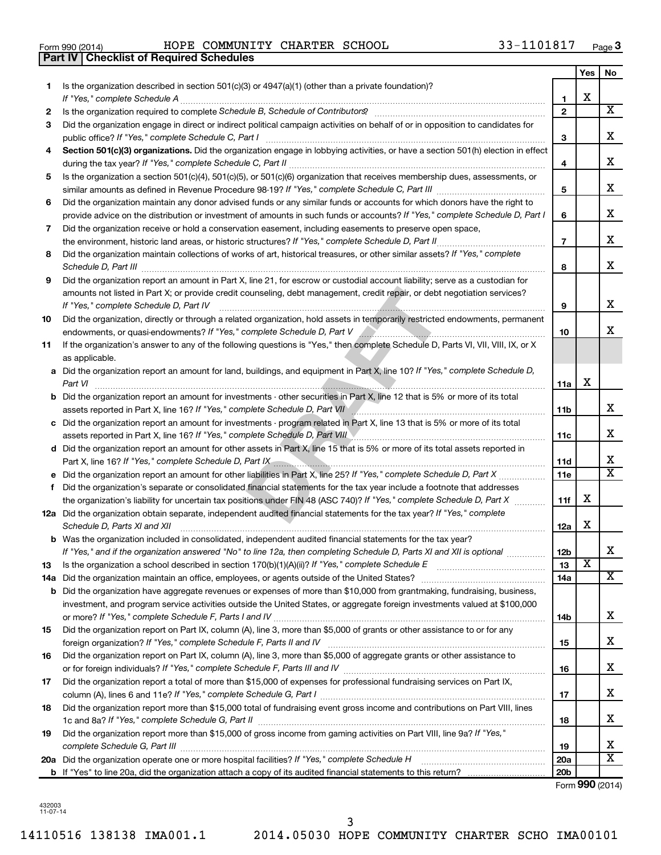| Form 990 (2014) |  |  |
|-----------------|--|--|

**Part IV Checklist of Required Schedules**

Form 990 (2014) Page HOPE COMMUNITY CHARTER SCHOOL 33-1101817

|    |                                                                                                                                                                                                                                                                                                                                                                     |                 | Yes | No                           |
|----|---------------------------------------------------------------------------------------------------------------------------------------------------------------------------------------------------------------------------------------------------------------------------------------------------------------------------------------------------------------------|-----------------|-----|------------------------------|
| 1  | Is the organization described in section 501(c)(3) or $4947(a)(1)$ (other than a private foundation)?                                                                                                                                                                                                                                                               |                 |     |                              |
|    | If "Yes," complete Schedule A                                                                                                                                                                                                                                                                                                                                       | 1               | х   |                              |
| 2  |                                                                                                                                                                                                                                                                                                                                                                     | $\mathbf{2}$    |     | $\overline{\text{X}}$        |
| З  | Did the organization engage in direct or indirect political campaign activities on behalf of or in opposition to candidates for                                                                                                                                                                                                                                     | 3               |     | x                            |
| 4  | Section 501(c)(3) organizations. Did the organization engage in lobbying activities, or have a section 501(h) election in effect                                                                                                                                                                                                                                    | 4               |     | x                            |
| 5  | Is the organization a section 501(c)(4), 501(c)(5), or 501(c)(6) organization that receives membership dues, assessments, or                                                                                                                                                                                                                                        |                 |     |                              |
|    |                                                                                                                                                                                                                                                                                                                                                                     | 5               |     | x                            |
| 6  | Did the organization maintain any donor advised funds or any similar funds or accounts for which donors have the right to                                                                                                                                                                                                                                           |                 |     |                              |
|    | provide advice on the distribution or investment of amounts in such funds or accounts? If "Yes," complete Schedule D, Part I                                                                                                                                                                                                                                        | 6               |     | x                            |
| 7  | Did the organization receive or hold a conservation easement, including easements to preserve open space,                                                                                                                                                                                                                                                           |                 |     |                              |
|    | the environment, historic land areas, or historic structures? If "Yes," complete Schedule D, Part II                                                                                                                                                                                                                                                                | $\overline{7}$  |     | x                            |
| 8  | Did the organization maintain collections of works of art, historical treasures, or other similar assets? If "Yes," complete<br>Schedule D, Part III <b>Marting Community</b> Contract to the Contract of the Contract of Contract Contract of Contract of Contract of Contract of Contract of Contract of Contract of Contract of Contract of Contract of Contract | 8               |     | x                            |
| 9  | Did the organization report an amount in Part X, line 21, for escrow or custodial account liability; serve as a custodian for                                                                                                                                                                                                                                       |                 |     |                              |
|    | amounts not listed in Part X; or provide credit counseling, debt management, credit repair, or debt negotiation services?                                                                                                                                                                                                                                           |                 |     |                              |
|    | If "Yes," complete Schedule D, Part IV                                                                                                                                                                                                                                                                                                                              | 9               |     | х                            |
| 10 | Did the organization, directly or through a related organization, hold assets in temporarily restricted endowments, permanent                                                                                                                                                                                                                                       |                 |     |                              |
|    |                                                                                                                                                                                                                                                                                                                                                                     | 10              |     | x                            |
| 11 | If the organization's answer to any of the following questions is "Yes," then complete Schedule D, Parts VI, VII, VIII, IX, or X<br>as applicable.                                                                                                                                                                                                                  |                 |     |                              |
|    | a Did the organization report an amount for land, buildings, and equipment in Part X, line 10? If "Yes," complete Schedule D,                                                                                                                                                                                                                                       |                 |     |                              |
|    | Part VI                                                                                                                                                                                                                                                                                                                                                             | 11a             | х   |                              |
|    | <b>b</b> Did the organization report an amount for investments - other securities in Part X, line 12 that is 5% or more of its total                                                                                                                                                                                                                                |                 |     |                              |
|    | assets reported in Part X, line 16? If "Yes," complete Schedule D, Part VII" [[[[[[[[[[[[[[[[[[[[[[]]]]]]]]]]                                                                                                                                                                                                                                                       | 11b             |     | x                            |
|    | c Did the organization report an amount for investments - program related in Part X, line 13 that is 5% or more of its total                                                                                                                                                                                                                                        |                 |     |                              |
|    | assets reported in Part X, line 16? If "Yes," complete Schedule D, Part VIII                                                                                                                                                                                                                                                                                        | 11c             |     | х                            |
|    | d Did the organization report an amount for other assets in Part X, line 15 that is 5% or more of its total assets reported in                                                                                                                                                                                                                                      |                 |     |                              |
|    |                                                                                                                                                                                                                                                                                                                                                                     | 11d             |     | x<br>$\overline{\mathtt{x}}$ |
|    | e Did the organization report an amount for other liabilities in Part X, line 25? If "Yes," complete Schedule D, Part X                                                                                                                                                                                                                                             | 11e             |     |                              |
| f  | Did the organization's separate or consolidated financial statements for the tax year include a footnote that addresses<br>the organization's liability for uncertain tax positions under FIN 48 (ASC 740)? If "Yes," complete Schedule D, Part X                                                                                                                   | 11f             | X   |                              |
|    | 12a Did the organization obtain separate, independent audited financial statements for the tax year? If "Yes," complete                                                                                                                                                                                                                                             |                 |     |                              |
|    | Schedule D, Parts XI and XII                                                                                                                                                                                                                                                                                                                                        | 12a             | х   |                              |
|    | <b>b</b> Was the organization included in consolidated, independent audited financial statements for the tax year?                                                                                                                                                                                                                                                  |                 |     |                              |
|    | If "Yes," and if the organization answered "No" to line 12a, then completing Schedule D, Parts XI and XII is optional                                                                                                                                                                                                                                               | 120             |     | ▵                            |
| 13 |                                                                                                                                                                                                                                                                                                                                                                     | 13              | х   |                              |
|    | 14a Did the organization maintain an office, employees, or agents outside of the United States?                                                                                                                                                                                                                                                                     | 14a             |     | x                            |
|    | <b>b</b> Did the organization have aggregate revenues or expenses of more than \$10,000 from grantmaking, fundraising, business,                                                                                                                                                                                                                                    |                 |     |                              |
|    | investment, and program service activities outside the United States, or aggregate foreign investments valued at \$100,000                                                                                                                                                                                                                                          |                 |     |                              |
|    |                                                                                                                                                                                                                                                                                                                                                                     | 14 <sub>b</sub> |     | x                            |
| 15 | Did the organization report on Part IX, column (A), line 3, more than \$5,000 of grants or other assistance to or for any                                                                                                                                                                                                                                           |                 |     |                              |
|    |                                                                                                                                                                                                                                                                                                                                                                     | 15              |     | x                            |
| 16 | Did the organization report on Part IX, column (A), line 3, more than \$5,000 of aggregate grants or other assistance to                                                                                                                                                                                                                                            |                 |     |                              |
|    |                                                                                                                                                                                                                                                                                                                                                                     | 16              |     | x                            |
| 17 | Did the organization report a total of more than \$15,000 of expenses for professional fundraising services on Part IX,                                                                                                                                                                                                                                             |                 |     | x                            |
|    |                                                                                                                                                                                                                                                                                                                                                                     | 17              |     |                              |
| 18 | Did the organization report more than \$15,000 total of fundraising event gross income and contributions on Part VIII, lines                                                                                                                                                                                                                                        | 18              |     | x                            |
| 19 | Did the organization report more than \$15,000 of gross income from gaming activities on Part VIII, line 9a? If "Yes,"                                                                                                                                                                                                                                              |                 |     |                              |
|    |                                                                                                                                                                                                                                                                                                                                                                     | 19              |     | x                            |
|    | 20a Did the organization operate one or more hospital facilities? If "Yes," complete Schedule H                                                                                                                                                                                                                                                                     | 20a             |     | $\overline{\textbf{X}}$      |
|    |                                                                                                                                                                                                                                                                                                                                                                     | 20 <sub>b</sub> |     |                              |

Form (2014) **990**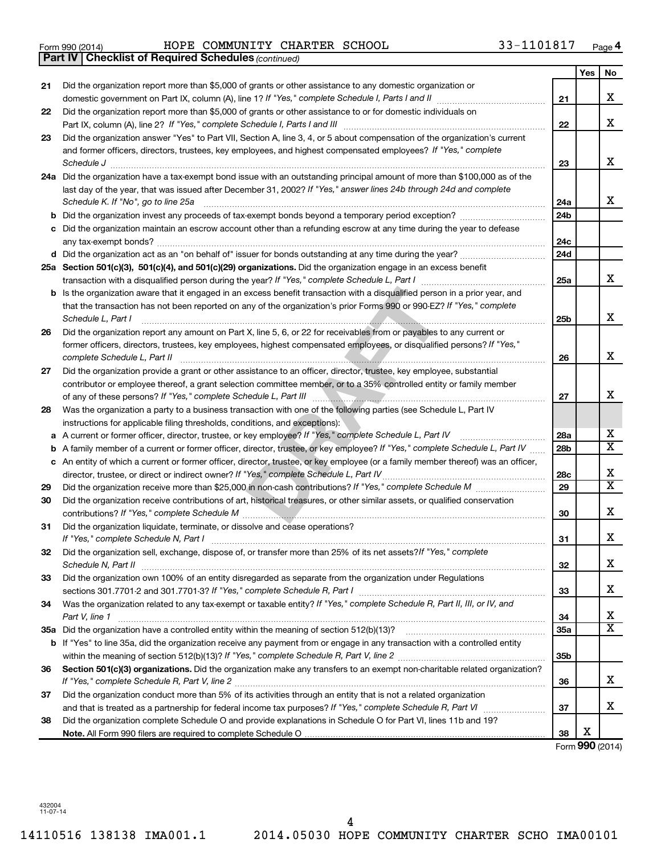| Form 990 (2014) |  |  | HOPE COMMUNITY CHARTER SCHOOL |  |  |  | 33-1101817 | Page |  |
|-----------------|--|--|-------------------------------|--|--|--|------------|------|--|
|-----------------|--|--|-------------------------------|--|--|--|------------|------|--|

|    | <b>Part IV   Checklist of Required Schedules (continued)</b>                                                                                                                                                                                                                                                                        |                 |     |                         |
|----|-------------------------------------------------------------------------------------------------------------------------------------------------------------------------------------------------------------------------------------------------------------------------------------------------------------------------------------|-----------------|-----|-------------------------|
|    |                                                                                                                                                                                                                                                                                                                                     |                 | Yes | No                      |
| 21 | Did the organization report more than \$5,000 of grants or other assistance to any domestic organization or                                                                                                                                                                                                                         |                 |     |                         |
|    |                                                                                                                                                                                                                                                                                                                                     | 21              |     | х                       |
| 22 | Did the organization report more than \$5,000 of grants or other assistance to or for domestic individuals on                                                                                                                                                                                                                       |                 |     |                         |
|    | Part IX, column (A), line 2? If "Yes," complete Schedule I, Parts I and III [11]] [11]] [11] [11] [11] [11] [1                                                                                                                                                                                                                      | 22              |     | x                       |
| 23 | Did the organization answer "Yes" to Part VII, Section A, line 3, 4, or 5 about compensation of the organization's current                                                                                                                                                                                                          |                 |     |                         |
|    | and former officers, directors, trustees, key employees, and highest compensated employees? If "Yes," complete                                                                                                                                                                                                                      |                 |     |                         |
|    |                                                                                                                                                                                                                                                                                                                                     | 23              |     | x                       |
|    | Schedule J <b>Example 2 Contract 2 Contract 2 Contract 2 Contract 2 Contract 2 Contract 2 Contract 2 Contract 2 Contract 2 Contract 2 Contract 2 Contract 2 Contract 2 Contract 2 Contract 2 Con</b><br>24a Did the organization have a tax-exempt bond issue with an outstanding principal amount of more than \$100,000 as of the |                 |     |                         |
|    | last day of the year, that was issued after December 31, 2002? If "Yes," answer lines 24b through 24d and complete                                                                                                                                                                                                                  |                 |     |                         |
|    | Schedule K. If "No", go to line 25a                                                                                                                                                                                                                                                                                                 | 24a             |     | x                       |
|    |                                                                                                                                                                                                                                                                                                                                     |                 |     |                         |
| b  |                                                                                                                                                                                                                                                                                                                                     | 24 <sub>b</sub> |     |                         |
|    | Did the organization maintain an escrow account other than a refunding escrow at any time during the year to defease                                                                                                                                                                                                                |                 |     |                         |
|    |                                                                                                                                                                                                                                                                                                                                     | 24c             |     |                         |
|    | d Did the organization act as an "on behalf of" issuer for bonds outstanding at any time during the year?                                                                                                                                                                                                                           | 24d             |     |                         |
|    | 25a Section 501(c)(3), 501(c)(4), and 501(c)(29) organizations. Did the organization engage in an excess benefit                                                                                                                                                                                                                    |                 |     |                         |
|    |                                                                                                                                                                                                                                                                                                                                     | 25a             |     | X                       |
|    | <b>b</b> Is the organization aware that it engaged in an excess benefit transaction with a disqualified person in a prior year, and                                                                                                                                                                                                 |                 |     |                         |
|    | that the transaction has not been reported on any of the organization's prior Forms 990 or 990-EZ? If "Yes," complete                                                                                                                                                                                                               |                 |     |                         |
|    | Schedule L, Part I                                                                                                                                                                                                                                                                                                                  | 25b             |     | х                       |
| 26 | Did the organization report any amount on Part X, line 5, 6, or 22 for receivables from or payables to any current or                                                                                                                                                                                                               |                 |     |                         |
|    | former officers, directors, trustees, key employees, highest compensated employees, or disqualified persons? If "Yes,"                                                                                                                                                                                                              |                 |     |                         |
|    | complete Schedule L, Part II                                                                                                                                                                                                                                                                                                        | 26              |     | X                       |
| 27 | Did the organization provide a grant or other assistance to an officer, director, trustee, key employee, substantial                                                                                                                                                                                                                |                 |     |                         |
|    | contributor or employee thereof, a grant selection committee member, or to a 35% controlled entity or family member                                                                                                                                                                                                                 |                 |     |                         |
|    |                                                                                                                                                                                                                                                                                                                                     | 27              |     | х                       |
| 28 | Was the organization a party to a business transaction with one of the following parties (see Schedule L, Part IV                                                                                                                                                                                                                   |                 |     |                         |
|    | instructions for applicable filing thresholds, conditions, and exceptions):                                                                                                                                                                                                                                                         |                 |     |                         |
| а  | A current or former officer, director, trustee, or key employee? If "Yes," complete Schedule L, Part IV                                                                                                                                                                                                                             | 28a             |     | х                       |
| b  | A family member of a current or former officer, director, trustee, or key employee? If "Yes," complete Schedule L, Part IV                                                                                                                                                                                                          | 28 <sub>b</sub> |     | $\overline{\mathtt{x}}$ |
| с  | An entity of which a current or former officer, director, trustee, or key employee (or a family member thereof) was an officer,                                                                                                                                                                                                     |                 |     |                         |
|    | director, trustee, or direct or indirect owner? If "Yes," complete Schedule L, Part IV                                                                                                                                                                                                                                              | 28c             |     | х                       |
| 29 |                                                                                                                                                                                                                                                                                                                                     | 29              |     | $\overline{\textbf{x}}$ |
| 30 | Did the organization receive contributions of art, historical treasures, or other similar assets, or qualified conservation                                                                                                                                                                                                         |                 |     |                         |
|    |                                                                                                                                                                                                                                                                                                                                     | 30              |     | x                       |
| 31 | Did the organization liquidate, terminate, or dissolve and cease operations?                                                                                                                                                                                                                                                        |                 |     |                         |
|    |                                                                                                                                                                                                                                                                                                                                     | 31              |     | ▵                       |
| 32 | Did the organization sell, exchange, dispose of, or transfer more than 25% of its net assets?/f "Yes," complete                                                                                                                                                                                                                     |                 |     |                         |
|    | Schedule N, Part II                                                                                                                                                                                                                                                                                                                 | 32              |     | x                       |
| 33 | Did the organization own 100% of an entity disregarded as separate from the organization under Regulations                                                                                                                                                                                                                          |                 |     |                         |
|    |                                                                                                                                                                                                                                                                                                                                     | 33              |     | х                       |
| 34 | Was the organization related to any tax-exempt or taxable entity? If "Yes," complete Schedule R, Part II, III, or IV, and                                                                                                                                                                                                           |                 |     |                         |
|    | Part V, line 1                                                                                                                                                                                                                                                                                                                      | 34              |     | х                       |
|    |                                                                                                                                                                                                                                                                                                                                     |                 |     | $\overline{\texttt{X}}$ |
|    |                                                                                                                                                                                                                                                                                                                                     | 35a             |     |                         |
|    | b If "Yes" to line 35a, did the organization receive any payment from or engage in any transaction with a controlled entity                                                                                                                                                                                                         |                 |     |                         |
|    |                                                                                                                                                                                                                                                                                                                                     | 35 <sub>b</sub> |     |                         |
| 36 | Section 501(c)(3) organizations. Did the organization make any transfers to an exempt non-charitable related organization?                                                                                                                                                                                                          |                 |     |                         |
|    |                                                                                                                                                                                                                                                                                                                                     | 36              |     | x                       |
| 37 | Did the organization conduct more than 5% of its activities through an entity that is not a related organization                                                                                                                                                                                                                    |                 |     |                         |
|    |                                                                                                                                                                                                                                                                                                                                     | 37              |     | х                       |
| 38 | Did the organization complete Schedule O and provide explanations in Schedule O for Part VI, lines 11b and 19?                                                                                                                                                                                                                      |                 |     |                         |
|    |                                                                                                                                                                                                                                                                                                                                     | 38              | х   |                         |

Form (2014) **990**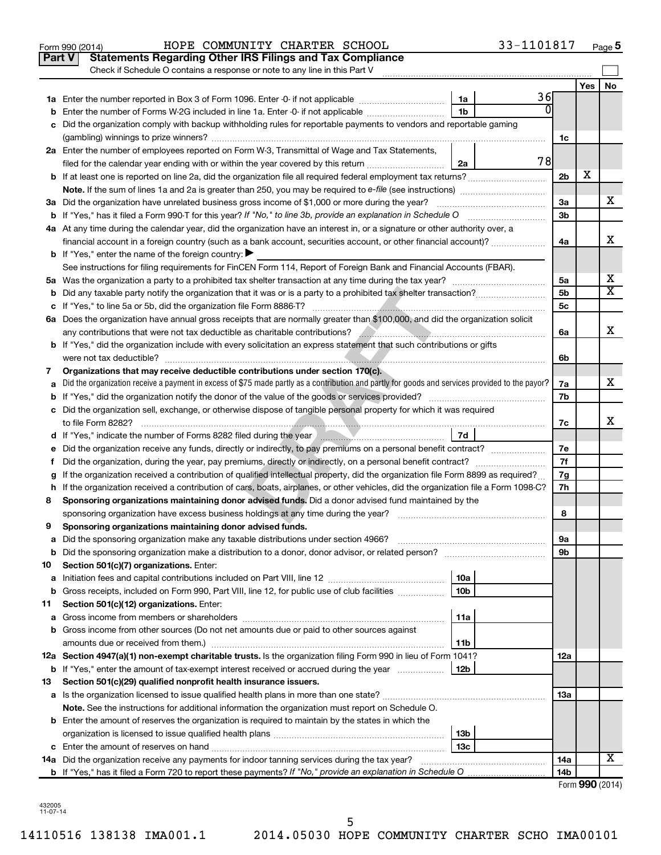|               | 33-1101817<br>HOPE COMMUNITY CHARTER SCHOOL<br>Form 990 (2014)                                                                                                                                        |                 |     | Page 5                  |
|---------------|-------------------------------------------------------------------------------------------------------------------------------------------------------------------------------------------------------|-----------------|-----|-------------------------|
| <b>Part V</b> | <b>Statements Regarding Other IRS Filings and Tax Compliance</b>                                                                                                                                      |                 |     |                         |
|               | Check if Schedule O contains a response or note to any line in this Part V                                                                                                                            |                 |     |                         |
|               |                                                                                                                                                                                                       |                 | Yes | No                      |
|               | 36<br>1a<br>1a Enter the number reported in Box 3 of Form 1096. Enter -0- if not applicable                                                                                                           |                 |     |                         |
| b             | U<br>Enter the number of Forms W-2G included in line 1a. Enter -0- if not applicable<br>1b                                                                                                            |                 |     |                         |
| с             | Did the organization comply with backup withholding rules for reportable payments to vendors and reportable gaming                                                                                    |                 |     |                         |
|               |                                                                                                                                                                                                       | 1c              |     |                         |
|               | 2a Enter the number of employees reported on Form W-3, Transmittal of Wage and Tax Statements,                                                                                                        |                 |     |                         |
|               | 78<br>filed for the calendar year ending with or within the year covered by this return <i>[[[[[[[[[[[[[[]]]]</i> ]]<br>2a                                                                            |                 |     |                         |
| b             | If at least one is reported on line 2a, did the organization file all required federal employment tax returns?                                                                                        | 2 <sub>b</sub>  | х   |                         |
|               |                                                                                                                                                                                                       |                 |     |                         |
|               | 3a Did the organization have unrelated business gross income of \$1,000 or more during the year?                                                                                                      | 3a              |     | x                       |
| b             |                                                                                                                                                                                                       | 3 <sub>b</sub>  |     |                         |
|               | 4a At any time during the calendar year, did the organization have an interest in, or a signature or other authority over, a                                                                          |                 |     |                         |
|               | financial account in a foreign country (such as a bank account, securities account, or other financial account)?                                                                                      | 4a              |     | x                       |
|               | <b>b</b> If "Yes," enter the name of the foreign country: $\blacktriangleright$                                                                                                                       |                 |     |                         |
|               | See instructions for filing requirements for FinCEN Form 114, Report of Foreign Bank and Financial Accounts (FBAR).                                                                                   |                 |     |                         |
|               |                                                                                                                                                                                                       | 5a              |     | х                       |
| b             |                                                                                                                                                                                                       | 5 <sub>b</sub>  |     | $\overline{\mathtt{x}}$ |
| с             |                                                                                                                                                                                                       | 5 <sub>c</sub>  |     |                         |
|               | 6a Does the organization have annual gross receipts that are normally greater than \$100,000, and did the organization solicit                                                                        |                 |     |                         |
|               |                                                                                                                                                                                                       | 6a              |     | x                       |
|               | b If "Yes," did the organization include with every solicitation an express statement that such contributions or gifts                                                                                |                 |     |                         |
|               | were not tax deductible?                                                                                                                                                                              | 6b              |     |                         |
| 7             | Organizations that may receive deductible contributions under section 170(c).                                                                                                                         |                 |     |                         |
| а             | Did the organization receive a payment in excess of \$75 made partly as a contribution and partly for goods and services provided to the payor?                                                       | 7a              |     | x                       |
| b             |                                                                                                                                                                                                       | 7b              |     |                         |
| с             | Did the organization sell, exchange, or otherwise dispose of tangible personal property for which it was required                                                                                     |                 |     |                         |
|               | to file Form 8282?                                                                                                                                                                                    | 7c              |     | x                       |
| d             | 7d<br>If "Yes," indicate the number of Forms 8282 filed during the year [11] [11] Washington [11] [12] If we see the                                                                                  |                 |     |                         |
| е             |                                                                                                                                                                                                       | 7e              |     |                         |
| f.            | Did the organization, during the year, pay premiums, directly or indirectly, on a personal benefit contract?                                                                                          | 7f              |     |                         |
| g             | If the organization received a contribution of qualified intellectual property, did the organization file Form 8899 as required?                                                                      | 7g              |     |                         |
|               | h If the organization received a contribution of cars, boats, airplanes, or other vehicles, did the organization file a Form 1098-C?                                                                  | 7h              |     |                         |
| 8             | Sponsoring organizations maintaining donor advised funds. Did a donor advised fund maintained by the                                                                                                  |                 |     |                         |
|               | sponsoring organization have excess business holdings at any time during the year?                                                                                                                    | 8               |     |                         |
| 9             | Sponsoring organizations maintaining donor advised funds.                                                                                                                                             |                 |     |                         |
| а             | Did the sponsoring organization make any taxable distributions under section 4966?<br>and a series of the contract of the contract of the contract of the contract of the contract of the contract of | 9а              |     |                         |
| b             |                                                                                                                                                                                                       | 9b              |     |                         |
| 10            | Section 501(c)(7) organizations. Enter:                                                                                                                                                               |                 |     |                         |
| а             | 10a                                                                                                                                                                                                   |                 |     |                         |
| b             | 10 <sub>b</sub><br>Gross receipts, included on Form 990, Part VIII, line 12, for public use of club facilities                                                                                        |                 |     |                         |
| 11            | Section 501(c)(12) organizations. Enter:                                                                                                                                                              |                 |     |                         |
| а             | 11a                                                                                                                                                                                                   |                 |     |                         |
| b             | Gross income from other sources (Do not net amounts due or paid to other sources against                                                                                                              |                 |     |                         |
|               | 11 <sub>b</sub>                                                                                                                                                                                       |                 |     |                         |
|               | 12a Section 4947(a)(1) non-exempt charitable trusts. Is the organization filing Form 990 in lieu of Form 1041?                                                                                        | 12a             |     |                         |
| b             | If "Yes," enter the amount of tax-exempt interest received or accrued during the year<br>12b                                                                                                          |                 |     |                         |
| 13            | Section 501(c)(29) qualified nonprofit health insurance issuers.                                                                                                                                      |                 |     |                         |
| а             |                                                                                                                                                                                                       | 13a             |     |                         |
|               | Note. See the instructions for additional information the organization must report on Schedule O.                                                                                                     |                 |     |                         |
| b             | Enter the amount of reserves the organization is required to maintain by the states in which the                                                                                                      |                 |     |                         |
|               | 13 <sub>b</sub>                                                                                                                                                                                       |                 |     |                         |
| с             | 13с                                                                                                                                                                                                   |                 |     |                         |
| 14a           | Did the organization receive any payments for indoor tanning services during the tax year?                                                                                                            | 14a             |     | X                       |
|               |                                                                                                                                                                                                       | 14 <sub>b</sub> |     |                         |
|               |                                                                                                                                                                                                       |                 |     | Form 990 (2014)         |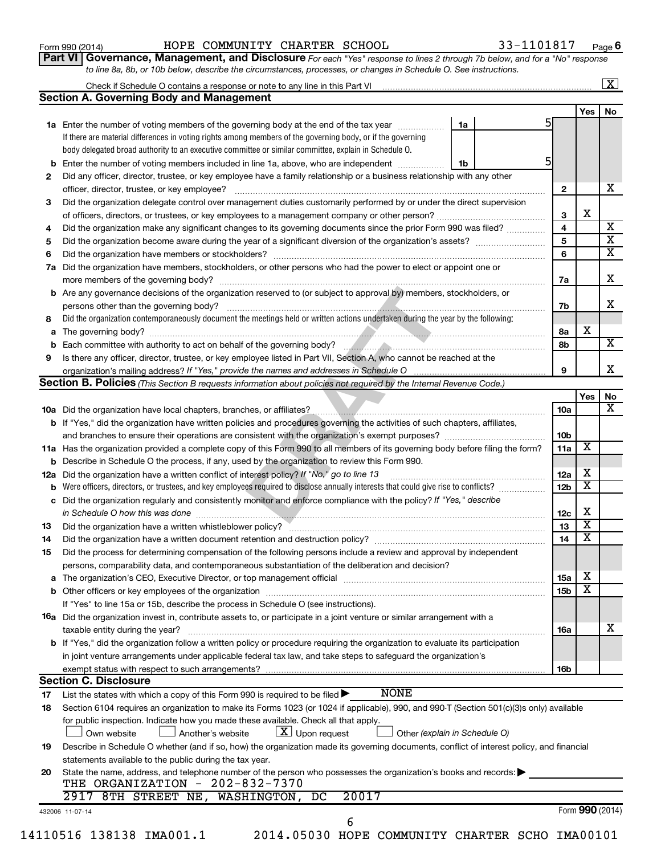| 2   | Did any officer, director, trustee, or key employee have a family relationship or a business relationship with any other                                                                                                       |                 |                         |                         |
|-----|--------------------------------------------------------------------------------------------------------------------------------------------------------------------------------------------------------------------------------|-----------------|-------------------------|-------------------------|
|     | officer, director, trustee, or key employee?                                                                                                                                                                                   | $\overline{2}$  |                         | x                       |
| з   | Did the organization delegate control over management duties customarily performed by or under the direct supervision                                                                                                          |                 |                         |                         |
|     |                                                                                                                                                                                                                                | 3               | X                       |                         |
| 4   | Did the organization make any significant changes to its governing documents since the prior Form 990 was filed?                                                                                                               | 4               |                         | X                       |
| 5   | Did the organization become aware during the year of a significant diversion of the organization's assets?                                                                                                                     | 5               |                         | $\overline{\mathbf{x}}$ |
| 6   |                                                                                                                                                                                                                                | 6               |                         | $\overline{\mathbf{x}}$ |
| 7a  | Did the organization have members, stockholders, or other persons who had the power to elect or appoint one or                                                                                                                 | 7a              |                         | X                       |
|     | <b>b</b> Are any governance decisions of the organization reserved to (or subject to approval by) members, stockholders, or                                                                                                    |                 |                         |                         |
|     |                                                                                                                                                                                                                                | 7b              |                         | х                       |
| 8   | Did the organization contemporaneously document the meetings held or written actions undertaken during the year by the following:                                                                                              |                 |                         |                         |
| а   |                                                                                                                                                                                                                                | 8а              | X                       |                         |
|     |                                                                                                                                                                                                                                | 8b              |                         | x                       |
| 9   | Is there any officer, director, trustee, or key employee listed in Part VII, Section A, who cannot be reached at the                                                                                                           |                 |                         |                         |
|     |                                                                                                                                                                                                                                | 9               |                         | X                       |
|     | Section B. Policies (This Section B requests information about policies not required by the Internal Revenue Code.)                                                                                                            |                 |                         |                         |
|     |                                                                                                                                                                                                                                |                 | Yes                     | No                      |
|     |                                                                                                                                                                                                                                | 10a             |                         | х                       |
|     | <b>b</b> If "Yes," did the organization have written policies and procedures governing the activities of such chapters, affiliates,                                                                                            |                 |                         |                         |
|     |                                                                                                                                                                                                                                | 10 <sub>b</sub> |                         |                         |
|     | 11a Has the organization provided a complete copy of this Form 990 to all members of its governing body before filing the form?                                                                                                | 11a             | X                       |                         |
|     | <b>b</b> Describe in Schedule O the process, if any, used by the organization to review this Form 990.                                                                                                                         |                 |                         |                         |
| 12a | Did the organization have a written conflict of interest policy? If "No," go to line 13                                                                                                                                        | 12a             | х                       |                         |
| b   |                                                                                                                                                                                                                                | 12 <sub>b</sub> | $\overline{\textbf{x}}$ |                         |
|     | c Did the organization regularly and consistently monitor and enforce compliance with the policy? If "Yes," describe                                                                                                           |                 |                         |                         |
|     | in Schedule O how this was done manufactured and contact the state of the state of the state of the state of the state of the state of the state of the state of the state of the state of the state of the state of the state | 12c             | х                       |                         |
| 13  |                                                                                                                                                                                                                                | 13              | $\overline{\textbf{x}}$ |                         |
| 14  |                                                                                                                                                                                                                                | 14              | $\overline{\text{X}}$   |                         |
| 15  | Did the process for determining compensation of the following persons include a review and approval by independent                                                                                                             |                 |                         |                         |
|     | persons, comparability data, and contemporaneous substantiation of the deliberation and decision?                                                                                                                              |                 |                         |                         |
| а   |                                                                                                                                                                                                                                | 15a             | х                       |                         |
|     |                                                                                                                                                                                                                                | 15 <sub>b</sub> | $\overline{\text{X}}$   |                         |
|     | If "Yes" to line 15a or 15b, describe the process in Schedule O (see instructions).                                                                                                                                            |                 |                         |                         |
|     | <b>16a</b> Did the organization invest in, contribute assets to, or participate in a joint venture or similar arrangement with a                                                                                               |                 |                         |                         |
|     |                                                                                                                                                                                                                                |                 |                         | х                       |
|     |                                                                                                                                                                                                                                | 16a             |                         |                         |
|     | <b>b</b> If "Yes," did the organization follow a written policy or procedure requiring the organization to evaluate its participation                                                                                          |                 |                         |                         |
|     | in joint venture arrangements under applicable federal tax law, and take steps to safeguard the organization's                                                                                                                 |                 |                         |                         |
|     | <b>Section C. Disclosure</b>                                                                                                                                                                                                   | 16b             |                         |                         |
|     | <b>NONE</b>                                                                                                                                                                                                                    |                 |                         |                         |
| 17  | List the states with which a copy of this Form 990 is required to be filed $\blacktriangleright$                                                                                                                               |                 |                         |                         |
| 18  | Section 6104 requires an organization to make its Forms 1023 (or 1024 if applicable), 990, and 990-T (Section 501(c)(3)s only) available                                                                                       |                 |                         |                         |
|     | for public inspection. Indicate how you made these available. Check all that apply.                                                                                                                                            |                 |                         |                         |
|     | $ \underline{X} $ Upon request<br>Another's website<br>Own website<br>Other (explain in Schedule O)                                                                                                                            |                 |                         |                         |
| 19  | Describe in Schedule O whether (and if so, how) the organization made its governing documents, conflict of interest policy, and financial                                                                                      |                 |                         |                         |
|     | statements available to the public during the tax year.                                                                                                                                                                        |                 |                         |                         |
| 20  | State the name, address, and telephone number of the person who possesses the organization's books and records:                                                                                                                |                 |                         |                         |
|     | THE ORGANIZATION - 202-832-7370                                                                                                                                                                                                |                 |                         |                         |
|     | 2917 8TH STREET NE,<br>20017<br>WASHINGTON, DC                                                                                                                                                                                 |                 |                         |                         |
|     | 432006 11-07-14                                                                                                                                                                                                                |                 |                         | Form 990 (2014)         |
|     | 6                                                                                                                                                                                                                              |                 |                         |                         |
|     |                                                                                                                                                                                                                                |                 |                         |                         |
|     | 14110516 138138 IMA001.1<br>2014.05030 HOPE COMMUNITY CHARTER SCHO IMA00101                                                                                                                                                    |                 |                         |                         |

| Form 990 (2014) | HOPE COMMUNITY CHARTER SCHOOL |  | 33-110181                                                                                                                |
|-----------------|-------------------------------|--|--------------------------------------------------------------------------------------------------------------------------|
|                 |                               |  | <b>Part VI Governance, Management, and Disclosure</b> For each "Yes" response to lines 2 through 7b below, and for a "No |
|                 |                               |  | to line 8a, 8b, or 10b below, describe the circumstances, processes, or changes in Schedule O. See instructions.         |

**Yes No**

**6**

 $\boxed{\text{X}}$ 

*For each "Yes" response to lines 2 through 7b below, and for a "No" response*

5

5

**1a**

**1b**

| Form 990 (2014) |  |  | HOPE COMMUNITY CHARTER SCHOOL |  |  | 33-1101817 | Page |
|-----------------|--|--|-------------------------------|--|--|------------|------|
|-----------------|--|--|-------------------------------|--|--|------------|------|

**Section A. Governing Body and Management**

**1a** Enter the number of voting members of the governing body at the end of the tax year *www.fronoming* 

Check if Schedule O contains a response or note to any line in this Part VI

If there are material differences in voting rights among members of the governing body, or if the governing body delegated broad authority to an executive committee or similar committee, explain in Schedule O.

**b** Enter the number of voting members included in line 1a, above, who are independent  $\ldots$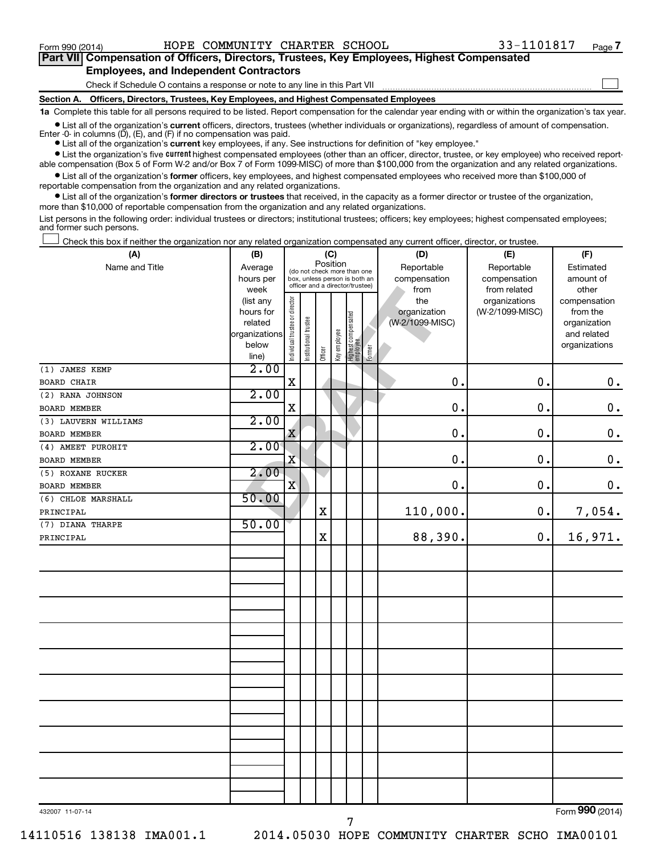$\Box$ 

| Part VII Compensation of Officers, Directors, Trustees, Key Employees, Highest Compensated |  |
|--------------------------------------------------------------------------------------------|--|
| <b>Employees, and Independent Contractors</b>                                              |  |

#### Check if Schedule O contains a response or note to any line in this Part VII

**Section A. Officers, Directors, Trustees, Key Employees, and Highest Compensated Employees**

**1a**  Complete this table for all persons required to be listed. Report compensation for the calendar year ending with or within the organization's tax year.

**•** List all of the organization's current officers, directors, trustees (whether individuals or organizations), regardless of amount of compensation. Enter -0- in columns  $(D)$ ,  $(E)$ , and  $(F)$  if no compensation was paid.

**•** List all of the organization's **current** key employees, if any. See instructions for definition of "key employee."

**•** List the organization's five current highest compensated employees (other than an officer, director, trustee, or key employee) who received reportable compensation (Box 5 of Form W-2 and/or Box 7 of Form 1099-MISC) of more than \$100,000 from the organization and any related organizations.

**•** List all of the organization's former officers, key employees, and highest compensated employees who received more than \$100,000 of reportable compensation from the organization and any related organizations.

**•** List all of the organization's former directors or trustees that received, in the capacity as a former director or trustee of the organization, more than \$10,000 of reportable compensation from the organization and any related organizations.

List persons in the following order: individual trustees or directors; institutional trustees; officers; key employees; highest compensated employees; and former such persons.

|  |  |  | Check this box if neither the organization nor any related organization compensated any current officer, director, or trustee. |  |  |
|--|--|--|--------------------------------------------------------------------------------------------------------------------------------|--|--|
|  |  |  |                                                                                                                                |  |  |

| (A)                  | (B)                    | (C)                                     |                                                                  |             |              |                                 |        | (D)             | (E)             | (F)                          |  |  |  |
|----------------------|------------------------|-----------------------------------------|------------------------------------------------------------------|-------------|--------------|---------------------------------|--------|-----------------|-----------------|------------------------------|--|--|--|
| Name and Title       | Average                | Position<br>(do not check more than one |                                                                  |             |              |                                 |        | Reportable      | Reportable      | Estimated                    |  |  |  |
|                      | hours per              |                                         | box, unless person is both an<br>officer and a director/trustee) |             |              |                                 |        | compensation    | compensation    | amount of                    |  |  |  |
|                      | week                   |                                         |                                                                  |             |              |                                 |        | from            | from related    | other                        |  |  |  |
|                      | (list any              |                                         |                                                                  |             |              |                                 |        | the             | organizations   | compensation                 |  |  |  |
|                      | hours for              |                                         |                                                                  |             |              |                                 |        | organization    | (W-2/1099-MISC) | from the                     |  |  |  |
|                      | related                |                                         |                                                                  |             |              |                                 |        | (W-2/1099-MISC) |                 | organization                 |  |  |  |
|                      | organizations<br>below |                                         |                                                                  |             |              |                                 |        |                 |                 | and related<br>organizations |  |  |  |
|                      | line)                  | Individual trustee or director          | Institutional trustee                                            | Officer     | Key employee | Highest compensated<br>employee | Former |                 |                 |                              |  |  |  |
| (1) JAMES KEMP       | 2.00                   |                                         |                                                                  |             |              |                                 |        |                 |                 |                              |  |  |  |
| <b>BOARD CHAIR</b>   |                        | $\mathbf X$                             |                                                                  |             |              |                                 |        | $\mathbf 0$ .   | 0.              | $\mathbf 0$ .                |  |  |  |
| (2) RANA JOHNSON     | 2.00                   |                                         |                                                                  |             |              |                                 |        |                 |                 |                              |  |  |  |
| <b>BOARD MEMBER</b>  |                        | $\mathbf X$                             |                                                                  |             |              |                                 |        | $\mathbf 0$ .   | 0.              | $\mathbf 0$ .                |  |  |  |
| (3) LAUVERN WILLIAMS | 2.00                   |                                         |                                                                  |             |              |                                 |        |                 |                 |                              |  |  |  |
| <b>BOARD MEMBER</b>  |                        | $\mathbf X$                             |                                                                  |             |              |                                 |        | 0.              | $\mathbf 0$ .   | $\mathbf 0$ .                |  |  |  |
| (4) AMEET PUROHIT    | 2.00                   |                                         |                                                                  |             |              |                                 |        |                 |                 |                              |  |  |  |
| <b>BOARD MEMBER</b>  |                        | $\mathbf X$                             |                                                                  |             |              |                                 |        | 0.              | 0.              | $\boldsymbol{0}$ .           |  |  |  |
| (5) ROXANE RUCKER    | 2.00                   |                                         |                                                                  |             |              |                                 |        |                 |                 |                              |  |  |  |
| <b>BOARD MEMBER</b>  |                        | $\overline{\mathbf{X}}$                 |                                                                  |             |              |                                 |        | 0.              | $\mathbf 0$ .   | $\mathbf 0$ .                |  |  |  |
| (6) CHLOE MARSHALL   | 50.00                  |                                         |                                                                  |             |              |                                 |        |                 |                 |                              |  |  |  |
| PRINCIPAL            |                        |                                         |                                                                  | X           |              |                                 |        | 110,000.        | 0.              | 7,054.                       |  |  |  |
| (7) DIANA THARPE     | 50.00                  |                                         |                                                                  |             |              |                                 |        |                 |                 |                              |  |  |  |
| PRINCIPAL            |                        |                                         |                                                                  | $\mathbf X$ |              |                                 |        | 88,390.         | $\mathbf 0$ .   | 16,971.                      |  |  |  |
|                      |                        |                                         |                                                                  |             |              |                                 |        |                 |                 |                              |  |  |  |
|                      |                        |                                         |                                                                  |             |              |                                 |        |                 |                 |                              |  |  |  |
|                      |                        |                                         |                                                                  |             |              |                                 |        |                 |                 |                              |  |  |  |
|                      |                        |                                         |                                                                  |             |              |                                 |        |                 |                 |                              |  |  |  |
|                      |                        |                                         |                                                                  |             |              |                                 |        |                 |                 |                              |  |  |  |
|                      |                        |                                         |                                                                  |             |              |                                 |        |                 |                 |                              |  |  |  |
|                      |                        |                                         |                                                                  |             |              |                                 |        |                 |                 |                              |  |  |  |
|                      |                        |                                         |                                                                  |             |              |                                 |        |                 |                 |                              |  |  |  |
|                      |                        |                                         |                                                                  |             |              |                                 |        |                 |                 |                              |  |  |  |
|                      |                        |                                         |                                                                  |             |              |                                 |        |                 |                 |                              |  |  |  |
|                      |                        |                                         |                                                                  |             |              |                                 |        |                 |                 |                              |  |  |  |
|                      |                        |                                         |                                                                  |             |              |                                 |        |                 |                 |                              |  |  |  |
|                      |                        |                                         |                                                                  |             |              |                                 |        |                 |                 |                              |  |  |  |
|                      |                        |                                         |                                                                  |             |              |                                 |        |                 |                 |                              |  |  |  |
|                      |                        |                                         |                                                                  |             |              |                                 |        |                 |                 |                              |  |  |  |
|                      |                        |                                         |                                                                  |             |              |                                 |        |                 |                 |                              |  |  |  |
|                      |                        |                                         |                                                                  |             |              |                                 |        |                 |                 |                              |  |  |  |
|                      |                        |                                         |                                                                  |             |              |                                 |        |                 |                 |                              |  |  |  |

7

432007 11-07-14

Form (2014) **990**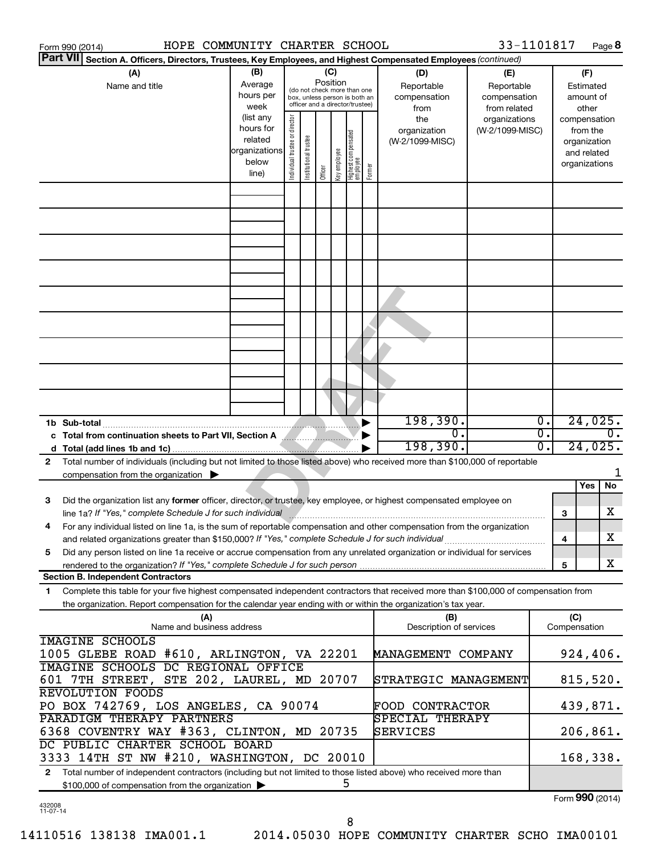| HOPE COMMUNITY CHARTER SCHOOL<br>Form 990 (2014)                                                                                           |                          |                                |                                                              |          |              |                                   |        |                         | 33-1101817      |    |              | Page 8                      |
|--------------------------------------------------------------------------------------------------------------------------------------------|--------------------------|--------------------------------|--------------------------------------------------------------|----------|--------------|-----------------------------------|--------|-------------------------|-----------------|----|--------------|-----------------------------|
| <b>Part VII</b><br>Section A. Officers, Directors, Trustees, Key Employees, and Highest Compensated Employees (continued)                  |                          |                                |                                                              |          |              |                                   |        |                         |                 |    |              |                             |
| (A)                                                                                                                                        | (B)                      |                                |                                                              | (C)      |              |                                   |        | (D)                     | (E)             |    |              | (F)                         |
| Name and title                                                                                                                             | Average                  |                                |                                                              | Position |              |                                   |        | Reportable              | Reportable      |    |              | Estimated                   |
|                                                                                                                                            | hours per                |                                | (do not check more than one<br>box, unless person is both an |          |              |                                   |        | compensation            | compensation    |    |              | amount of                   |
|                                                                                                                                            | week                     |                                | officer and a director/trustee)                              |          |              |                                   |        | from                    | from related    |    |              | other                       |
|                                                                                                                                            | (list any                |                                |                                                              |          |              |                                   |        | the                     | organizations   |    |              | compensation                |
|                                                                                                                                            | hours for                |                                |                                                              |          |              |                                   |        | organization            | (W-2/1099-MISC) |    |              | from the                    |
|                                                                                                                                            | related<br>organizations |                                |                                                              |          |              |                                   |        | (W-2/1099-MISC)         |                 |    |              | organization                |
|                                                                                                                                            | below                    |                                |                                                              |          |              |                                   |        |                         |                 |    |              | and related                 |
|                                                                                                                                            | line)                    | Individual trustee or director | Institutional trustee                                        | Officer  | Key employee | Highest compensated<br>  employee | Former |                         |                 |    |              | organizations               |
|                                                                                                                                            |                          |                                |                                                              |          |              |                                   |        |                         |                 |    |              |                             |
|                                                                                                                                            |                          |                                |                                                              |          |              |                                   |        |                         |                 |    |              |                             |
|                                                                                                                                            |                          |                                |                                                              |          |              |                                   |        |                         |                 |    |              |                             |
|                                                                                                                                            |                          |                                |                                                              |          |              |                                   |        |                         |                 |    |              |                             |
|                                                                                                                                            |                          |                                |                                                              |          |              |                                   |        |                         |                 |    |              |                             |
|                                                                                                                                            |                          |                                |                                                              |          |              |                                   |        |                         |                 |    |              |                             |
|                                                                                                                                            |                          |                                |                                                              |          |              |                                   |        |                         |                 |    |              |                             |
|                                                                                                                                            |                          |                                |                                                              |          |              |                                   |        |                         |                 |    |              |                             |
|                                                                                                                                            |                          |                                |                                                              |          |              |                                   |        |                         |                 |    |              |                             |
|                                                                                                                                            |                          |                                |                                                              |          |              |                                   |        |                         |                 |    |              |                             |
|                                                                                                                                            |                          |                                |                                                              |          |              |                                   |        |                         |                 |    |              |                             |
|                                                                                                                                            |                          |                                |                                                              |          |              |                                   |        |                         |                 |    |              |                             |
|                                                                                                                                            |                          |                                |                                                              |          |              |                                   |        |                         |                 |    |              |                             |
|                                                                                                                                            |                          |                                |                                                              |          |              |                                   |        |                         |                 |    |              |                             |
|                                                                                                                                            |                          |                                |                                                              |          |              |                                   |        |                         |                 |    |              |                             |
|                                                                                                                                            |                          |                                |                                                              |          |              |                                   |        |                         |                 |    |              |                             |
|                                                                                                                                            |                          |                                |                                                              |          |              |                                   |        |                         |                 |    |              |                             |
| 1b Sub-total                                                                                                                               |                          |                                |                                                              |          |              |                                   |        | 198,390.                |                 | Ο. |              | 24,025.                     |
| c Total from continuation sheets to Part VII, Section A Martin Martin Allen                                                                |                          |                                |                                                              |          |              |                                   |        | σ.                      |                 | σ. |              | $\overline{\mathfrak{0}}$ . |
| 198,390.                                                                                                                                   |                          |                                |                                                              |          |              |                                   |        |                         |                 | 0. |              | 24,025.                     |
| Total number of individuals (including but not limited to those listed above) who received more than \$100,000 of reportable<br>2          |                          |                                |                                                              |          |              |                                   |        |                         |                 |    |              |                             |
| compensation from the organization $\blacktriangleright$                                                                                   |                          |                                |                                                              |          |              |                                   |        |                         |                 |    |              |                             |
|                                                                                                                                            |                          |                                |                                                              |          |              |                                   |        |                         |                 |    |              | Yes<br>No                   |
| Did the organization list any former officer, director, or trustee, key employee, or highest compensated employee on<br>3                  |                          |                                |                                                              |          |              |                                   |        |                         |                 |    |              |                             |
| line 1a? If "Yes," complete Schedule J for such individual                                                                                 |                          |                                |                                                              |          |              |                                   |        |                         |                 |    | З            | x                           |
| For any individual listed on line 1a, is the sum of reportable compensation and other compensation from the organization                   |                          |                                |                                                              |          |              |                                   |        |                         |                 |    |              |                             |
| and related organizations greater than \$150,000? If "Yes," complete Schedule J for such individual                                        |                          |                                |                                                              |          |              |                                   |        |                         |                 |    | 4            | х                           |
| Did any person listed on line 1a receive or accrue compensation from any unrelated organization or individual for services<br>5            |                          |                                |                                                              |          |              |                                   |        |                         |                 |    |              |                             |
|                                                                                                                                            |                          |                                |                                                              |          |              |                                   |        |                         |                 |    | 5            | X                           |
| <b>Section B. Independent Contractors</b>                                                                                                  |                          |                                |                                                              |          |              |                                   |        |                         |                 |    |              |                             |
| Complete this table for your five highest compensated independent contractors that received more than \$100,000 of compensation from<br>1. |                          |                                |                                                              |          |              |                                   |        |                         |                 |    |              |                             |
| the organization. Report compensation for the calendar year ending with or within the organization's tax year.                             |                          |                                |                                                              |          |              |                                   |        |                         |                 |    |              |                             |
| (A)                                                                                                                                        |                          |                                |                                                              |          |              |                                   |        | (B)                     |                 |    | (C)          |                             |
| Name and business address                                                                                                                  |                          |                                |                                                              |          |              |                                   |        | Description of services |                 |    | Compensation |                             |
| <b>IMAGINE SCHOOLS</b>                                                                                                                     |                          |                                |                                                              |          |              |                                   |        |                         |                 |    |              |                             |
| 1005 GLEBE ROAD #610, ARLINGTON, VA 22201<br><b>IMAGINE SCHOOLS DC REGIONAL OFFICE</b>                                                     |                          |                                |                                                              |          |              |                                   |        | MANAGEMENT COMPANY      |                 |    |              | 924,406.                    |
|                                                                                                                                            |                          |                                |                                                              |          | 20707        |                                   |        |                         |                 |    |              |                             |
| 601 7TH STREET, STE 202, LAUREL, MD<br><b>REVOLUTION FOODS</b>                                                                             |                          |                                |                                                              |          |              |                                   |        | STRATEGIC MANAGEMENT    |                 |    |              | 815,520.                    |
| PO BOX 742769, LOS ANGELES, CA 90074                                                                                                       |                          |                                |                                                              |          |              |                                   |        | FOOD CONTRACTOR         |                 |    |              | 439,871.                    |
| PARADIGM THERAPY PARTNERS                                                                                                                  |                          |                                |                                                              |          |              |                                   |        | SPECIAL THERAPY         |                 |    |              |                             |
| 6368 COVENTRY WAY #363, CLINTON, MD 20735                                                                                                  |                          |                                |                                                              |          |              |                                   |        | SERVICES                |                 |    |              | 206,861.                    |
| DC PUBLIC CHARTER SCHOOL BOARD                                                                                                             |                          |                                |                                                              |          |              |                                   |        |                         |                 |    |              |                             |
| 3333 14TH ST NW #210, WASHINGTON, DC 20010                                                                                                 |                          |                                |                                                              |          |              |                                   |        |                         |                 |    |              | 168,338.                    |
| Total number of independent contractors (including but not limited to those listed above) who received more than<br>$\mathbf{2}$           |                          |                                |                                                              |          |              |                                   |        |                         |                 |    |              |                             |
| \$100,000 of compensation from the organization                                                                                            |                          |                                |                                                              |          | 5            |                                   |        |                         |                 |    |              |                             |
|                                                                                                                                            |                          |                                |                                                              |          |              |                                   |        |                         |                 |    |              | $Form$ 990 (2014)           |

432008 11-07-14

Form (2014) **990**

8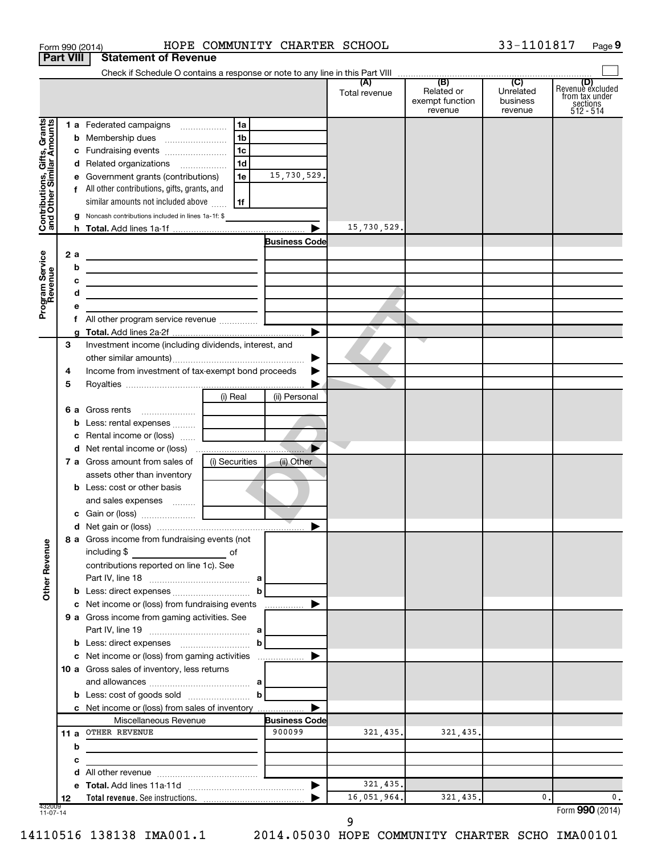|                                          | <b>Part VIII</b> | <b>Statement of Revenue</b>                                                                                           |                       |                      |                                                 |                                         |                                                                    |
|------------------------------------------|------------------|-----------------------------------------------------------------------------------------------------------------------|-----------------------|----------------------|-------------------------------------------------|-----------------------------------------|--------------------------------------------------------------------|
|                                          |                  |                                                                                                                       |                       |                      |                                                 |                                         |                                                                    |
|                                          |                  |                                                                                                                       |                       | (A)<br>Total revenue | (B)<br>Related or<br>exempt function<br>revenue | (C)<br>Unrelated<br>business<br>revenue | (D)<br>Revenue excluded<br>from tax under<br>sections<br>512 - 514 |
|                                          |                  |                                                                                                                       |                       |                      |                                                 |                                         |                                                                    |
| Gifts, Grants<br>ilar Amounts            |                  | 1b                                                                                                                    |                       |                      |                                                 |                                         |                                                                    |
|                                          |                  | 1 <sub>c</sub><br>c Fundraising events                                                                                |                       |                      |                                                 |                                         |                                                                    |
|                                          |                  | 1 <sub>d</sub><br>d Related organizations                                                                             |                       |                      |                                                 |                                         |                                                                    |
|                                          |                  | 1e<br>e Government grants (contributions)                                                                             | 15,730,529.           |                      |                                                 |                                         |                                                                    |
|                                          |                  | f All other contributions, gifts, grants, and                                                                         |                       |                      |                                                 |                                         |                                                                    |
|                                          |                  | similar amounts not included above<br>1f                                                                              |                       |                      |                                                 |                                         |                                                                    |
|                                          |                  | g Noncash contributions included in lines 1a-1f: \$                                                                   |                       |                      |                                                 |                                         |                                                                    |
| Contributions, Gift<br>and Other Similar |                  |                                                                                                                       |                       | 15,730,529.          |                                                 |                                         |                                                                    |
|                                          |                  |                                                                                                                       | <b>Business Code</b>  |                      |                                                 |                                         |                                                                    |
|                                          | 2a               | <u> 1980 - Johann Barbara, martin amerikan basar dan basar dan basar dalam basar dalam basar dalam basar dalam ba</u> |                       |                      |                                                 |                                         |                                                                    |
|                                          |                  | b<br>the control of the control of the control of the control of the control of                                       |                       |                      |                                                 |                                         |                                                                    |
|                                          |                  | с<br><u> 1989 - Johann Barn, amerikansk politiker (d. 1989)</u>                                                       |                       |                      |                                                 |                                         |                                                                    |
|                                          |                  | d<br>the contract of the contract of the contract of the contract of the contract of                                  |                       |                      |                                                 |                                         |                                                                    |
| Program Service<br>Revenue               |                  | е                                                                                                                     |                       |                      |                                                 |                                         |                                                                    |
|                                          |                  | f                                                                                                                     |                       |                      |                                                 |                                         |                                                                    |
|                                          |                  |                                                                                                                       | ▶                     |                      |                                                 |                                         |                                                                    |
|                                          | 3                | Investment income (including dividends, interest, and                                                                 |                       |                      |                                                 |                                         |                                                                    |
|                                          |                  |                                                                                                                       |                       |                      |                                                 |                                         |                                                                    |
|                                          | 4                | Income from investment of tax-exempt bond proceeds                                                                    |                       |                      |                                                 |                                         |                                                                    |
|                                          | 5                |                                                                                                                       |                       |                      |                                                 |                                         |                                                                    |
|                                          |                  | (i) Real                                                                                                              | (ii) Personal         |                      |                                                 |                                         |                                                                    |
|                                          |                  | 6 a Gross rents                                                                                                       |                       |                      |                                                 |                                         |                                                                    |
|                                          |                  | <b>b</b> Less: rental expenses                                                                                        |                       |                      |                                                 |                                         |                                                                    |
|                                          |                  | c Rental income or (loss)                                                                                             |                       |                      |                                                 |                                         |                                                                    |
|                                          |                  |                                                                                                                       |                       |                      |                                                 |                                         |                                                                    |
|                                          |                  | <b>7 a</b> Gross amount from sales of<br>(i) Securities                                                               | (ii) Other            |                      |                                                 |                                         |                                                                    |
|                                          |                  | assets other than inventory                                                                                           |                       |                      |                                                 |                                         |                                                                    |
|                                          |                  | <b>b</b> Less: cost or other basis                                                                                    |                       |                      |                                                 |                                         |                                                                    |
|                                          |                  | and sales expenses                                                                                                    |                       |                      |                                                 |                                         |                                                                    |
|                                          |                  |                                                                                                                       |                       |                      |                                                 |                                         |                                                                    |
|                                          |                  |                                                                                                                       | ▶                     |                      |                                                 |                                         |                                                                    |
| <b>Other Revenue</b>                     |                  | 8 a Gross income from fundraising events (not<br>including \$<br>of<br><u> 1990 - Johann Barbara, martxa a</u>        |                       |                      |                                                 |                                         |                                                                    |
|                                          |                  | contributions reported on line 1c). See                                                                               |                       |                      |                                                 |                                         |                                                                    |
|                                          |                  |                                                                                                                       |                       |                      |                                                 |                                         |                                                                    |
|                                          |                  | b                                                                                                                     |                       |                      |                                                 |                                         |                                                                    |
|                                          |                  | c Net income or (loss) from fundraising events                                                                        | ▶                     |                      |                                                 |                                         |                                                                    |
|                                          |                  | 9 a Gross income from gaming activities. See                                                                          |                       |                      |                                                 |                                         |                                                                    |
|                                          |                  |                                                                                                                       |                       |                      |                                                 |                                         |                                                                    |
|                                          |                  | $\mathbf b$                                                                                                           |                       |                      |                                                 |                                         |                                                                    |
|                                          |                  | c Net income or (loss) from gaming activities                                                                         | ▶                     |                      |                                                 |                                         |                                                                    |
|                                          |                  | 10 a Gross sales of inventory, less returns                                                                           |                       |                      |                                                 |                                         |                                                                    |
|                                          |                  |                                                                                                                       |                       |                      |                                                 |                                         |                                                                    |
|                                          |                  | $\mathbf b$                                                                                                           |                       |                      |                                                 |                                         |                                                                    |
|                                          |                  | c Net income or (loss) from sales of inventory                                                                        |                       |                      |                                                 |                                         |                                                                    |
|                                          |                  | Miscellaneous Revenue                                                                                                 | <b>Business Code</b>  |                      |                                                 |                                         |                                                                    |
|                                          |                  | 11 a OTHER REVENUE                                                                                                    | 900099                | 321,435.             | 321,435.                                        |                                         |                                                                    |
|                                          |                  | b<br><u> 1989 - Johann Stoff, fransk politik (d. 1989)</u>                                                            |                       |                      |                                                 |                                         |                                                                    |
|                                          |                  | c                                                                                                                     |                       |                      |                                                 |                                         |                                                                    |
|                                          |                  | d                                                                                                                     |                       |                      |                                                 |                                         |                                                                    |
|                                          |                  |                                                                                                                       | $\blacktriangleright$ | 321,435.             |                                                 |                                         |                                                                    |
|                                          | 12               |                                                                                                                       |                       | 16,051,964.          | 321,435.                                        | $\mathbf 0$ .                           | 0.                                                                 |
| 432009<br>11-07-14                       |                  |                                                                                                                       |                       |                      |                                                 |                                         | Form 990 (2014)                                                    |

Form 990 (2014) Page HOPE COMMUNITY CHARTER SCHOOL 33-1101817

14110516 138138 IMA001.1 2014.05030 HOPE COMMUNITY CHARTER SCHO IMA00101

**9**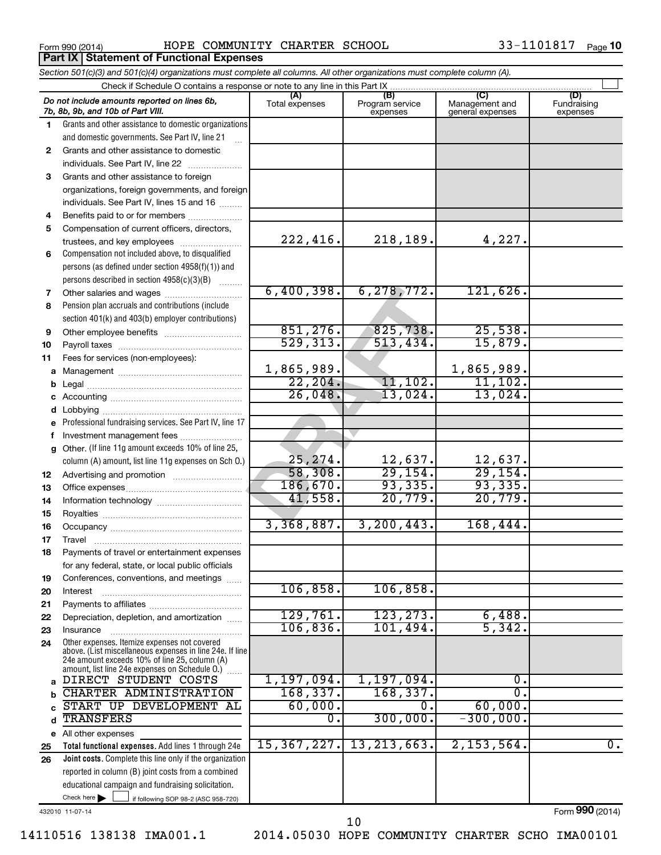**Part IX Statement of Functional Expenses** 

Form 990 (2014) Page HOPE COMMUNITY CHARTER SCHOOL 33-1101817

|                                                                              | Section 501(c)(3) and 501(c)(4) organizations must complete all columns. All other organizations must complete column (A).                                                                                  |                                    |                                    |                                    |                                |  |  |  |  |  |
|------------------------------------------------------------------------------|-------------------------------------------------------------------------------------------------------------------------------------------------------------------------------------------------------------|------------------------------------|------------------------------------|------------------------------------|--------------------------------|--|--|--|--|--|
| Check if Schedule O contains a response or note to any line in this Part IX. |                                                                                                                                                                                                             |                                    |                                    |                                    |                                |  |  |  |  |  |
|                                                                              | Do not include amounts reported on lines 6b,<br>7b, 8b, 9b, and 10b of Part VIII.                                                                                                                           | (A)<br>Total expenses              | (B)<br>Program service<br>expenses | Management and<br>general expenses | (D)<br>Fundraising<br>expenses |  |  |  |  |  |
| 1.                                                                           | Grants and other assistance to domestic organizations                                                                                                                                                       |                                    |                                    |                                    |                                |  |  |  |  |  |
|                                                                              | and domestic governments. See Part IV, line 21                                                                                                                                                              |                                    |                                    |                                    |                                |  |  |  |  |  |
| $\mathbf{2}$                                                                 | Grants and other assistance to domestic                                                                                                                                                                     |                                    |                                    |                                    |                                |  |  |  |  |  |
|                                                                              | individuals. See Part IV, line 22                                                                                                                                                                           |                                    |                                    |                                    |                                |  |  |  |  |  |
| 3                                                                            | Grants and other assistance to foreign                                                                                                                                                                      |                                    |                                    |                                    |                                |  |  |  |  |  |
|                                                                              | organizations, foreign governments, and foreign                                                                                                                                                             |                                    |                                    |                                    |                                |  |  |  |  |  |
|                                                                              | individuals. See Part IV, lines 15 and 16                                                                                                                                                                   |                                    |                                    |                                    |                                |  |  |  |  |  |
| 4                                                                            | Benefits paid to or for members                                                                                                                                                                             |                                    |                                    |                                    |                                |  |  |  |  |  |
| 5                                                                            | Compensation of current officers, directors,                                                                                                                                                                |                                    |                                    |                                    |                                |  |  |  |  |  |
|                                                                              | trustees, and key employees                                                                                                                                                                                 | 222,416.                           | 218,189.                           | 4,227.                             |                                |  |  |  |  |  |
| 6                                                                            | Compensation not included above, to disqualified                                                                                                                                                            |                                    |                                    |                                    |                                |  |  |  |  |  |
|                                                                              | persons (as defined under section 4958(f)(1)) and                                                                                                                                                           |                                    |                                    |                                    |                                |  |  |  |  |  |
|                                                                              | persons described in section 4958(c)(3)(B)<br>.                                                                                                                                                             |                                    |                                    |                                    |                                |  |  |  |  |  |
| 7                                                                            |                                                                                                                                                                                                             | 6,400,398.                         | 6, 278, 772.                       | 121,626.                           |                                |  |  |  |  |  |
| 8                                                                            | Pension plan accruals and contributions (include                                                                                                                                                            |                                    |                                    |                                    |                                |  |  |  |  |  |
|                                                                              | section 401(k) and 403(b) employer contributions)                                                                                                                                                           |                                    |                                    |                                    |                                |  |  |  |  |  |
| 9                                                                            | Other employee benefits                                                                                                                                                                                     | 851,276.<br>$\overline{529,313}$ . | 825,738.<br>513,434.               | 25,538.<br>15,879.                 |                                |  |  |  |  |  |
| 10                                                                           |                                                                                                                                                                                                             |                                    |                                    |                                    |                                |  |  |  |  |  |
| 11                                                                           | Fees for services (non-employees):                                                                                                                                                                          |                                    |                                    |                                    |                                |  |  |  |  |  |
| a                                                                            |                                                                                                                                                                                                             | 1,865,989.<br>22, 204.             | 11, 102.                           | 1,865,989.<br>11,102.              |                                |  |  |  |  |  |
| b                                                                            |                                                                                                                                                                                                             | 26,048.                            | 13,024.                            | 13,024.                            |                                |  |  |  |  |  |
|                                                                              |                                                                                                                                                                                                             |                                    |                                    |                                    |                                |  |  |  |  |  |
| d                                                                            | Professional fundraising services. See Part IV, line 17                                                                                                                                                     |                                    |                                    |                                    |                                |  |  |  |  |  |
|                                                                              | Investment management fees                                                                                                                                                                                  |                                    |                                    |                                    |                                |  |  |  |  |  |
| f<br>g                                                                       | Other. (If line 11g amount exceeds 10% of line 25,                                                                                                                                                          |                                    |                                    |                                    |                                |  |  |  |  |  |
|                                                                              | column (A) amount, list line 11g expenses on Sch O.)                                                                                                                                                        | 25, 274.                           | 12,637.                            | 12,637.                            |                                |  |  |  |  |  |
| 12                                                                           |                                                                                                                                                                                                             | 58,308.                            | 29,154.                            | 29,154.                            |                                |  |  |  |  |  |
| 13                                                                           |                                                                                                                                                                                                             | 186,670.                           | 93,335.                            | 93,335.                            |                                |  |  |  |  |  |
| 14                                                                           |                                                                                                                                                                                                             | 41,558.                            | 20,779.                            | 20,779.                            |                                |  |  |  |  |  |
| 15                                                                           |                                                                                                                                                                                                             |                                    |                                    |                                    |                                |  |  |  |  |  |
| 16                                                                           |                                                                                                                                                                                                             | 3,368,887.                         | 3, 200, 443.                       | 168,444.                           |                                |  |  |  |  |  |
| 17                                                                           |                                                                                                                                                                                                             |                                    |                                    |                                    |                                |  |  |  |  |  |
| 18                                                                           | Payments of travel or entertainment expenses                                                                                                                                                                |                                    |                                    |                                    |                                |  |  |  |  |  |
|                                                                              | for any federal, state, or local public officials                                                                                                                                                           |                                    |                                    |                                    |                                |  |  |  |  |  |
| 19                                                                           | Conferences, conventions, and meetings                                                                                                                                                                      |                                    |                                    |                                    |                                |  |  |  |  |  |
| 20                                                                           | Interest                                                                                                                                                                                                    | 106,858.                           | 106,858.                           |                                    |                                |  |  |  |  |  |
| 21                                                                           |                                                                                                                                                                                                             |                                    |                                    |                                    |                                |  |  |  |  |  |
| 22                                                                           | Depreciation, depletion, and amortization                                                                                                                                                                   | 129,761.                           | 123, 273.                          | 6,488.                             |                                |  |  |  |  |  |
| 23                                                                           | Insurance                                                                                                                                                                                                   | 106,836.                           | 101,494.                           | 5,342.                             |                                |  |  |  |  |  |
| 24                                                                           | Other expenses. Itemize expenses not covered<br>above. (List miscellaneous expenses in line 24e. If line<br>24e amount exceeds 10% of line 25, column (A)<br>amount, list line 24e expenses on Schedule O.) |                                    |                                    |                                    |                                |  |  |  |  |  |
| a                                                                            | DIRECT STUDENT COSTS                                                                                                                                                                                        | 1,197,094.                         | 1,197,094.                         | 0.                                 |                                |  |  |  |  |  |
| b                                                                            | CHARTER ADMINISTRATION                                                                                                                                                                                      | 168, 337.                          | 168,337.                           | $\mathbf{0}$ .                     |                                |  |  |  |  |  |
| C                                                                            | START UP DEVELOPMENT AL                                                                                                                                                                                     | 60,000.                            | $\mathbf 0$ .                      | 60,000.                            |                                |  |  |  |  |  |
| d                                                                            | <b>TRANSFERS</b>                                                                                                                                                                                            | $\overline{0}$ .                   | 300,000.                           | $-300,000.$                        |                                |  |  |  |  |  |
|                                                                              | e All other expenses                                                                                                                                                                                        |                                    |                                    |                                    |                                |  |  |  |  |  |
| 25                                                                           | Total functional expenses. Add lines 1 through 24e                                                                                                                                                          | 15, 367, 227.                      | 13, 213, 663.                      | 2, 153, 564.                       | $\overline{0}$ .               |  |  |  |  |  |
| 26                                                                           | Joint costs. Complete this line only if the organization                                                                                                                                                    |                                    |                                    |                                    |                                |  |  |  |  |  |
|                                                                              | reported in column (B) joint costs from a combined                                                                                                                                                          |                                    |                                    |                                    |                                |  |  |  |  |  |
|                                                                              | educational campaign and fundraising solicitation.                                                                                                                                                          |                                    |                                    |                                    |                                |  |  |  |  |  |
|                                                                              | Check here $\blacktriangleright$<br>if following SOP 98-2 (ASC 958-720)                                                                                                                                     |                                    |                                    |                                    |                                |  |  |  |  |  |

432010 11-07-14

14110516 138138 IMA001.1 2014.05030 HOPE COMMUNITY CHARTER SCHO IMA00101

10

Form (2014) **990**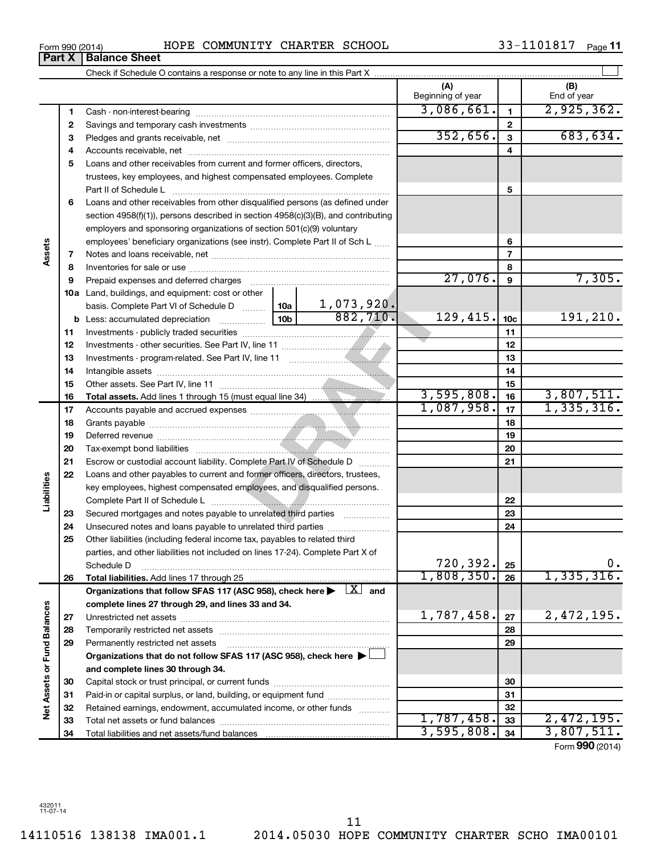**Net Assets or Fund Balances**

**Vet Assets or Fund Balances** 

14110516 138138 IMA001.1 2014.05030 HOPE COMMUNITY CHARTER SCHO IMA00101 11

Form 990 (2014) Page HOPE COMMUNITY CHARTER SCHOOL 33-1101817 **Part X** | **Balance Sheet** 

Check if Schedule O contains a response or note to any line in this Part X

**DRAFT 1 2 3** Pledges and grants receivable, net ~~~~~~~~~~~~~~~~~~~~~ **4** Accounts receivable, net ~~~~~~~~~~~~~~~~~~~~~~~~~~ **5** Loans and other receivables from current and former officers, directors, **6** Loans and other receivables from other disqualified persons (as defined under **7 8 9 10 a** Land, buildings, and equipment: cost or other **11** Investments - publicly traded securities ~~~~~~~~~~~~~~~~~~~ **12** Investments - other securities. See Part IV, line 11 ~~~~~~~~~~~~~~ **13 14 15 16 17 18 19 20 21 22 23 24 25 26 27 28 29 30 31 32 33 34 1 2 3 4 5 6 7 8 9 10c 11 12 13 14 15 16 17 18 19 20 21 22 23 24 25 26 b** Less: accumulated depreciation  $\ldots$  [10b basis. Complete Part VI of Schedule D  $\frac{1}{10}$  10a **Total assets.**  Add lines 1 through 15 (must equal line 34) **Total liabilities.**  Add lines 17 through 25 Organizations that follow SFAS 117 (ASC 958), check here  $\blacktriangleright$   $\boxed{X}$  and **complete lines 27 through 29, and lines 33 and 34. 27 28 29 Organizations that do not follow SFAS 117 (ASC 958), check here** | † **and complete lines 30 through 34. 30 31 32 33 34** Cash - non-interest-bearing ~~~~~~~~~~~~~~~~~~~~~~~~~ Savings and temporary cash investments ~~~~~~~~~~~~~~~~~~ trustees, key employees, and highest compensated employees. Complete Part II of Schedule L ~~~~~~~~~~~~~~~~~~~~~~~~~~~~ section 4958(f)(1)), persons described in section 4958(c)(3)(B), and contributing employers and sponsoring organizations of section 501(c)(9) voluntary employees' beneficiary organizations (see instr). Complete Part II of Sch L ...... Notes and loans receivable, net ~~~~~~~~~~~~~~~~~~~~~~~ Inventories for sale or use ~~~~~~~~~~~~~~~~~~~~~~~~~~ Prepaid expenses and deferred charges ~~~~~~~~~~~~~~~~~~ Investments - program-related. See Part IV, line 11 ~~~~~~~~~~~~~ Intangible assets ~~~~~~~~~~~~~~~~~~~~~~~~~~~~~~ Other assets. See Part IV, line 11 ~~~~~~~~~~~~~~~~~~~~~~ Accounts payable and accrued expenses ~~~~~~~~~~~~~~~~~~ Grants payable ~~~~~~~~~~~~~~~~~~~~~~~~~~~~~~~ Deferred revenue ~~~~~~~~~~~~~~~~~~~~~~~~~~~~~~ Tax-exempt bond liabilities ~~~~~~~~~~~~~~~~~~~~~~~~~ Escrow or custodial account liability. Complete Part IV of Schedule D ........... Loans and other payables to current and former officers, directors, trustees, key employees, highest compensated employees, and disqualified persons. Complete Part II of Schedule L ~~~~~~~~~~~~~~~~~~~~~~~ Secured mortgages and notes payable to unrelated third parties  $\ldots$  ................. Unsecured notes and loans payable to unrelated third parties ~~~~~~~~ Other liabilities (including federal income tax, payables to related third parties, and other liabilities not included on lines 17-24). Complete Part X of Schedule D ~~~~~~~~~~~~~~~~~~~~~~~~~~~~~~~~ Unrestricted net assets ~~~~~~~~~~~~~~~~~~~~~~~~~~~ Temporarily restricted net assets ~~~~~~~~~~~~~~~~~~~~~~ Permanently restricted net assets ~~~~~~~~~~~~~~~~~~~~~ Capital stock or trust principal, or current funds ~~~~~~~~~~~~~~~ Paid-in or capital surplus, or land, building, or equipment fund ....................... Retained earnings, endowment, accumulated income, or other funds ............ Total net assets or fund balances ~~~~~~~~~~~~~~~~~~~~~~ Total liabilities and net assets/fund balances 3,086,661. 2,925,362.  $352,656$ .  $3$  683,634.  $27,076$ ,  $9$   $7,305$ . 1,073,920.  $882,710.$  129, 415.  $|10c|$  191, 210. 3,595,808. 16 3,807,511  $1,087,958.$   $|17|$   $1,335,316.$  $720,392.$  $1,808,350$ .  $26$  1, 335, 316.  $1,787,458$ .  $\boxed{27}$  2,472,195.  $1,787,458.$   $31$   $2,472,195.$  $3,595,808.$   $3,807,511.$ 

Form (2014) **990**

33-1101817 <sub>Page</sub> 11

 $\perp$ 

**(A) (B)**

Beginning of year | | End of year

**Assets**

**Liabilities**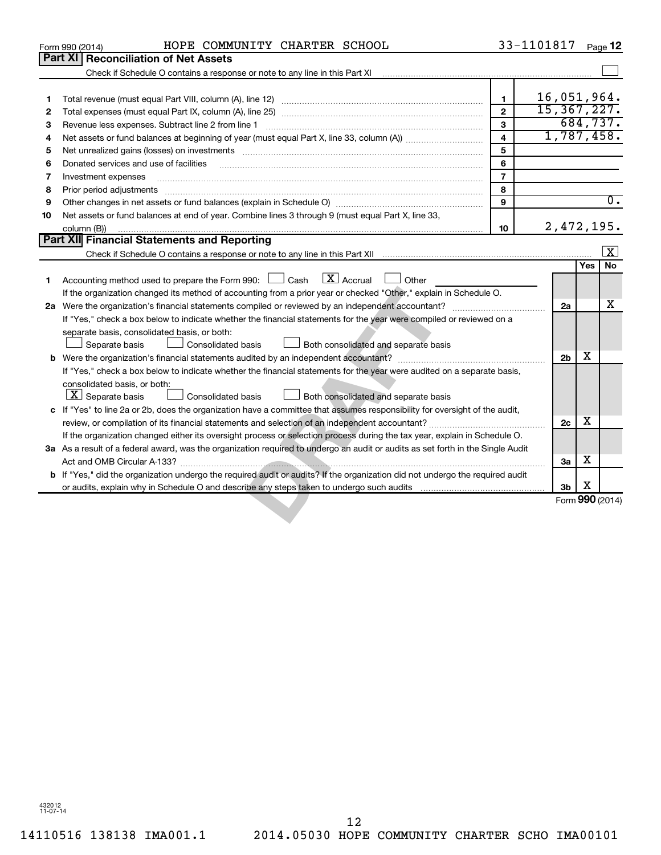|    | HOPE COMMUNITY CHARTER SCHOOL<br>Form 990 (2014)                                                                                |                | 33-1101817     |     | Page 12                 |
|----|---------------------------------------------------------------------------------------------------------------------------------|----------------|----------------|-----|-------------------------|
|    | <b>Part XI Reconciliation of Net Assets</b>                                                                                     |                |                |     |                         |
|    | Check if Schedule O contains a response or note to any line in this Part XI                                                     |                |                |     |                         |
|    |                                                                                                                                 |                |                |     |                         |
| 1  |                                                                                                                                 | $\mathbf{1}$   | 16,051,964.    |     |                         |
| 2  |                                                                                                                                 | $\mathfrak{p}$ | 15, 367, 227.  |     |                         |
| З  | Revenue less expenses. Subtract line 2 from line 1                                                                              | $\overline{3}$ |                |     | 684,737.                |
| 4  |                                                                                                                                 | $\overline{4}$ | 1,787,458.     |     |                         |
| 5  | Net unrealized gains (losses) on investments [111] www.marting.com/marting.com/marting.com/marting.com/marting.                 | 5              |                |     |                         |
| 6  | Donated services and use of facilities                                                                                          | 6              |                |     |                         |
| 7  | Investment expenses                                                                                                             | $\overline{7}$ |                |     |                         |
| 8  | Prior period adjustments www.communication.communication.communication.com/news-managements                                     | 8              |                |     |                         |
| 9  |                                                                                                                                 | $\mathbf{q}$   |                |     | 0.                      |
| 10 | Net assets or fund balances at end of year. Combine lines 3 through 9 (must equal Part X, line 33,                              |                |                |     |                         |
|    | column (B))                                                                                                                     | 10             | 2,472,195.     |     |                         |
|    | Part XII Financial Statements and Reporting                                                                                     |                |                |     |                         |
|    |                                                                                                                                 |                |                |     | $\overline{\mathbf{X}}$ |
|    |                                                                                                                                 |                |                | Yes | No                      |
| 1  | $\mathbf{X}$ Accrual<br>Accounting method used to prepare the Form 990: $\Box$ Cash<br>$\Box$ Other                             |                |                |     |                         |
|    | If the organization changed its method of accounting from a prior year or checked "Other," explain in Schedule O.               |                |                |     |                         |
|    |                                                                                                                                 |                | 2a             |     | х                       |
|    | If "Yes," check a box below to indicate whether the financial statements for the year were compiled or reviewed on a            |                |                |     |                         |
|    | separate basis, consolidated basis, or both:                                                                                    |                |                |     |                         |
|    | Separate basis<br><b>Consolidated basis</b><br>Both consolidated and separate basis                                             |                |                |     |                         |
|    |                                                                                                                                 |                | 2 <sub>b</sub> | х   |                         |
|    | If "Yes," check a box below to indicate whether the financial statements for the year were audited on a separate basis,         |                |                |     |                         |
|    | consolidated basis, or both:                                                                                                    |                |                |     |                         |
|    | $ \mathbf{X} $ Separate basis<br><b>Consolidated basis</b><br>Both consolidated and separate basis                              |                |                |     |                         |
|    | c If "Yes" to line 2a or 2b, does the organization have a committee that assumes responsibility for oversight of the audit,     |                |                |     |                         |
|    |                                                                                                                                 |                | 2c             | х   |                         |
|    | If the organization changed either its oversight process or selection process during the tax year, explain in Schedule O.       |                |                |     |                         |
|    | 3a As a result of a federal award, was the organization required to undergo an audit or audits as set forth in the Single Audit |                |                |     |                         |
|    |                                                                                                                                 |                | За             | х   |                         |
| b  | If "Yes," did the organization undergo the required audit or audits? If the organization did not undergo the required audit     |                |                |     |                         |
|    | or audits, explain why in Schedule O and describe any steps taken to undergo such audits                                        |                | 3b             | X   |                         |
|    |                                                                                                                                 |                |                |     | Form 990 (2014)         |
|    |                                                                                                                                 |                |                |     |                         |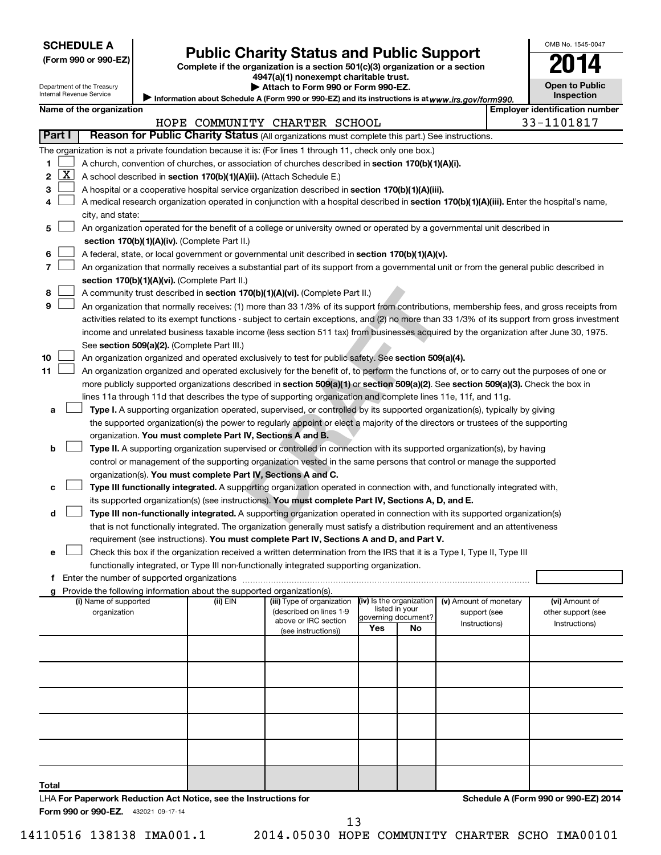Department of the Treasury Internal Revenue Service

| (Form 990 or 990-EZ |  |  |  |  |  |
|---------------------|--|--|--|--|--|
|---------------------|--|--|--|--|--|

# Form 990 or 990-EZ) **Public Charity Status and Public Support**<br>
Complete if the organization is a section 501(c)(3) organization or a section<br> **2014**

**4947(a)(1) nonexempt charitable trust.**

| Attach to Form 990 or Form 990-EZ.                                                        |
|-------------------------------------------------------------------------------------------|
| Information about Schedule A (Form 990 or 990-EZ) and its instructions is at $_{{\rm I}}$ |

| <b>Open to Public</b><br>Inspection |
|-------------------------------------|
| ÷                                   |

*www.irs.gov/form990.*

OMB No. 1545-0047

**|** 

|                                                                                                                              |                                                                                                                                                                                                                                               | Name of the organization                                                                                                                                                                                                       |          |                                                 |                          |                |                               |  | <b>Employer identification number</b> |  |  |  |  |
|------------------------------------------------------------------------------------------------------------------------------|-----------------------------------------------------------------------------------------------------------------------------------------------------------------------------------------------------------------------------------------------|--------------------------------------------------------------------------------------------------------------------------------------------------------------------------------------------------------------------------------|----------|-------------------------------------------------|--------------------------|----------------|-------------------------------|--|---------------------------------------|--|--|--|--|
|                                                                                                                              |                                                                                                                                                                                                                                               |                                                                                                                                                                                                                                |          | HOPE COMMUNITY CHARTER SCHOOL                   |                          |                |                               |  | 33-1101817                            |  |  |  |  |
|                                                                                                                              | Part I<br>Reason for Public Charity Status (All organizations must complete this part.) See instructions.<br>The organization is not a private foundation because it is: (For lines 1 through 11, check only one box.)                        |                                                                                                                                                                                                                                |          |                                                 |                          |                |                               |  |                                       |  |  |  |  |
|                                                                                                                              |                                                                                                                                                                                                                                               |                                                                                                                                                                                                                                |          |                                                 |                          |                |                               |  |                                       |  |  |  |  |
| 1.                                                                                                                           | $\lfloor x \rfloor$                                                                                                                                                                                                                           | A church, convention of churches, or association of churches described in section 170(b)(1)(A)(i).                                                                                                                             |          |                                                 |                          |                |                               |  |                                       |  |  |  |  |
| $\mathbf{2}$                                                                                                                 |                                                                                                                                                                                                                                               | A school described in section 170(b)(1)(A)(ii). (Attach Schedule E.)<br>A hospital or a cooperative hospital service organization described in section 170(b)(1)(A)(iii).                                                      |          |                                                 |                          |                |                               |  |                                       |  |  |  |  |
| 3                                                                                                                            |                                                                                                                                                                                                                                               |                                                                                                                                                                                                                                |          |                                                 |                          |                |                               |  |                                       |  |  |  |  |
| 4                                                                                                                            |                                                                                                                                                                                                                                               | A medical research organization operated in conjunction with a hospital described in section 170(b)(1)(A)(iii). Enter the hospital's name,                                                                                     |          |                                                 |                          |                |                               |  |                                       |  |  |  |  |
|                                                                                                                              |                                                                                                                                                                                                                                               | city, and state:                                                                                                                                                                                                               |          |                                                 |                          |                |                               |  |                                       |  |  |  |  |
| 5                                                                                                                            |                                                                                                                                                                                                                                               | An organization operated for the benefit of a college or university owned or operated by a governmental unit described in                                                                                                      |          |                                                 |                          |                |                               |  |                                       |  |  |  |  |
|                                                                                                                              |                                                                                                                                                                                                                                               | section 170(b)(1)(A)(iv). (Complete Part II.)<br>A federal, state, or local government or governmental unit described in section 170(b)(1)(A)(v).                                                                              |          |                                                 |                          |                |                               |  |                                       |  |  |  |  |
| 6                                                                                                                            |                                                                                                                                                                                                                                               |                                                                                                                                                                                                                                |          |                                                 |                          |                |                               |  |                                       |  |  |  |  |
| 7                                                                                                                            |                                                                                                                                                                                                                                               | An organization that normally receives a substantial part of its support from a governmental unit or from the general public described in                                                                                      |          |                                                 |                          |                |                               |  |                                       |  |  |  |  |
|                                                                                                                              |                                                                                                                                                                                                                                               | section 170(b)(1)(A)(vi). (Complete Part II.)<br>A community trust described in section 170(b)(1)(A)(vi). (Complete Part II.)                                                                                                  |          |                                                 |                          |                |                               |  |                                       |  |  |  |  |
| 8<br>9                                                                                                                       |                                                                                                                                                                                                                                               |                                                                                                                                                                                                                                |          |                                                 |                          |                |                               |  |                                       |  |  |  |  |
|                                                                                                                              |                                                                                                                                                                                                                                               | An organization that normally receives: (1) more than 33 1/3% of its support from contributions, membership fees, and gross receipts from                                                                                      |          |                                                 |                          |                |                               |  |                                       |  |  |  |  |
|                                                                                                                              |                                                                                                                                                                                                                                               | activities related to its exempt functions - subject to certain exceptions, and (2) no more than 33 1/3% of its support from gross investment                                                                                  |          |                                                 |                          |                |                               |  |                                       |  |  |  |  |
|                                                                                                                              |                                                                                                                                                                                                                                               | income and unrelated business taxable income (less section 511 tax) from businesses acquired by the organization after June 30, 1975.<br>See section 509(a)(2). (Complete Part III.)                                           |          |                                                 |                          |                |                               |  |                                       |  |  |  |  |
| 10                                                                                                                           |                                                                                                                                                                                                                                               | An organization organized and operated exclusively to test for public safety. See section 509(a)(4).                                                                                                                           |          |                                                 |                          |                |                               |  |                                       |  |  |  |  |
| 11                                                                                                                           |                                                                                                                                                                                                                                               | An organization organized and operated exclusively for the benefit of, to perform the functions of, or to carry out the purposes of one or                                                                                     |          |                                                 |                          |                |                               |  |                                       |  |  |  |  |
|                                                                                                                              |                                                                                                                                                                                                                                               | more publicly supported organizations described in section 509(a)(1) or section 509(a)(2). See section 509(a)(3). Check the box in                                                                                             |          |                                                 |                          |                |                               |  |                                       |  |  |  |  |
|                                                                                                                              |                                                                                                                                                                                                                                               |                                                                                                                                                                                                                                |          |                                                 |                          |                |                               |  |                                       |  |  |  |  |
| а                                                                                                                            | lines 11a through 11d that describes the type of supporting organization and complete lines 11e, 11f, and 11g.<br>Type I. A supporting organization operated, supervised, or controlled by its supported organization(s), typically by giving |                                                                                                                                                                                                                                |          |                                                 |                          |                |                               |  |                                       |  |  |  |  |
|                                                                                                                              | the supported organization(s) the power to regularly appoint or elect a majority of the directors or trustees of the supporting                                                                                                               |                                                                                                                                                                                                                                |          |                                                 |                          |                |                               |  |                                       |  |  |  |  |
| organization. You must complete Part IV, Sections A and B.                                                                   |                                                                                                                                                                                                                                               |                                                                                                                                                                                                                                |          |                                                 |                          |                |                               |  |                                       |  |  |  |  |
| Type II. A supporting organization supervised or controlled in connection with its supported organization(s), by having<br>b |                                                                                                                                                                                                                                               |                                                                                                                                                                                                                                |          |                                                 |                          |                |                               |  |                                       |  |  |  |  |
|                                                                                                                              | control or management of the supporting organization vested in the same persons that control or manage the supported                                                                                                                          |                                                                                                                                                                                                                                |          |                                                 |                          |                |                               |  |                                       |  |  |  |  |
|                                                                                                                              | organization(s). You must complete Part IV, Sections A and C.                                                                                                                                                                                 |                                                                                                                                                                                                                                |          |                                                 |                          |                |                               |  |                                       |  |  |  |  |
| с                                                                                                                            | Type III functionally integrated. A supporting organization operated in connection with, and functionally integrated with,                                                                                                                    |                                                                                                                                                                                                                                |          |                                                 |                          |                |                               |  |                                       |  |  |  |  |
|                                                                                                                              |                                                                                                                                                                                                                                               | its supported organization(s) (see instructions). You must complete Part IV, Sections A, D, and E.                                                                                                                             |          |                                                 |                          |                |                               |  |                                       |  |  |  |  |
| d                                                                                                                            |                                                                                                                                                                                                                                               | Type III non-functionally integrated. A supporting organization operated in connection with its supported organization(s)                                                                                                      |          |                                                 |                          |                |                               |  |                                       |  |  |  |  |
|                                                                                                                              |                                                                                                                                                                                                                                               | that is not functionally integrated. The organization generally must satisfy a distribution requirement and an attentiveness                                                                                                   |          |                                                 |                          |                |                               |  |                                       |  |  |  |  |
|                                                                                                                              |                                                                                                                                                                                                                                               | requirement (see instructions). You must complete Part IV, Sections A and D, and Part V.                                                                                                                                       |          |                                                 |                          |                |                               |  |                                       |  |  |  |  |
| е                                                                                                                            |                                                                                                                                                                                                                                               | Check this box if the organization received a written determination from the IRS that it is a Type I, Type II, Type III                                                                                                        |          |                                                 |                          |                |                               |  |                                       |  |  |  |  |
|                                                                                                                              |                                                                                                                                                                                                                                               | functionally integrated, or Type III non-functionally integrated supporting organization.                                                                                                                                      |          |                                                 |                          |                |                               |  |                                       |  |  |  |  |
|                                                                                                                              |                                                                                                                                                                                                                                               | f Enter the number of supported organizations [11] manufactures in the number of supported organizations [11] manufactures in the number of supported organizations [11] manufactures in the number of supported organizations |          |                                                 |                          |                |                               |  |                                       |  |  |  |  |
|                                                                                                                              |                                                                                                                                                                                                                                               | g Provide the following information about the supported organization(s).                                                                                                                                                       |          |                                                 |                          |                |                               |  |                                       |  |  |  |  |
|                                                                                                                              |                                                                                                                                                                                                                                               | (i) Name of supported                                                                                                                                                                                                          | (ii) EIN | (iii) Type of organization                      | (iv) Is the organization | listed in your | (v) Amount of monetary        |  | (vi) Amount of                        |  |  |  |  |
|                                                                                                                              |                                                                                                                                                                                                                                               | organization                                                                                                                                                                                                                   |          | (described on lines 1-9<br>above or IRC section | governing document?      |                | support (see<br>Instructions) |  | other support (see<br>Instructions)   |  |  |  |  |
|                                                                                                                              |                                                                                                                                                                                                                                               |                                                                                                                                                                                                                                |          | (see instructions))                             | Yes                      | No             |                               |  |                                       |  |  |  |  |
|                                                                                                                              |                                                                                                                                                                                                                                               |                                                                                                                                                                                                                                |          |                                                 |                          |                |                               |  |                                       |  |  |  |  |
|                                                                                                                              |                                                                                                                                                                                                                                               |                                                                                                                                                                                                                                |          |                                                 |                          |                |                               |  |                                       |  |  |  |  |
|                                                                                                                              |                                                                                                                                                                                                                                               |                                                                                                                                                                                                                                |          |                                                 |                          |                |                               |  |                                       |  |  |  |  |
|                                                                                                                              |                                                                                                                                                                                                                                               |                                                                                                                                                                                                                                |          |                                                 |                          |                |                               |  |                                       |  |  |  |  |
|                                                                                                                              |                                                                                                                                                                                                                                               |                                                                                                                                                                                                                                |          |                                                 |                          |                |                               |  |                                       |  |  |  |  |
|                                                                                                                              |                                                                                                                                                                                                                                               |                                                                                                                                                                                                                                |          |                                                 |                          |                |                               |  |                                       |  |  |  |  |
|                                                                                                                              |                                                                                                                                                                                                                                               |                                                                                                                                                                                                                                |          |                                                 |                          |                |                               |  |                                       |  |  |  |  |
|                                                                                                                              |                                                                                                                                                                                                                                               |                                                                                                                                                                                                                                |          |                                                 |                          |                |                               |  |                                       |  |  |  |  |
|                                                                                                                              |                                                                                                                                                                                                                                               |                                                                                                                                                                                                                                |          |                                                 |                          |                |                               |  |                                       |  |  |  |  |
|                                                                                                                              |                                                                                                                                                                                                                                               |                                                                                                                                                                                                                                |          |                                                 |                          |                |                               |  |                                       |  |  |  |  |
|                                                                                                                              |                                                                                                                                                                                                                                               |                                                                                                                                                                                                                                |          |                                                 |                          |                |                               |  |                                       |  |  |  |  |
| Total                                                                                                                        |                                                                                                                                                                                                                                               |                                                                                                                                                                                                                                |          |                                                 |                          |                |                               |  |                                       |  |  |  |  |
|                                                                                                                              |                                                                                                                                                                                                                                               | LHA For Paperwork Reduction Act Notice, see the Instructions for                                                                                                                                                               |          |                                                 |                          |                |                               |  | Schedule A (Form 990 or 990-EZ) 2014  |  |  |  |  |

Form 990 or 990-EZ. 432021 09-17-14

13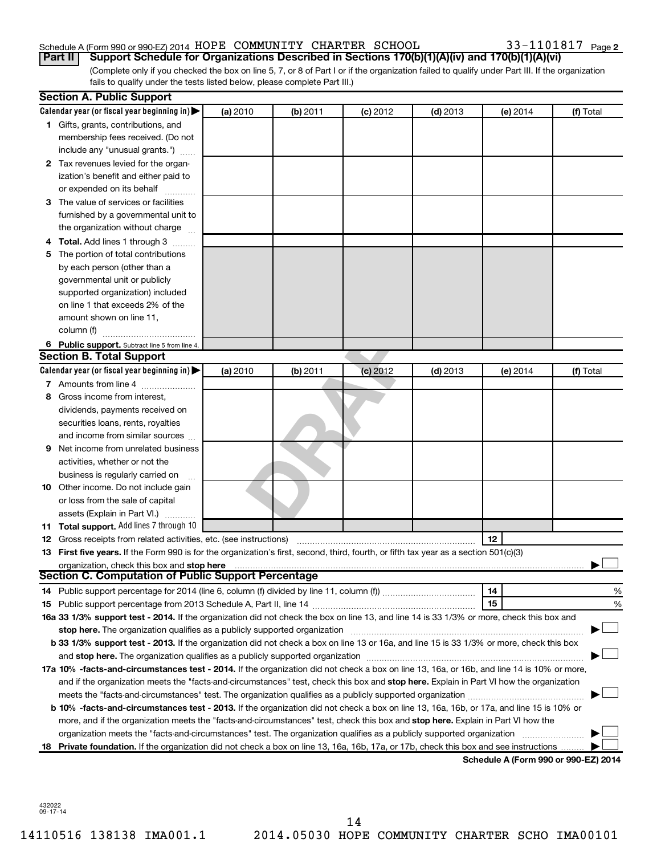# Schedule A (Form 990 or 990-EZ) 2014  $\,$  HOPE  $\,$  COMMUNITY  $\,$  CHARTER  $\,$  SCHOOL  $\,$   $\,$   $\,$  33-1101817  $\,$   $_{\rm{Page}}$

33-1101817 Page 2

(Complete only if you checked the box on line 5, 7, or 8 of Part I or if the organization failed to qualify under Part III. If the organization fails to qualify under the tests listed below, please complete Part III.) **Part II Support Schedule for Organizations Described in Sections 170(b)(1)(A)(iv) and 170(b)(1)(A)(vi)**

|    | <b>Section A. Public Support</b>                                                                                                                                                                                               |          |          |            |            |                                      |           |
|----|--------------------------------------------------------------------------------------------------------------------------------------------------------------------------------------------------------------------------------|----------|----------|------------|------------|--------------------------------------|-----------|
|    | Calendar year (or fiscal year beginning in) $\blacktriangleright$                                                                                                                                                              | (a) 2010 | (b) 2011 | $(c)$ 2012 | $(d)$ 2013 | (e) 2014                             | (f) Total |
|    | 1 Gifts, grants, contributions, and                                                                                                                                                                                            |          |          |            |            |                                      |           |
|    | membership fees received. (Do not                                                                                                                                                                                              |          |          |            |            |                                      |           |
|    | include any "unusual grants.")                                                                                                                                                                                                 |          |          |            |            |                                      |           |
|    | 2 Tax revenues levied for the organ-                                                                                                                                                                                           |          |          |            |            |                                      |           |
|    | ization's benefit and either paid to                                                                                                                                                                                           |          |          |            |            |                                      |           |
|    | or expended on its behalf                                                                                                                                                                                                      |          |          |            |            |                                      |           |
| з  | The value of services or facilities                                                                                                                                                                                            |          |          |            |            |                                      |           |
|    | furnished by a governmental unit to                                                                                                                                                                                            |          |          |            |            |                                      |           |
|    | the organization without charge                                                                                                                                                                                                |          |          |            |            |                                      |           |
|    | <b>Total.</b> Add lines 1 through 3                                                                                                                                                                                            |          |          |            |            |                                      |           |
| 5  | The portion of total contributions                                                                                                                                                                                             |          |          |            |            |                                      |           |
|    | by each person (other than a                                                                                                                                                                                                   |          |          |            |            |                                      |           |
|    | governmental unit or publicly                                                                                                                                                                                                  |          |          |            |            |                                      |           |
|    | supported organization) included                                                                                                                                                                                               |          |          |            |            |                                      |           |
|    | on line 1 that exceeds 2% of the                                                                                                                                                                                               |          |          |            |            |                                      |           |
|    | amount shown on line 11,                                                                                                                                                                                                       |          |          |            |            |                                      |           |
|    | column (f)                                                                                                                                                                                                                     |          |          |            |            |                                      |           |
|    | 6 Public support. Subtract line 5 from line 4.                                                                                                                                                                                 |          |          |            |            |                                      |           |
|    | <b>Section B. Total Support</b>                                                                                                                                                                                                |          |          |            |            |                                      |           |
|    | Calendar year (or fiscal year beginning in)                                                                                                                                                                                    | (a) 2010 | (b) 2011 | (c) 2012   | $(d)$ 2013 | (e) 2014                             | (f) Total |
|    | 7 Amounts from line 4                                                                                                                                                                                                          |          |          |            |            |                                      |           |
| 8  | Gross income from interest,                                                                                                                                                                                                    |          |          |            |            |                                      |           |
|    | dividends, payments received on                                                                                                                                                                                                |          |          |            |            |                                      |           |
|    | securities loans, rents, royalties                                                                                                                                                                                             |          |          |            |            |                                      |           |
|    | and income from similar sources                                                                                                                                                                                                |          |          |            |            |                                      |           |
| 9  | Net income from unrelated business                                                                                                                                                                                             |          |          |            |            |                                      |           |
|    | activities, whether or not the                                                                                                                                                                                                 |          |          |            |            |                                      |           |
|    | business is regularly carried on                                                                                                                                                                                               |          |          |            |            |                                      |           |
| 10 | Other income. Do not include gain                                                                                                                                                                                              |          |          |            |            |                                      |           |
|    | or loss from the sale of capital                                                                                                                                                                                               |          |          |            |            |                                      |           |
|    | assets (Explain in Part VI.)                                                                                                                                                                                                   |          |          |            |            |                                      |           |
|    | <b>11 Total support.</b> Add lines 7 through 10                                                                                                                                                                                |          |          |            |            |                                      |           |
| 12 | Gross receipts from related activities, etc. (see instructions)                                                                                                                                                                |          |          |            |            | 12                                   |           |
| 13 | First five years. If the Form 990 is for the organization's first, second, third, fourth, or fifth tax year as a section 501(c)(3)                                                                                             |          |          |            |            |                                      |           |
|    | organization, check this box and stop here<br><b>Section C. Computation of Public Support Percentage</b>                                                                                                                       |          |          |            |            |                                      |           |
|    |                                                                                                                                                                                                                                |          |          |            |            | 14                                   |           |
|    |                                                                                                                                                                                                                                |          |          |            |            | 15                                   | %<br>%    |
|    | 16a 33 1/3% support test - 2014. If the organization did not check the box on line 13, and line 14 is 33 1/3% or more, check this box and                                                                                      |          |          |            |            |                                      |           |
|    | stop here. The organization qualifies as a publicly supported organization manufactured content and the support of the state of the state of the state of the state of the state of the state of the state of the state of the |          |          |            |            |                                      |           |
|    | b 33 1/3% support test - 2013. If the organization did not check a box on line 13 or 16a, and line 15 is 33 1/3% or more, check this box                                                                                       |          |          |            |            |                                      |           |
|    |                                                                                                                                                                                                                                |          |          |            |            |                                      |           |
|    | 17a 10% -facts-and-circumstances test - 2014. If the organization did not check a box on line 13, 16a, or 16b, and line 14 is 10% or more,                                                                                     |          |          |            |            |                                      |           |
|    | and if the organization meets the "facts-and-circumstances" test, check this box and stop here. Explain in Part VI how the organization                                                                                        |          |          |            |            |                                      |           |
|    |                                                                                                                                                                                                                                |          |          |            |            |                                      |           |
|    | b 10% -facts-and-circumstances test - 2013. If the organization did not check a box on line 13, 16a, 16b, or 17a, and line 15 is 10% or                                                                                        |          |          |            |            |                                      |           |
|    | more, and if the organization meets the "facts-and-circumstances" test, check this box and stop here. Explain in Part VI how the                                                                                               |          |          |            |            |                                      |           |
|    | organization meets the "facts-and-circumstances" test. The organization qualifies as a publicly supported organization                                                                                                         |          |          |            |            |                                      |           |
| 18 | Private foundation. If the organization did not check a box on line 13, 16a, 16b, 17a, or 17b, check this box and see instructions                                                                                             |          |          |            |            |                                      |           |
|    |                                                                                                                                                                                                                                |          |          |            |            | Schedule A (Form 990 or 990-EZ) 2014 |           |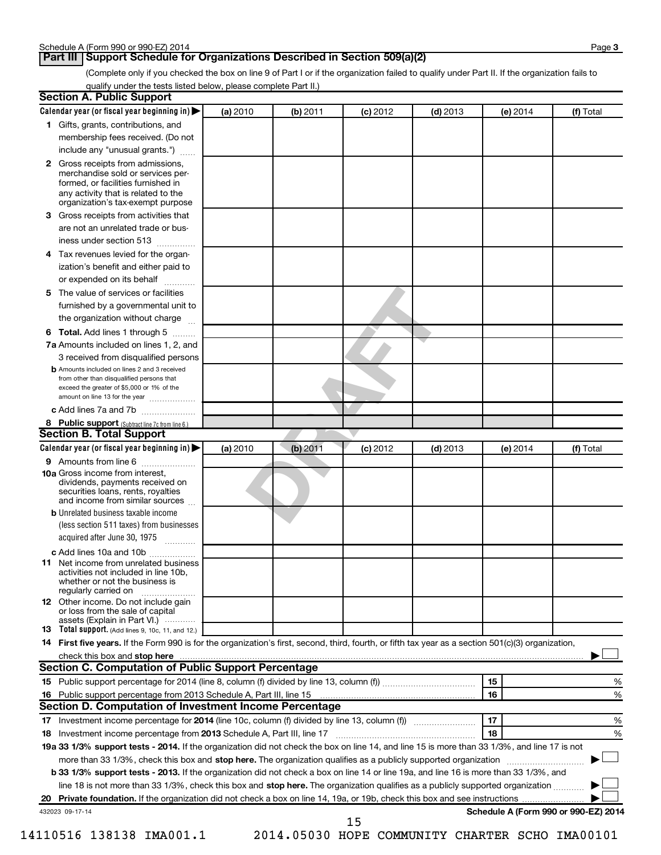# **Part III Support Schedule for Organizations Described in Section 509(a)(2)**

(Complete only if you checked the box on line 9 of Part I or if the organization failed to qualify under Part II. If the organization fails to qualify under the tests listed below, please complete Part II.)

| <b>Section A. Public Support</b>                                                                                                                                                                                                    |          |          |            |            |          |                                      |
|-------------------------------------------------------------------------------------------------------------------------------------------------------------------------------------------------------------------------------------|----------|----------|------------|------------|----------|--------------------------------------|
| Calendar year (or fiscal year beginning in)                                                                                                                                                                                         | (a) 2010 | (b) 2011 | $(c)$ 2012 | $(d)$ 2013 | (e) 2014 | (f) Total                            |
| 1 Gifts, grants, contributions, and                                                                                                                                                                                                 |          |          |            |            |          |                                      |
| membership fees received. (Do not                                                                                                                                                                                                   |          |          |            |            |          |                                      |
| include any "unusual grants.")                                                                                                                                                                                                      |          |          |            |            |          |                                      |
| 2 Gross receipts from admissions,<br>merchandise sold or services per-<br>formed, or facilities furnished in<br>any activity that is related to the<br>organization's tax-exempt purpose                                            |          |          |            |            |          |                                      |
| 3 Gross receipts from activities that                                                                                                                                                                                               |          |          |            |            |          |                                      |
| are not an unrelated trade or bus-                                                                                                                                                                                                  |          |          |            |            |          |                                      |
| iness under section 513                                                                                                                                                                                                             |          |          |            |            |          |                                      |
| 4 Tax revenues levied for the organ-                                                                                                                                                                                                |          |          |            |            |          |                                      |
| ization's benefit and either paid to<br>or expended on its behalf                                                                                                                                                                   |          |          |            |            |          |                                      |
| 5 The value of services or facilities                                                                                                                                                                                               |          |          |            |            |          |                                      |
| furnished by a governmental unit to                                                                                                                                                                                                 |          |          |            |            |          |                                      |
| the organization without charge                                                                                                                                                                                                     |          |          |            |            |          |                                      |
| 6 Total. Add lines 1 through 5                                                                                                                                                                                                      |          |          |            |            |          |                                      |
| 7a Amounts included on lines 1, 2, and                                                                                                                                                                                              |          |          |            |            |          |                                      |
| 3 received from disqualified persons                                                                                                                                                                                                |          |          |            |            |          |                                      |
| <b>b</b> Amounts included on lines 2 and 3 received<br>from other than disqualified persons that<br>exceed the greater of \$5,000 or 1% of the<br>amount on line 13 for the year                                                    |          |          |            |            |          |                                      |
| c Add lines 7a and 7b                                                                                                                                                                                                               |          |          |            |            |          |                                      |
| 8 Public support (Subtract line 7c from line 6.)                                                                                                                                                                                    |          |          |            |            |          |                                      |
| <b>Section B. Total Support</b>                                                                                                                                                                                                     |          |          |            |            |          |                                      |
| Calendar year (or fiscal year beginning in) $\blacktriangleright$                                                                                                                                                                   | (a) 2010 | (b) 2011 | $(c)$ 2012 | $(d)$ 2013 | (e) 2014 | (f) Total                            |
| 9 Amounts from line 6                                                                                                                                                                                                               |          |          |            |            |          |                                      |
| <b>10a</b> Gross income from interest,<br>dividends, payments received on<br>securities loans, rents, royalties<br>and income from similar sources                                                                                  |          |          |            |            |          |                                      |
| <b>b</b> Unrelated business taxable income<br>(less section 511 taxes) from businesses<br>acquired after June 30, 1975                                                                                                              |          |          |            |            |          |                                      |
| c Add lines 10a and 10b                                                                                                                                                                                                             |          |          |            |            |          |                                      |
| <b>11</b> Net income from unrelated business<br>activities not included in line 10b.<br>whether or not the business is<br>regularly carried on                                                                                      |          |          |            |            |          |                                      |
| 12 Other income. Do not include gain<br>or loss from the sale of capital<br>assets (Explain in Part VI.)                                                                                                                            |          |          |            |            |          |                                      |
| <b>13</b> Total support. (Add lines 9, 10c, 11, and 12.)                                                                                                                                                                            |          |          |            |            |          |                                      |
| 14 First five years. If the Form 990 is for the organization's first, second, third, fourth, or fifth tax year as a section 501(c)(3) organization,                                                                                 |          |          |            |            |          |                                      |
| check this box and stop here <i>macuum content content and accordinate to the state and stop here</i> macuum content and stop here and stop the state of the state of the state of the state of the state of the state of the state |          |          |            |            |          |                                      |
| <b>Section C. Computation of Public Support Percentage</b>                                                                                                                                                                          |          |          |            |            |          |                                      |
|                                                                                                                                                                                                                                     |          |          |            |            | 15       | ℅                                    |
|                                                                                                                                                                                                                                     |          |          |            |            | 16       | %                                    |
| Section D. Computation of Investment Income Percentage                                                                                                                                                                              |          |          |            |            |          |                                      |
|                                                                                                                                                                                                                                     |          |          |            |            | 17       | %                                    |
| 18 Investment income percentage from 2013 Schedule A, Part III, line 17                                                                                                                                                             |          |          |            |            | 18       | %                                    |
| 19a 33 1/3% support tests - 2014. If the organization did not check the box on line 14, and line 15 is more than 33 1/3%, and line 17 is not                                                                                        |          |          |            |            |          |                                      |
| more than 33 1/3%, check this box and stop here. The organization qualifies as a publicly supported organization                                                                                                                    |          |          |            |            |          |                                      |
| b 33 1/3% support tests - 2013. If the organization did not check a box on line 14 or line 19a, and line 16 is more than 33 1/3%, and                                                                                               |          |          |            |            |          |                                      |
| line 18 is not more than 33 1/3%, check this box and stop here. The organization qualifies as a publicly supported organization                                                                                                     |          |          |            |            |          |                                      |
|                                                                                                                                                                                                                                     |          |          |            |            |          | Schedule A (Form 990 or 990-EZ) 2014 |
| 432023 09-17-14                                                                                                                                                                                                                     |          |          | 15         |            |          |                                      |

14110516 138138 IMA001.1 2014.05030 HOPE COMMUNITY CHARTER SCHO IMA00101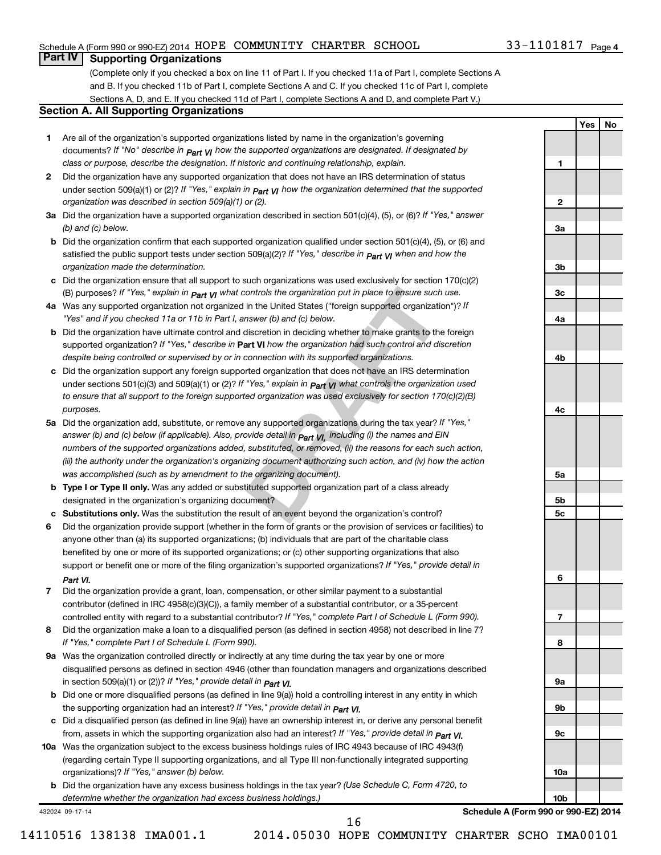## Schedule A (Form 990 or 990-EZ) 2014  $\,$  HOPE  $\,$  COMMUNITY  $\,$  CHARTER  $\,$  SCHOOL  $\,$   $\,$   $\,$  33-1101817  $\,$   $_{\rm{Page}}$

# 33-1101817 <sub>Page 4</sub>

**Yes No**

# **Part IV Supporting Organizations**

(Complete only if you checked a box on line 11 of Part I. If you checked 11a of Part I, complete Sections A and B. If you checked 11b of Part I, complete Sections A and C. If you checked 11c of Part I, complete Sections A, D, and E. If you checked 11d of Part I, complete Sections A and D, and complete Part V.)

#### **Section A. All Supporting Organizations**

- **1** Are all of the organization's supported organizations listed by name in the organization's governing documents? If "No" describe in  $_{\mathsf{Part}}$   $_{\mathsf{V}}$  how the supported organizations are designated. If designated by *class or purpose, describe the designation. If historic and continuing relationship, explain.*
- **2** Did the organization have any supported organization that does not have an IRS determination of status under section 509(a)(1) or (2)? If "Yes," explain in  $_{\sf Part}$   $_{\sf VI}$  how the organization determined that the supported *organization was described in section 509(a)(1) or (2).*
- **3a** Did the organization have a supported organization described in section 501(c)(4), (5), or (6)? If "Yes," answer *(b) and (c) below.*
- **b** Did the organization confirm that each supported organization qualified under section 501(c)(4), (5), or (6) and satisfied the public support tests under section 509(a)(2)? If "Yes," describe in  $_{\rm Part}$   $_{\rm VI}$  when and how the *organization made the determination.*
- **c** Did the organization ensure that all support to such organizations was used exclusively for section 170(c)(2) (B) purposes? If "Yes," explain in  $_{\mathsf{Part}}$   $_{\mathsf{V}}$  what controls the organization put in place to ensure such use.
- **4 a** *If* Was any supported organization not organized in the United States ("foreign supported organization")? *"Yes" and if you checked 11a or 11b in Part I, answer (b) and (c) below.*
- **b** Did the organization have ultimate control and discretion in deciding whether to make grants to the foreign supported organization? If "Yes," describe in Part VI how the organization had such control and discretion *despite being controlled or supervised by or in connection with its supported organizations.*
- **c** Did the organization support any foreign supported organization that does not have an IRS determination under sections 501(c)(3) and 509(a)(1) or (2)? If "Yes," ex*plain in*  $_{\sf Part}$  *v*I what controls the organization used *to ensure that all support to the foreign supported organization was used exclusively for section 170(c)(2)(B) purposes.*
- ontrols the organization put in place to ensure such use.<br>
in the United States ("foreign supported organization")? If<br>
first the United States ("foreign supported organization")? If<br>
first the foreign<br>
discretion in decid **5a** Did the organization add, substitute, or remove any supported organizations during the tax year? If "Yes," answer (b) and (c) below (if applicable). Also, provide detail in  $_{\mathsf{Part}}$   $_{\mathsf{VI},\,}$  including (i) the names and EIN *numbers of the supported organizations added, substituted, or removed, (ii) the reasons for each such action, (iii) the authority under the organization's organizing document authorizing such action, and (iv) how the action was accomplished (such as by amendment to the organizing document).*
- **b** Type I or Type II only. Was any added or substituted supported organization part of a class already designated in the organization's organizing document?
- **c Substitutions only.**  Was the substitution the result of an event beyond the organization's control?
- **6** Did the organization provide support (whether in the form of grants or the provision of services or facilities) to support or benefit one or more of the filing organization's supported organizations? If "Yes," provide detail in anyone other than (a) its supported organizations; (b) individuals that are part of the charitable class benefited by one or more of its supported organizations; or (c) other supporting organizations that also *Part VI.*
- **7** Did the organization provide a grant, loan, compensation, or other similar payment to a substantial controlled entity with regard to a substantial contributor? If "Yes," complete Part I of Schedule L (Form 990). contributor (defined in IRC 4958(c)(3)(C)), a family member of a substantial contributor, or a 35-percent
- **8** Did the organization make a loan to a disqualified person (as defined in section 4958) not described in line 7? *If "Yes," complete Part I of Schedule L (Form 990).*
- **9 a** Was the organization controlled directly or indirectly at any time during the tax year by one or more *If "Yes," provide detail in*  in section 509(a)(1) or (2))? *Part VI.* disqualified persons as defined in section 4946 (other than foundation managers and organizations described
- **b** Did one or more disqualified persons (as defined in line 9(a)) hold a controlling interest in any entity in which  *If "Yes," provide detail in*  the supporting organization had an interest? *Part VI.*
- **c** Did a disqualified person (as defined in line 9(a)) have an ownership interest in, or derive any personal benefit from, assets in which the supporting organization also had an interest? If "Yes," *provide detail in Part VI.*
- **10 a** Was the organization subject to the excess business holdings rules of IRC 4943 because of IRC 4943(f)  *If "Yes," answer (b) below.* organizations)? (regarding certain Type II supporting organizations, and all Type III non-functionally integrated supporting
	- **b** Did the organization have any excess business holdings in the tax year? (Use Schedule C, Form 4720, to *determine whether the organization had excess business holdings.)*

432024 09-17-14

**Schedule A (Form 990 or 990-EZ) 2014**

16

**1 2 3a 3b 3c 4a 4b 4c 5a 5b 5c 6 7 8 9a 9b 9c 10a 10b**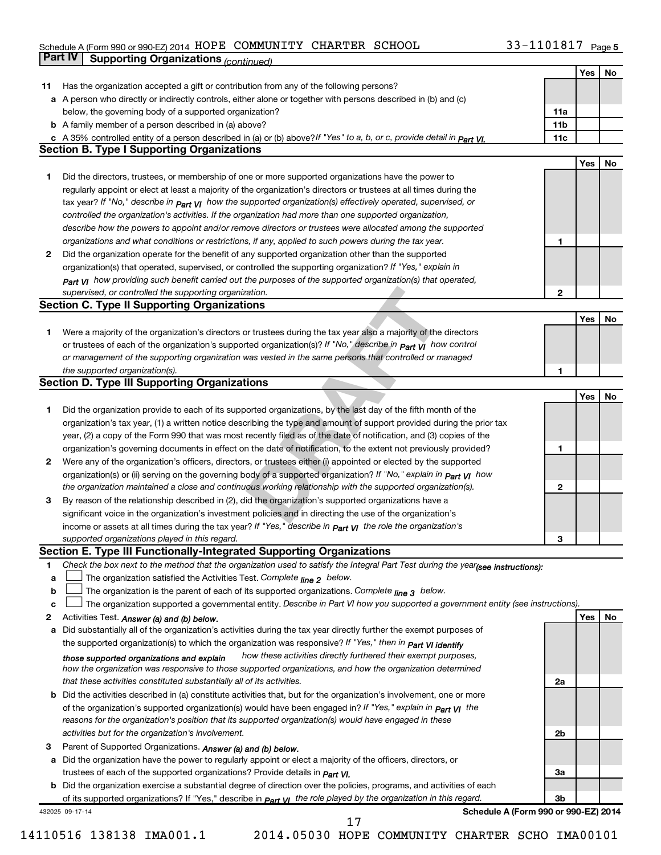#### Schedule A (Form 990 or 990-EZ) 2014 HOPE COMMUNITY CHARTER SCHOOL  $33-1101817$  Page HOPE COMMUNITY CHARTER SCHOOL 33-1101817

|    | Part IV<br><b>Supporting Organizations (continued)</b>                                                                           |                 |            |    |
|----|----------------------------------------------------------------------------------------------------------------------------------|-----------------|------------|----|
|    |                                                                                                                                  |                 | Yes        | No |
| 11 | Has the organization accepted a gift or contribution from any of the following persons?                                          |                 |            |    |
|    | a A person who directly or indirectly controls, either alone or together with persons described in (b) and (c)                   |                 |            |    |
|    | below, the governing body of a supported organization?                                                                           | 11a             |            |    |
|    | <b>b</b> A family member of a person described in (a) above?                                                                     | 11 <sub>b</sub> |            |    |
|    | c A 35% controlled entity of a person described in (a) or (b) above?If "Yes" to a, b, or c, provide detail in Part VI.           | 11c             |            |    |
|    | <b>Section B. Type I Supporting Organizations</b>                                                                                |                 |            |    |
|    |                                                                                                                                  |                 | Yes        | No |
| 1  | Did the directors, trustees, or membership of one or more supported organizations have the power to                              |                 |            |    |
|    | regularly appoint or elect at least a majority of the organization's directors or trustees at all times during the               |                 |            |    |
|    |                                                                                                                                  |                 |            |    |
|    | tax year? If "No," describe in $P_{art}$ $V_I$ how the supported organization(s) effectively operated, supervised, or            |                 |            |    |
|    | controlled the organization's activities. If the organization had more than one supported organization,                          |                 |            |    |
|    | describe how the powers to appoint and/or remove directors or trustees were allocated among the supported                        |                 |            |    |
|    | organizations and what conditions or restrictions, if any, applied to such powers during the tax year.                           | 1               |            |    |
| 2  | Did the organization operate for the benefit of any supported organization other than the supported                              |                 |            |    |
|    | organization(s) that operated, supervised, or controlled the supporting organization? If "Yes," explain in                       |                 |            |    |
|    | $_{Part}$ v <sub>I</sub> how providing such benefit carried out the purposes of the supported organization(s) that operated,     |                 |            |    |
|    | supervised, or controlled the supporting organization.                                                                           | $\mathbf{2}$    |            |    |
|    | <b>Section C. Type II Supporting Organizations</b>                                                                               |                 |            |    |
|    |                                                                                                                                  |                 | Yes        | No |
| 1. | Were a majority of the organization's directors or trustees during the tax year also a majority of the directors                 |                 |            |    |
|    | or trustees of each of the organization's supported organization(s)? If "No," describe in $P_{\text{art }VI}$ how control        |                 |            |    |
|    | or management of the supporting organization was vested in the same persons that controlled or managed                           |                 |            |    |
|    | the supported organization(s).                                                                                                   | 1               |            |    |
|    | <b>Section D. Type III Supporting Organizations</b>                                                                              |                 |            |    |
|    |                                                                                                                                  |                 | Yes        | No |
| 1  | Did the organization provide to each of its supported organizations, by the last day of the fifth month of the                   |                 |            |    |
|    | organization's tax year, (1) a written notice describing the type and amount of support provided during the prior tax            |                 |            |    |
|    | year, (2) a copy of the Form 990 that was most recently filed as of the date of notification, and (3) copies of the              |                 |            |    |
|    | organization's governing documents in effect on the date of notification, to the extent not previously provided?                 | 1               |            |    |
| 2  | Were any of the organization's officers, directors, or trustees either (i) appointed or elected by the supported                 |                 |            |    |
|    | organization(s) or (ii) serving on the governing body of a supported organization? If "No," explain in part VI how               |                 |            |    |
|    | the organization maintained a close and continuous working relationship with the supported organization(s).                      | 2               |            |    |
| 3  | By reason of the relationship described in (2), did the organization's supported organizations have a                            |                 |            |    |
|    | significant voice in the organization's investment policies and in directing the use of the organization's                       |                 |            |    |
|    | income or assets at all times during the tax year? If "Yes," describe in $P_{\text{art } V1}$ the role the organization's        |                 |            |    |
|    | supported organizations played in this regard.                                                                                   | з               |            |    |
|    | Section E. Type III Functionally-Integrated Supporting Organizations                                                             |                 |            |    |
| 1  | Check the box next to the method that the organization used to satisfy the Integral Part Test during the year(see instructions): |                 |            |    |
| а  | The organization satisfied the Activities Test. Complete line 2 below.                                                           |                 |            |    |
| b  | The organization is the parent of each of its supported organizations. Complete line 3 below.                                    |                 |            |    |
| c  | The organization supported a governmental entity. Describe in Part VI how you supported a government entity (see instructions).  |                 |            |    |
| 2  | Activities Test. Answer (a) and (b) below.                                                                                       |                 | <b>Yes</b> | No |
| а  | Did substantially all of the organization's activities during the tax year directly further the exempt purposes of               |                 |            |    |
|    | the supported organization(s) to which the organization was responsive? If "Yes," then in Part VI identify                       |                 |            |    |
|    | how these activities directly furthered their exempt purposes,<br>those supported organizations and explain                      |                 |            |    |
|    | how the organization was responsive to those supported organizations, and how the organization determined                        |                 |            |    |
|    | that these activities constituted substantially all of its activities.                                                           | 2a              |            |    |
|    | <b>b</b> Did the activities described in (a) constitute activities that, but for the organization's involvement, one or more     |                 |            |    |
|    | of the organization's supported organization(s) would have been engaged in? If "Yes," explain in <b>Part VI</b> the              |                 |            |    |
|    | reasons for the organization's position that its supported organization(s) would have engaged in these                           |                 |            |    |
|    | activities but for the organization's involvement.                                                                               | 2b              |            |    |
| 3  | Parent of Supported Organizations. Answer (a) and (b) below.                                                                     |                 |            |    |
|    | Did the organization have the power to regularly appoint or elect a majority of the officers, directors, or                      |                 |            |    |
| а  | trustees of each of the supported organizations? Provide details in <i>Part VI.</i>                                              | За              |            |    |
|    | <b>b</b> Did the organization exercise a substantial degree of direction over the policies, programs, and activities of each     |                 |            |    |
|    | of its supported organizations? If "Yes," describe in part v <sub>1</sub> the role played by the organization in this regard.    | Зb              |            |    |
|    | Schedule A (Form 990 or 990-EZ) 2014<br>432025 09-17-14                                                                          |                 |            |    |
|    | 17                                                                                                                               |                 |            |    |

14110516 138138 IMA001.1 2014.05030 HOPE COMMUNITY CHARTER SCHO IMA00101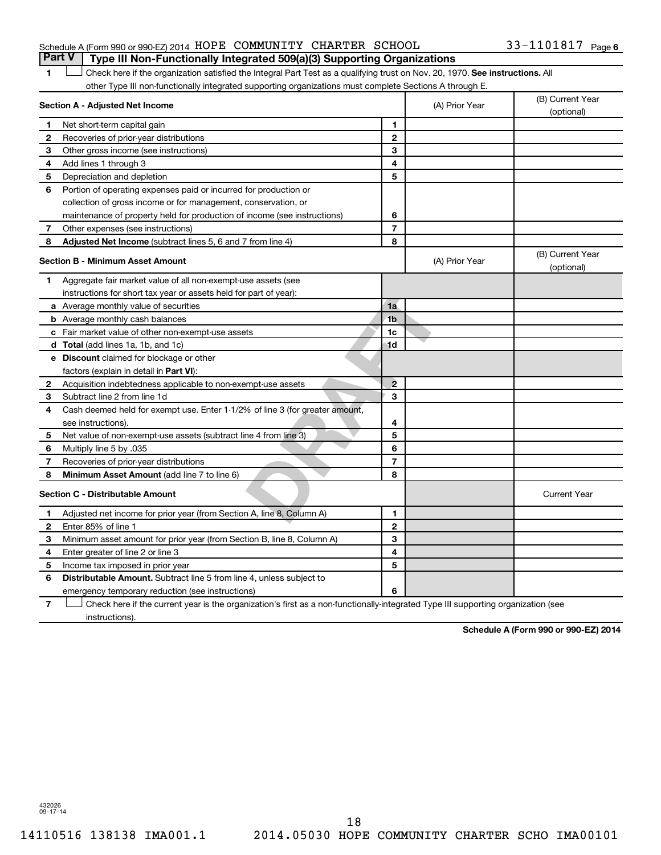# Schedule A (Form 990 or 990-EZ) 2014  $\,$  HOPE  $\,$  COMMUNITY  $\,$  CHARTER  $\,$  SCHOOL  $\,$   $\,$   $\,$  33-1101817  $\,$   $_{\rm{Page}}$ **Part V Type III Non-Functionally Integrated 509(a)(3) Supporting Organizations**

1 **Letter on Reck here if the organization satisfied the Integral Part Test as a qualifying trust on Nov. 20, 1970. See instructions. All** other Type III non-functionally integrated supporting organizations must complete Sections A through E.

|   | Section A - Adjusted Net Income                                                                                                   |                | (A) Prior Year | (B) Current Year<br>(optional) |
|---|-----------------------------------------------------------------------------------------------------------------------------------|----------------|----------------|--------------------------------|
| 1 | Net short-term capital gain                                                                                                       | 1              |                |                                |
| 2 | Recoveries of prior-year distributions                                                                                            | $\mathbf{2}$   |                |                                |
| З | Other gross income (see instructions)                                                                                             | 3              |                |                                |
| 4 | Add lines 1 through 3                                                                                                             | 4              |                |                                |
| 5 | Depreciation and depletion                                                                                                        | 5              |                |                                |
| 6 | Portion of operating expenses paid or incurred for production or                                                                  |                |                |                                |
|   | collection of gross income or for management, conservation, or                                                                    |                |                |                                |
|   | maintenance of property held for production of income (see instructions)                                                          | 6              |                |                                |
| 7 | Other expenses (see instructions)                                                                                                 | $\overline{7}$ |                |                                |
| 8 | Adjusted Net Income (subtract lines 5, 6 and 7 from line 4)                                                                       | 8              |                |                                |
|   | Section B - Minimum Asset Amount                                                                                                  |                | (A) Prior Year | (B) Current Year<br>(optional) |
| 1 | Aggregate fair market value of all non-exempt-use assets (see                                                                     |                |                |                                |
|   | instructions for short tax year or assets held for part of year):                                                                 |                |                |                                |
|   | <b>a</b> Average monthly value of securities                                                                                      | 1a             |                |                                |
|   | <b>b</b> Average monthly cash balances                                                                                            | 1 <sub>b</sub> |                |                                |
|   | c Fair market value of other non-exempt-use assets                                                                                | 1c             |                |                                |
|   | d Total (add lines 1a, 1b, and 1c)                                                                                                | 1d             |                |                                |
|   | e Discount claimed for blockage or other                                                                                          |                |                |                                |
|   | factors (explain in detail in Part VI):                                                                                           |                |                |                                |
| 2 | Acquisition indebtedness applicable to non-exempt-use assets                                                                      | $\overline{2}$ |                |                                |
| 3 | Subtract line 2 from line 1d                                                                                                      | 3              |                |                                |
| 4 | Cash deemed held for exempt use. Enter 1-1/2% of line 3 (for greater amount,                                                      |                |                |                                |
|   | see instructions).                                                                                                                | 4              |                |                                |
| 5 | Net value of non-exempt-use assets (subtract line 4 from line 3)                                                                  | 5              |                |                                |
| 6 | Multiply line 5 by .035                                                                                                           | 6              |                |                                |
| 7 | Recoveries of prior-year distributions                                                                                            | $\overline{7}$ |                |                                |
| 8 | Minimum Asset Amount (add line 7 to line 6)                                                                                       | 8              |                |                                |
|   | <b>Section C - Distributable Amount</b>                                                                                           |                |                | <b>Current Year</b>            |
| 1 | Adjusted net income for prior year (from Section A, line 8, Column A)                                                             | $\mathbf{1}$   |                |                                |
| 2 | Enter 85% of line 1                                                                                                               | $\mathbf{2}$   |                |                                |
| З | Minimum asset amount for prior year (from Section B, line 8, Column A)                                                            | 3              |                |                                |
| 4 | Enter greater of line 2 or line 3                                                                                                 | 4              |                |                                |
| 5 | Income tax imposed in prior year                                                                                                  | 5              |                |                                |
| 6 | <b>Distributable Amount.</b> Subtract line 5 from line 4, unless subject to                                                       |                |                |                                |
|   | emergency temporary reduction (see instructions)                                                                                  | 6              |                |                                |
| 7 | Check here if the current year is the organization's first as a non-functionally-integrated Type III supporting organization (see |                |                |                                |

instructions).

**Schedule A (Form 990 or 990-EZ) 2014**

432026 09-17-14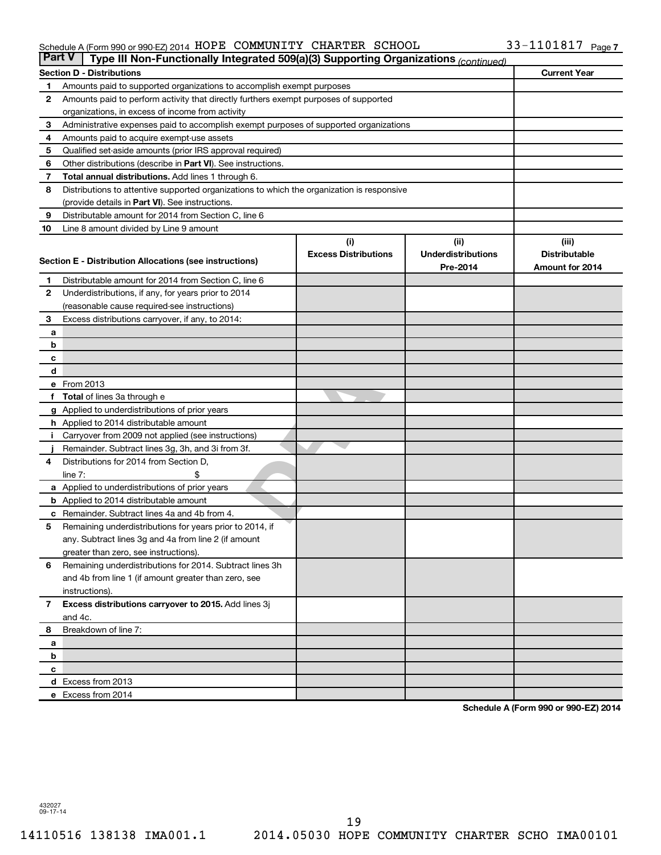## Schedule A (Form 990 or 990-EZ) 2014  $\,$  HOPE  $\,$  COMMUNITY  $\,$  CHARTER  $\,$  SCHOOL  $\,$   $\,$   $\,$  33-1101817  $\,$   $_{\rm{Page}}$

| <b>Part V</b> | Type III Non-Functionally Integrated 509(a)(3) Supporting Organizations (continued)        |                             |                           |                      |  |  |  |  |
|---------------|--------------------------------------------------------------------------------------------|-----------------------------|---------------------------|----------------------|--|--|--|--|
|               | <b>Section D - Distributions</b>                                                           |                             |                           | <b>Current Year</b>  |  |  |  |  |
| 1             | Amounts paid to supported organizations to accomplish exempt purposes                      |                             |                           |                      |  |  |  |  |
| 2             | Amounts paid to perform activity that directly furthers exempt purposes of supported       |                             |                           |                      |  |  |  |  |
|               | organizations, in excess of income from activity                                           |                             |                           |                      |  |  |  |  |
| 3             | Administrative expenses paid to accomplish exempt purposes of supported organizations      |                             |                           |                      |  |  |  |  |
| 4             | Amounts paid to acquire exempt-use assets                                                  |                             |                           |                      |  |  |  |  |
| 5             | Qualified set-aside amounts (prior IRS approval required)                                  |                             |                           |                      |  |  |  |  |
| 6             | Other distributions (describe in Part VI). See instructions.                               |                             |                           |                      |  |  |  |  |
| 7             | Total annual distributions. Add lines 1 through 6.                                         |                             |                           |                      |  |  |  |  |
| 8             | Distributions to attentive supported organizations to which the organization is responsive |                             |                           |                      |  |  |  |  |
|               | (provide details in Part VI). See instructions.                                            |                             |                           |                      |  |  |  |  |
| 9             | Distributable amount for 2014 from Section C, line 6                                       |                             |                           |                      |  |  |  |  |
| 10            | Line 8 amount divided by Line 9 amount                                                     |                             |                           |                      |  |  |  |  |
|               |                                                                                            | (i)                         | (ii)                      | (iii)                |  |  |  |  |
|               | Section E - Distribution Allocations (see instructions)                                    | <b>Excess Distributions</b> | <b>Underdistributions</b> | <b>Distributable</b> |  |  |  |  |
|               |                                                                                            |                             | Pre-2014                  | Amount for 2014      |  |  |  |  |
| 1             | Distributable amount for 2014 from Section C, line 6                                       |                             |                           |                      |  |  |  |  |
| $\mathbf{2}$  | Underdistributions, if any, for years prior to 2014                                        |                             |                           |                      |  |  |  |  |
|               | (reasonable cause required-see instructions)                                               |                             |                           |                      |  |  |  |  |
| 3             | Excess distributions carryover, if any, to 2014:                                           |                             |                           |                      |  |  |  |  |
| a             |                                                                                            |                             |                           |                      |  |  |  |  |
|               | b                                                                                          |                             |                           |                      |  |  |  |  |
|               | с                                                                                          |                             |                           |                      |  |  |  |  |
| d             | e From 2013                                                                                |                             |                           |                      |  |  |  |  |
|               | <b>Total</b> of lines 3a through e                                                         |                             |                           |                      |  |  |  |  |
|               | g Applied to underdistributions of prior years                                             |                             |                           |                      |  |  |  |  |
|               | <b>h</b> Applied to 2014 distributable amount                                              |                             |                           |                      |  |  |  |  |
|               | Carryover from 2009 not applied (see instructions)                                         |                             |                           |                      |  |  |  |  |
|               | Remainder. Subtract lines 3g, 3h, and 3i from 3f.                                          |                             |                           |                      |  |  |  |  |
| 4             | Distributions for 2014 from Section D,                                                     |                             |                           |                      |  |  |  |  |
|               | $line 7$ :                                                                                 |                             |                           |                      |  |  |  |  |
|               | a Applied to underdistributions of prior years                                             |                             |                           |                      |  |  |  |  |
|               | <b>b</b> Applied to 2014 distributable amount                                              |                             |                           |                      |  |  |  |  |
| с             | Remainder. Subtract lines 4a and 4b from 4.                                                |                             |                           |                      |  |  |  |  |
| 5             | Remaining underdistributions for years prior to 2014, if                                   |                             |                           |                      |  |  |  |  |
|               | any. Subtract lines 3g and 4a from line 2 (if amount                                       |                             |                           |                      |  |  |  |  |
|               | greater than zero, see instructions).                                                      |                             |                           |                      |  |  |  |  |
| 6             | Remaining underdistributions for 2014. Subtract lines 3h                                   |                             |                           |                      |  |  |  |  |
|               | and 4b from line 1 (if amount greater than zero, see                                       |                             |                           |                      |  |  |  |  |
|               | instructions).                                                                             |                             |                           |                      |  |  |  |  |
| $\mathbf{7}$  | Excess distributions carryover to 2015. Add lines 3j                                       |                             |                           |                      |  |  |  |  |
|               | and 4c.                                                                                    |                             |                           |                      |  |  |  |  |
| 8             | Breakdown of line 7:                                                                       |                             |                           |                      |  |  |  |  |
| a             |                                                                                            |                             |                           |                      |  |  |  |  |
| b             |                                                                                            |                             |                           |                      |  |  |  |  |
| с             |                                                                                            |                             |                           |                      |  |  |  |  |
|               | d Excess from 2013                                                                         |                             |                           |                      |  |  |  |  |
|               | e Excess from 2014                                                                         |                             |                           |                      |  |  |  |  |

**Schedule A (Form 990 or 990-EZ) 2014**

432027 09-17-14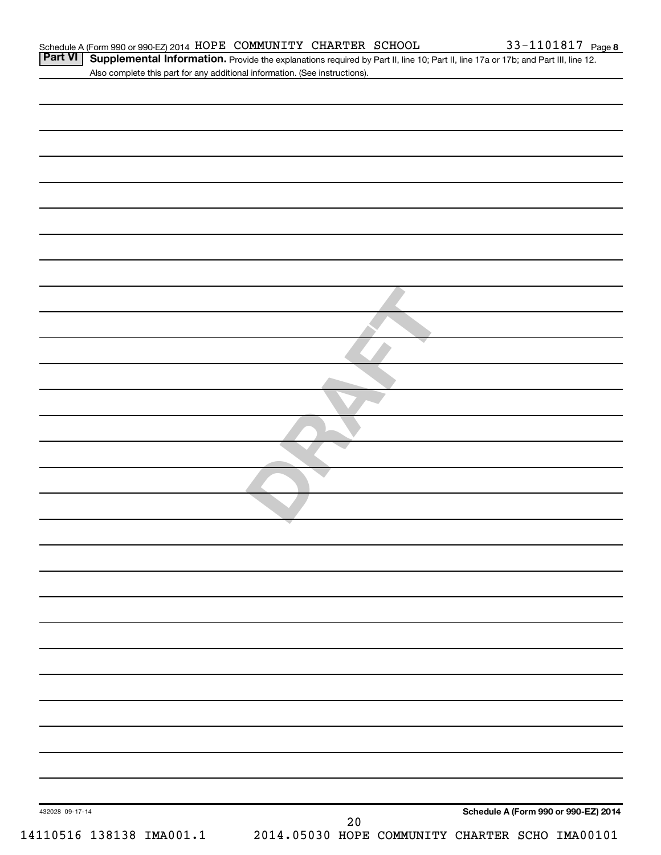|                 | 33-1101817 Page 8<br>Schedule A (Form 990 or 990-EZ) 2014 HOPE COMMUNITY CHARTER SCHOOL                                                                                                                          |
|-----------------|------------------------------------------------------------------------------------------------------------------------------------------------------------------------------------------------------------------|
| <b>Part VI</b>  | Supplemental Information. Provide the explanations required by Part II, line 10; Part II, line 17a or 17b; and Part III, line 12.<br>Also complete this part for any additional information. (See instructions). |
|                 |                                                                                                                                                                                                                  |
|                 |                                                                                                                                                                                                                  |
|                 |                                                                                                                                                                                                                  |
|                 |                                                                                                                                                                                                                  |
|                 |                                                                                                                                                                                                                  |
|                 |                                                                                                                                                                                                                  |
|                 |                                                                                                                                                                                                                  |
|                 |                                                                                                                                                                                                                  |
|                 |                                                                                                                                                                                                                  |
|                 |                                                                                                                                                                                                                  |
|                 |                                                                                                                                                                                                                  |
|                 |                                                                                                                                                                                                                  |
|                 |                                                                                                                                                                                                                  |
|                 |                                                                                                                                                                                                                  |
|                 |                                                                                                                                                                                                                  |
|                 |                                                                                                                                                                                                                  |
|                 |                                                                                                                                                                                                                  |
|                 |                                                                                                                                                                                                                  |
|                 |                                                                                                                                                                                                                  |
|                 |                                                                                                                                                                                                                  |
|                 |                                                                                                                                                                                                                  |
|                 |                                                                                                                                                                                                                  |
|                 |                                                                                                                                                                                                                  |
|                 |                                                                                                                                                                                                                  |
|                 |                                                                                                                                                                                                                  |
|                 |                                                                                                                                                                                                                  |
|                 |                                                                                                                                                                                                                  |
|                 |                                                                                                                                                                                                                  |
|                 |                                                                                                                                                                                                                  |
|                 |                                                                                                                                                                                                                  |
|                 |                                                                                                                                                                                                                  |
|                 |                                                                                                                                                                                                                  |
|                 |                                                                                                                                                                                                                  |
|                 |                                                                                                                                                                                                                  |
|                 |                                                                                                                                                                                                                  |
|                 |                                                                                                                                                                                                                  |
|                 |                                                                                                                                                                                                                  |
|                 |                                                                                                                                                                                                                  |
|                 |                                                                                                                                                                                                                  |
|                 |                                                                                                                                                                                                                  |
|                 |                                                                                                                                                                                                                  |
|                 |                                                                                                                                                                                                                  |
|                 |                                                                                                                                                                                                                  |
|                 |                                                                                                                                                                                                                  |
|                 |                                                                                                                                                                                                                  |
|                 |                                                                                                                                                                                                                  |
|                 |                                                                                                                                                                                                                  |
|                 | Schedule A (Form 990 or 990-EZ) 2014                                                                                                                                                                             |
| 432028 09-17-14 | $20\,$                                                                                                                                                                                                           |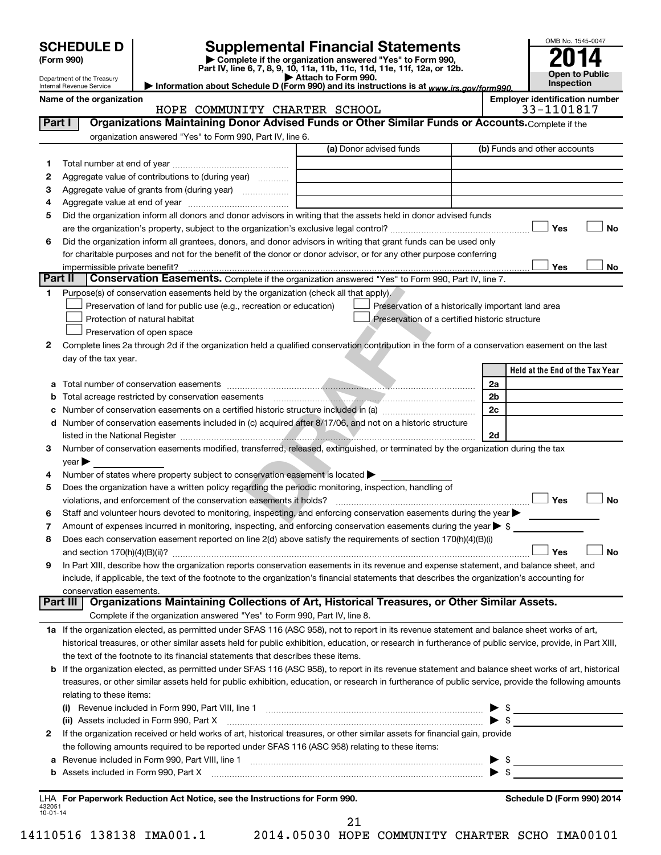|                          |                                                                                                                                                                                                                          |                                                                                                                                                                                                             |  |                                                    |                          | OMB No. 1545-0047                     |  |  |  |  |
|--------------------------|--------------------------------------------------------------------------------------------------------------------------------------------------------------------------------------------------------------------------|-------------------------------------------------------------------------------------------------------------------------------------------------------------------------------------------------------------|--|----------------------------------------------------|--------------------------|---------------------------------------|--|--|--|--|
|                          | <b>SCHEDULE D</b>                                                                                                                                                                                                        |                                                                                                                                                                                                             |  | <b>Supplemental Financial Statements</b>           |                          |                                       |  |  |  |  |
|                          | (Form 990)                                                                                                                                                                                                               | Complete if the organization answered "Yes" to Form 990,<br>Part IV, line 6, 7, 8, 9, 10, 11a, 11b, 11c, 11d, 11e, 11f, 12a, or 12b.                                                                        |  |                                                    |                          | <b>Open to Public</b>                 |  |  |  |  |
|                          | Attach to Form 990.<br>Department of the Treasury<br>Information about Schedule D (Form 990) and its instructions is at www.irs.gov/form990.<br>Internal Revenue Service                                                 |                                                                                                                                                                                                             |  |                                                    |                          |                                       |  |  |  |  |
|                          | Name of the organization                                                                                                                                                                                                 |                                                                                                                                                                                                             |  |                                                    |                          | <b>Employer identification number</b> |  |  |  |  |
| Part I                   |                                                                                                                                                                                                                          | HOPE COMMUNITY CHARTER SCHOOL<br>Organizations Maintaining Donor Advised Funds or Other Similar Funds or Accounts. Complete if the                                                                          |  |                                                    |                          | 33-1101817                            |  |  |  |  |
|                          |                                                                                                                                                                                                                          | organization answered "Yes" to Form 990, Part IV, line 6.                                                                                                                                                   |  |                                                    |                          |                                       |  |  |  |  |
|                          |                                                                                                                                                                                                                          |                                                                                                                                                                                                             |  | (a) Donor advised funds                            |                          | (b) Funds and other accounts          |  |  |  |  |
| 1                        |                                                                                                                                                                                                                          |                                                                                                                                                                                                             |  |                                                    |                          |                                       |  |  |  |  |
| 2                        |                                                                                                                                                                                                                          | Aggregate value of contributions to (during year)                                                                                                                                                           |  |                                                    |                          |                                       |  |  |  |  |
| з                        |                                                                                                                                                                                                                          |                                                                                                                                                                                                             |  |                                                    |                          |                                       |  |  |  |  |
| 4                        |                                                                                                                                                                                                                          |                                                                                                                                                                                                             |  |                                                    |                          |                                       |  |  |  |  |
| 5                        |                                                                                                                                                                                                                          | Did the organization inform all donors and donor advisors in writing that the assets held in donor advised funds                                                                                            |  |                                                    |                          |                                       |  |  |  |  |
|                          |                                                                                                                                                                                                                          |                                                                                                                                                                                                             |  |                                                    |                          | Yes<br><b>No</b>                      |  |  |  |  |
| 6                        |                                                                                                                                                                                                                          | Did the organization inform all grantees, donors, and donor advisors in writing that grant funds can be used only                                                                                           |  |                                                    |                          |                                       |  |  |  |  |
|                          | impermissible private benefit?                                                                                                                                                                                           | for charitable purposes and not for the benefit of the donor or donor advisor, or for any other purpose conferring                                                                                          |  |                                                    |                          | Yes<br>No                             |  |  |  |  |
| Part II                  |                                                                                                                                                                                                                          | <b>Conservation Easements.</b> Complete if the organization answered "Yes" to Form 990, Part IV, line 7.                                                                                                    |  |                                                    |                          |                                       |  |  |  |  |
| 1                        |                                                                                                                                                                                                                          | Purpose(s) of conservation easements held by the organization (check all that apply).                                                                                                                       |  |                                                    |                          |                                       |  |  |  |  |
|                          |                                                                                                                                                                                                                          | Preservation of land for public use (e.g., recreation or education)                                                                                                                                         |  | Preservation of a historically important land area |                          |                                       |  |  |  |  |
|                          |                                                                                                                                                                                                                          | Protection of natural habitat                                                                                                                                                                               |  | Preservation of a certified historic structure     |                          |                                       |  |  |  |  |
|                          |                                                                                                                                                                                                                          | Preservation of open space                                                                                                                                                                                  |  |                                                    |                          |                                       |  |  |  |  |
| 2                        |                                                                                                                                                                                                                          | Complete lines 2a through 2d if the organization held a qualified conservation contribution in the form of a conservation easement on the last                                                              |  |                                                    |                          |                                       |  |  |  |  |
|                          | day of the tax year.                                                                                                                                                                                                     |                                                                                                                                                                                                             |  |                                                    |                          | Held at the End of the Tax Year       |  |  |  |  |
|                          |                                                                                                                                                                                                                          |                                                                                                                                                                                                             |  |                                                    | 2a                       |                                       |  |  |  |  |
| b                        |                                                                                                                                                                                                                          |                                                                                                                                                                                                             |  |                                                    | 2b                       |                                       |  |  |  |  |
|                          |                                                                                                                                                                                                                          |                                                                                                                                                                                                             |  |                                                    | 2c                       |                                       |  |  |  |  |
|                          |                                                                                                                                                                                                                          | d Number of conservation easements included in (c) acquired after 8/17/06, and not on a historic structure                                                                                                  |  |                                                    |                          |                                       |  |  |  |  |
|                          |                                                                                                                                                                                                                          | listed in the National Register <b>communications</b> and the National Property of the National Register <b>communication</b>                                                                               |  |                                                    | 2d                       |                                       |  |  |  |  |
| З                        |                                                                                                                                                                                                                          | Number of conservation easements modified, transferred, released, extinguished, or terminated by the organization during the tax                                                                            |  |                                                    |                          |                                       |  |  |  |  |
|                          | year                                                                                                                                                                                                                     |                                                                                                                                                                                                             |  |                                                    |                          |                                       |  |  |  |  |
| 4<br>5                   |                                                                                                                                                                                                                          | Number of states where property subject to conservation easement is located $\blacktriangleright$<br>Does the organization have a written policy regarding the periodic monitoring, inspection, handling of |  |                                                    |                          |                                       |  |  |  |  |
|                          |                                                                                                                                                                                                                          | violations, and enforcement of the conservation easements it holds?                                                                                                                                         |  |                                                    |                          | Yes<br>No                             |  |  |  |  |
| 6                        |                                                                                                                                                                                                                          | Staff and volunteer hours devoted to monitoring, inspecting, and enforcing conservation easements during the year $\blacktriangleright$                                                                     |  |                                                    |                          |                                       |  |  |  |  |
| 7                        |                                                                                                                                                                                                                          | Amount of expenses incurred in monitoring, inspecting, and enforcing conservation easements during the year $\triangleright$ \$                                                                             |  |                                                    |                          |                                       |  |  |  |  |
| 8                        |                                                                                                                                                                                                                          | Does each conservation easement reported on line 2(d) above satisfy the requirements of section 170(h)(4)(B)(i)                                                                                             |  |                                                    |                          |                                       |  |  |  |  |
|                          |                                                                                                                                                                                                                          |                                                                                                                                                                                                             |  |                                                    |                          | Yes<br>No                             |  |  |  |  |
| 9                        |                                                                                                                                                                                                                          | In Part XIII, describe how the organization reports conservation easements in its revenue and expense statement, and balance sheet, and                                                                     |  |                                                    |                          |                                       |  |  |  |  |
|                          |                                                                                                                                                                                                                          | include, if applicable, the text of the footnote to the organization's financial statements that describes the organization's accounting for                                                                |  |                                                    |                          |                                       |  |  |  |  |
|                          | conservation easements.<br>Part III                                                                                                                                                                                      | Organizations Maintaining Collections of Art, Historical Treasures, or Other Similar Assets.                                                                                                                |  |                                                    |                          |                                       |  |  |  |  |
|                          |                                                                                                                                                                                                                          | Complete if the organization answered "Yes" to Form 990, Part IV, line 8.                                                                                                                                   |  |                                                    |                          |                                       |  |  |  |  |
|                          |                                                                                                                                                                                                                          | 1a If the organization elected, as permitted under SFAS 116 (ASC 958), not to report in its revenue statement and balance sheet works of art,                                                               |  |                                                    |                          |                                       |  |  |  |  |
|                          |                                                                                                                                                                                                                          | historical treasures, or other similar assets held for public exhibition, education, or research in furtherance of public service, provide, in Part XIII,                                                   |  |                                                    |                          |                                       |  |  |  |  |
|                          |                                                                                                                                                                                                                          | the text of the footnote to its financial statements that describes these items.                                                                                                                            |  |                                                    |                          |                                       |  |  |  |  |
|                          |                                                                                                                                                                                                                          | <b>b</b> If the organization elected, as permitted under SFAS 116 (ASC 958), to report in its revenue statement and balance sheet works of art, historical                                                  |  |                                                    |                          |                                       |  |  |  |  |
|                          |                                                                                                                                                                                                                          | treasures, or other similar assets held for public exhibition, education, or research in furtherance of public service, provide the following amounts                                                       |  |                                                    |                          |                                       |  |  |  |  |
|                          | relating to these items:                                                                                                                                                                                                 |                                                                                                                                                                                                             |  |                                                    |                          |                                       |  |  |  |  |
|                          | (i) Revenue included in Form 990, Part VIII, line 1 [2000] [2010] Contract the included in Form 990, Part VIII, line 1<br>$\blacktriangleright$ s<br>$\blacktriangleright$ s<br>(ii) Assets included in Form 990, Part X |                                                                                                                                                                                                             |  |                                                    |                          |                                       |  |  |  |  |
| 2                        |                                                                                                                                                                                                                          | If the organization received or held works of art, historical treasures, or other similar assets for financial gain, provide                                                                                |  |                                                    |                          |                                       |  |  |  |  |
|                          |                                                                                                                                                                                                                          | the following amounts required to be reported under SFAS 116 (ASC 958) relating to these items:                                                                                                             |  |                                                    |                          |                                       |  |  |  |  |
|                          |                                                                                                                                                                                                                          | a Revenue included in Form 990, Part VIII, line 1 [2000] [2000] [2000] [2000] [2000] [2000] [2000] [2000] [2000                                                                                             |  |                                                    |                          | - \$                                  |  |  |  |  |
|                          |                                                                                                                                                                                                                          |                                                                                                                                                                                                             |  |                                                    | $\blacktriangleright$ \$ |                                       |  |  |  |  |
|                          |                                                                                                                                                                                                                          |                                                                                                                                                                                                             |  |                                                    |                          |                                       |  |  |  |  |
| 432051<br>$10 - 01 - 14$ |                                                                                                                                                                                                                          | LHA For Paperwork Reduction Act Notice, see the Instructions for Form 990.                                                                                                                                  |  |                                                    |                          | Schedule D (Form 990) 2014            |  |  |  |  |

14110516 138138 IMA001.1 2014.05030 HOPE COMMUNITY CHARTER SCHO IMA00101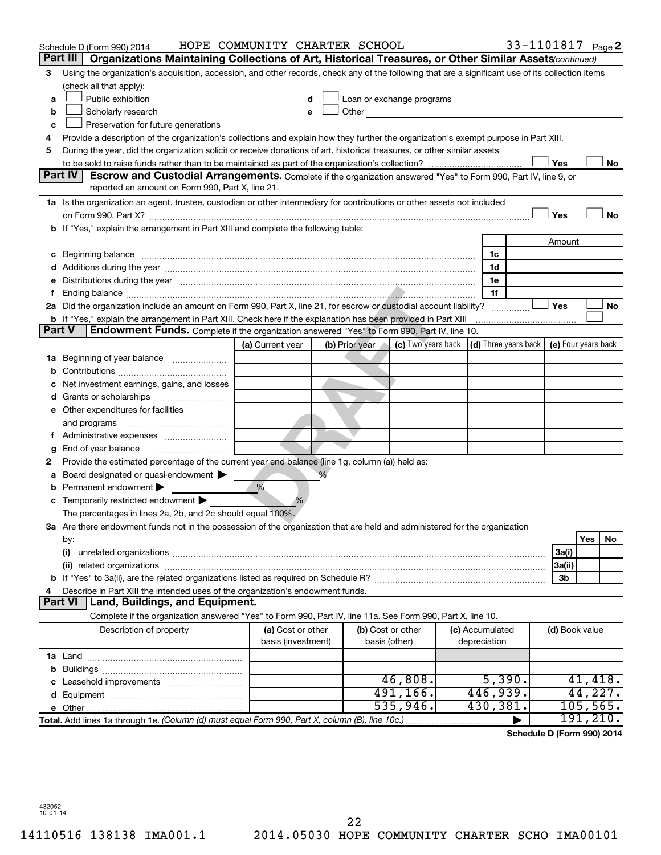|    | Schedule D (Form 990) 2014                                                                                                                                                                                                       | HOPE COMMUNITY CHARTER SCHOOL |                |                           |                                            | 33-1101817 Page 2 |                 |           |     |
|----|----------------------------------------------------------------------------------------------------------------------------------------------------------------------------------------------------------------------------------|-------------------------------|----------------|---------------------------|--------------------------------------------|-------------------|-----------------|-----------|-----|
|    | Part III<br>Organizations Maintaining Collections of Art, Historical Treasures, or Other Similar Assets (continued)                                                                                                              |                               |                |                           |                                            |                   |                 |           |     |
| З  | Using the organization's acquisition, accession, and other records, check any of the following that are a significant use of its collection items                                                                                |                               |                |                           |                                            |                   |                 |           |     |
|    | (check all that apply):                                                                                                                                                                                                          |                               |                |                           |                                            |                   |                 |           |     |
| a  | Public exhibition                                                                                                                                                                                                                |                               |                | Loan or exchange programs |                                            |                   |                 |           |     |
| b  | Scholarly research                                                                                                                                                                                                               |                               | Other          |                           |                                            |                   |                 |           |     |
| c  | Preservation for future generations                                                                                                                                                                                              |                               |                |                           |                                            |                   |                 |           |     |
| 4  | Provide a description of the organization's collections and explain how they further the organization's exempt purpose in Part XIII.                                                                                             |                               |                |                           |                                            |                   |                 |           |     |
| 5  | During the year, did the organization solicit or receive donations of art, historical treasures, or other similar assets                                                                                                         |                               |                |                           |                                            |                   |                 |           |     |
|    |                                                                                                                                                                                                                                  |                               |                |                           |                                            |                   | Yes             |           | No  |
|    | Part IV<br><b>Escrow and Custodial Arrangements.</b> Complete if the organization answered "Yes" to Form 990, Part IV, line 9, or                                                                                                |                               |                |                           |                                            |                   |                 |           |     |
|    | reported an amount on Form 990, Part X, line 21.                                                                                                                                                                                 |                               |                |                           |                                            |                   |                 |           |     |
|    | 1a Is the organization an agent, trustee, custodian or other intermediary for contributions or other assets not included                                                                                                         |                               |                |                           |                                            |                   | Yes             |           | No  |
|    | b If "Yes," explain the arrangement in Part XIII and complete the following table:                                                                                                                                               |                               |                |                           |                                            |                   |                 |           |     |
|    |                                                                                                                                                                                                                                  |                               |                |                           |                                            |                   | Amount          |           |     |
|    |                                                                                                                                                                                                                                  |                               |                |                           | 1c                                         |                   |                 |           |     |
| c  | Beginning balance measurements and contain the contract of the contract of the contract of the contract of the<br>Additions during the year manufactured and an account of the year and year and year and year and year and year |                               |                |                           | 1d                                         |                   |                 |           |     |
|    | Distributions during the year measurement contains and all the year measurement of the state of the state of t                                                                                                                   |                               |                |                           | 1e                                         |                   |                 |           |     |
|    |                                                                                                                                                                                                                                  |                               |                |                           | 1f                                         |                   |                 |           |     |
|    | 2a Did the organization include an amount on Form 990, Part X, line 21, for escrow or custodial account liability?                                                                                                               |                               |                |                           |                                            |                   | Yes             |           | No  |
|    | <b>b</b> If "Yes," explain the arrangement in Part XIII. Check here if the explanation has been provided in Part XIII                                                                                                            |                               |                |                           |                                            |                   |                 |           |     |
|    | <b>Endowment Funds.</b> Complete if the organization answered "Yes" to Form 990, Part IV, line 10.<br>Part V                                                                                                                     |                               |                |                           |                                            |                   |                 |           |     |
|    |                                                                                                                                                                                                                                  | (a) Current year              | (b) Prior year | (c) Two years back        | (d) Three years back   (e) Four years back |                   |                 |           |     |
| 1a | Beginning of year balance                                                                                                                                                                                                        |                               |                |                           |                                            |                   |                 |           |     |
|    |                                                                                                                                                                                                                                  |                               |                |                           |                                            |                   |                 |           |     |
|    | Net investment earnings, gains, and losses                                                                                                                                                                                       |                               |                |                           |                                            |                   |                 |           |     |
| d  |                                                                                                                                                                                                                                  |                               |                |                           |                                            |                   |                 |           |     |
|    | e Other expenditures for facilities                                                                                                                                                                                              |                               |                |                           |                                            |                   |                 |           |     |
|    | and programs                                                                                                                                                                                                                     |                               |                |                           |                                            |                   |                 |           |     |
|    |                                                                                                                                                                                                                                  |                               |                |                           |                                            |                   |                 |           |     |
| g  |                                                                                                                                                                                                                                  |                               |                |                           |                                            |                   |                 |           |     |
| 2  | Provide the estimated percentage of the current year end balance (line 1g, column (a)) held as:                                                                                                                                  |                               |                |                           |                                            |                   |                 |           |     |
| а  | Board designated or quasi-endowment                                                                                                                                                                                              |                               | $\frac{0}{6}$  |                           |                                            |                   |                 |           |     |
| b  | Permanent endowment >                                                                                                                                                                                                            | %                             |                |                           |                                            |                   |                 |           |     |
| c  | Temporarily restricted endowment                                                                                                                                                                                                 |                               |                |                           |                                            |                   |                 |           |     |
|    | The percentages in lines 2a, 2b, and 2c should equal 100%.                                                                                                                                                                       |                               |                |                           |                                            |                   |                 |           |     |
|    | 3a Are there endowment funds not in the possession of the organization that are held and administered for the organization                                                                                                       |                               |                |                           |                                            |                   |                 |           |     |
|    | by:<br>(i)                                                                                                                                                                                                                       |                               |                |                           |                                            |                   |                 | Yes       | No. |
|    |                                                                                                                                                                                                                                  |                               |                |                           |                                            |                   | 3a(i)<br>3a(ii) |           |     |
|    |                                                                                                                                                                                                                                  |                               |                |                           |                                            |                   | Зb              |           |     |
|    | Describe in Part XIII the intended uses of the organization's endowment funds.                                                                                                                                                   |                               |                |                           |                                            |                   |                 |           |     |
|    | Land, Buildings, and Equipment.<br><b>Part VI</b>                                                                                                                                                                                |                               |                |                           |                                            |                   |                 |           |     |
|    | Complete if the organization answered "Yes" to Form 990, Part IV, line 11a. See Form 990, Part X, line 10.                                                                                                                       |                               |                |                           |                                            |                   |                 |           |     |
|    | Description of property                                                                                                                                                                                                          | (a) Cost or other             |                | (b) Cost or other         | (c) Accumulated                            |                   | (d) Book value  |           |     |
|    |                                                                                                                                                                                                                                  | basis (investment)            |                | basis (other)             | depreciation                               |                   |                 |           |     |
|    |                                                                                                                                                                                                                                  |                               |                |                           |                                            |                   |                 |           |     |
| b  |                                                                                                                                                                                                                                  |                               |                |                           |                                            |                   |                 |           |     |
|    |                                                                                                                                                                                                                                  |                               |                | 46,808.                   | 5,390.                                     |                   |                 | 41,418.   |     |
|    |                                                                                                                                                                                                                                  |                               |                | 491, 166.                 | 446,939.                                   |                   |                 | 44,227.   |     |
|    |                                                                                                                                                                                                                                  |                               |                | 535,946.                  | 430,381.                                   |                   |                 | 105, 565. |     |
|    | Total. Add lines 1a through 1e. (Column (d) must equal Form 990, Part X, column (B), line 10c.)                                                                                                                                  |                               |                |                           |                                            |                   |                 | 191,210.  |     |
|    |                                                                                                                                                                                                                                  |                               |                |                           |                                            |                   |                 |           |     |

**Schedule D (Form 990) 2014**

432052 10-01-14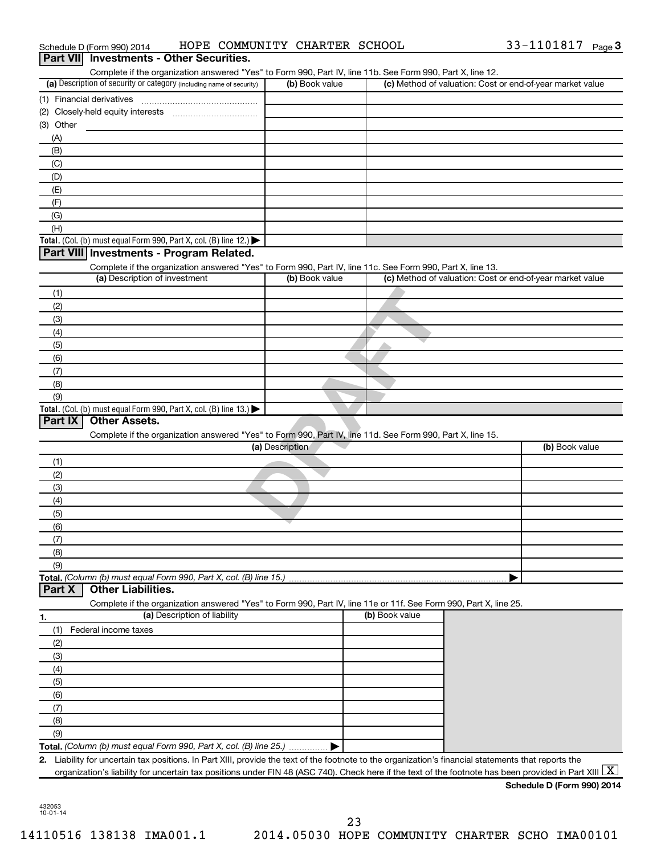|                 | Schedule D (Form 990) 2014                                                                                                                  |                              |                 | HOPE COMMUNITY CHARTER SCHOOL |                | 33-1101817 Page 3                                                                                                                                              |  |
|-----------------|---------------------------------------------------------------------------------------------------------------------------------------------|------------------------------|-----------------|-------------------------------|----------------|----------------------------------------------------------------------------------------------------------------------------------------------------------------|--|
| <b>Part VII</b> | <b>Investments - Other Securities.</b>                                                                                                      |                              |                 |                               |                |                                                                                                                                                                |  |
|                 | Complete if the organization answered "Yes" to Form 990, Part IV, line 11b. See Form 990, Part X, line 12.                                  |                              |                 |                               |                |                                                                                                                                                                |  |
|                 | (a) Description of security or category (including name of security)                                                                        |                              |                 | (b) Book value                |                | (c) Method of valuation: Cost or end-of-year market value                                                                                                      |  |
|                 | (1) Financial derivatives                                                                                                                   |                              |                 |                               |                |                                                                                                                                                                |  |
|                 |                                                                                                                                             |                              |                 |                               |                |                                                                                                                                                                |  |
| (3) Other       |                                                                                                                                             |                              |                 |                               |                |                                                                                                                                                                |  |
| (A)             |                                                                                                                                             |                              |                 |                               |                |                                                                                                                                                                |  |
| (B)             |                                                                                                                                             |                              |                 |                               |                |                                                                                                                                                                |  |
| (C)             |                                                                                                                                             |                              |                 |                               |                |                                                                                                                                                                |  |
| (D)             |                                                                                                                                             |                              |                 |                               |                |                                                                                                                                                                |  |
| (E)             |                                                                                                                                             |                              |                 |                               |                |                                                                                                                                                                |  |
| (F)             |                                                                                                                                             |                              |                 |                               |                |                                                                                                                                                                |  |
| (G)             |                                                                                                                                             |                              |                 |                               |                |                                                                                                                                                                |  |
| (H)             |                                                                                                                                             |                              |                 |                               |                |                                                                                                                                                                |  |
|                 | Total. (Col. (b) must equal Form 990, Part X, col. (B) line 12.) $\blacktriangleright$                                                      |                              |                 |                               |                |                                                                                                                                                                |  |
|                 | Part VIII Investments - Program Related.                                                                                                    |                              |                 |                               |                |                                                                                                                                                                |  |
|                 | Complete if the organization answered "Yes" to Form 990, Part IV, line 11c. See Form 990, Part X, line 13.<br>(a) Description of investment |                              |                 | (b) Book value                |                | (c) Method of valuation: Cost or end-of-year market value                                                                                                      |  |
|                 |                                                                                                                                             |                              |                 |                               |                |                                                                                                                                                                |  |
| (1)             |                                                                                                                                             |                              |                 |                               |                |                                                                                                                                                                |  |
| (2)             |                                                                                                                                             |                              |                 |                               |                |                                                                                                                                                                |  |
| (3)             |                                                                                                                                             |                              |                 |                               |                |                                                                                                                                                                |  |
| (4)             |                                                                                                                                             |                              |                 |                               |                |                                                                                                                                                                |  |
| (5)             |                                                                                                                                             |                              |                 |                               |                |                                                                                                                                                                |  |
| (6)             |                                                                                                                                             |                              |                 |                               |                |                                                                                                                                                                |  |
| (7)<br>(8)      |                                                                                                                                             |                              |                 |                               |                |                                                                                                                                                                |  |
| (9)             |                                                                                                                                             |                              |                 |                               |                |                                                                                                                                                                |  |
|                 | Total. (Col. (b) must equal Form 990, Part X, col. (B) line $13.$ $\blacktriangleright$                                                     |                              |                 |                               |                |                                                                                                                                                                |  |
| <b>Part IX</b>  | <b>Other Assets.</b>                                                                                                                        |                              |                 |                               |                |                                                                                                                                                                |  |
|                 | Complete if the organization answered "Yes" to Form 990, Part IV, line 11d. See Form 990, Part X, line 15.                                  |                              |                 |                               |                |                                                                                                                                                                |  |
|                 |                                                                                                                                             |                              | (a) Description |                               |                | (b) Book value                                                                                                                                                 |  |
| (1)             |                                                                                                                                             |                              |                 |                               |                |                                                                                                                                                                |  |
| (2)             |                                                                                                                                             |                              |                 |                               |                |                                                                                                                                                                |  |
| (3)             |                                                                                                                                             |                              |                 |                               |                |                                                                                                                                                                |  |
| (4)             |                                                                                                                                             |                              |                 |                               |                |                                                                                                                                                                |  |
| (5)             |                                                                                                                                             |                              |                 |                               |                |                                                                                                                                                                |  |
| (6)             |                                                                                                                                             |                              |                 |                               |                |                                                                                                                                                                |  |
| (7)             |                                                                                                                                             |                              |                 |                               |                |                                                                                                                                                                |  |
| (8)             |                                                                                                                                             |                              |                 |                               |                |                                                                                                                                                                |  |
| (9)             |                                                                                                                                             |                              |                 |                               |                |                                                                                                                                                                |  |
|                 | Total. (Column (b) must equal Form 990, Part X, col. (B) line 15.)                                                                          |                              |                 |                               |                |                                                                                                                                                                |  |
| <b>Part X</b>   | <b>Other Liabilities.</b>                                                                                                                   |                              |                 |                               |                |                                                                                                                                                                |  |
|                 | Complete if the organization answered "Yes" to Form 990, Part IV, line 11e or 11f. See Form 990, Part X, line 25.                           |                              |                 |                               |                |                                                                                                                                                                |  |
| 1.              |                                                                                                                                             | (a) Description of liability |                 |                               | (b) Book value |                                                                                                                                                                |  |
| (1)             | Federal income taxes                                                                                                                        |                              |                 |                               |                |                                                                                                                                                                |  |
| (2)             |                                                                                                                                             |                              |                 |                               |                |                                                                                                                                                                |  |
| (3)             |                                                                                                                                             |                              |                 |                               |                |                                                                                                                                                                |  |
| (4)             |                                                                                                                                             |                              |                 |                               |                |                                                                                                                                                                |  |
| (5)             |                                                                                                                                             |                              |                 |                               |                |                                                                                                                                                                |  |
| (6)             |                                                                                                                                             |                              |                 |                               |                |                                                                                                                                                                |  |
| (7)             |                                                                                                                                             |                              |                 |                               |                |                                                                                                                                                                |  |
| (8)             |                                                                                                                                             |                              |                 |                               |                |                                                                                                                                                                |  |
| (9)             |                                                                                                                                             |                              |                 |                               |                |                                                                                                                                                                |  |
|                 | Total. (Column (b) must equal Form 990, Part X, col. (B) line 25.).                                                                         |                              |                 |                               |                |                                                                                                                                                                |  |
|                 |                                                                                                                                             |                              |                 |                               |                | 2. Liability for uncertain tax positions. In Part XIII, provide the text of the footnote to the organization's financial statements that reports the           |  |
|                 |                                                                                                                                             |                              |                 |                               |                | organization's liability for uncertain tax positions under FIN 48 (ASC 740). Check here if the text of the footnote has been provided in Part XIII $\boxed{X}$ |  |
|                 |                                                                                                                                             |                              |                 |                               |                | Schedule D (Form 990) 2014                                                                                                                                     |  |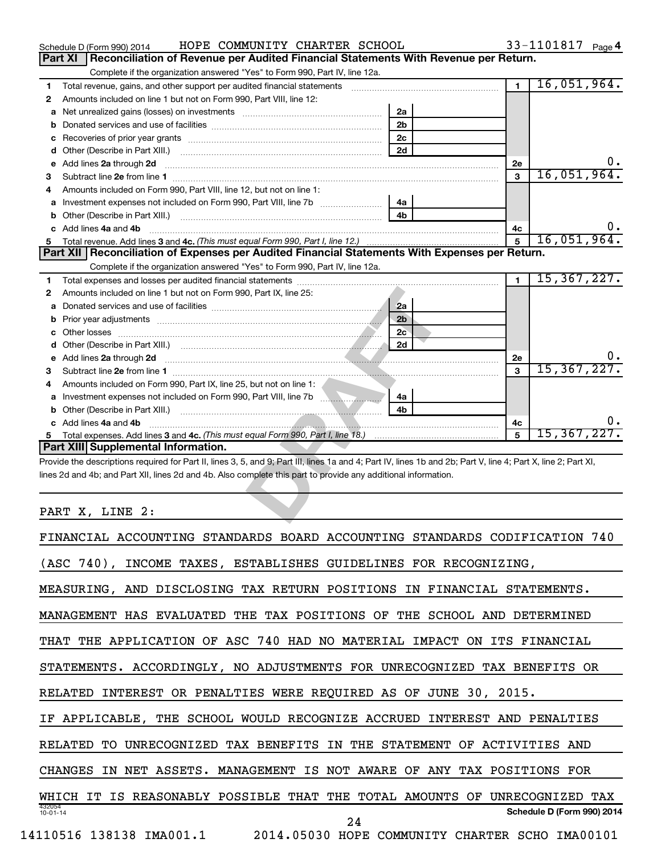|    | HOPE COMMUNITY CHARTER SCHOOL<br>Schedule D (Form 990) 2014                                                                                                    |                |                | 33-1101817 Page 4 |
|----|----------------------------------------------------------------------------------------------------------------------------------------------------------------|----------------|----------------|-------------------|
|    | Reconciliation of Revenue per Audited Financial Statements With Revenue per Return.<br><b>Part XI</b>                                                          |                |                |                   |
|    | Complete if the organization answered "Yes" to Form 990, Part IV, line 12a.                                                                                    |                |                |                   |
| 1  | Total revenue, gains, and other support per audited financial statements [[[[[[[[[[[[[[[[[[[[[[]]]]]]]]]]]]]]                                                  |                | $\overline{1}$ | 16,051,964.       |
| 2  | Amounts included on line 1 but not on Form 990, Part VIII, line 12:                                                                                            |                |                |                   |
| a  |                                                                                                                                                                | 2a             |                |                   |
| b  |                                                                                                                                                                | 2 <sub>b</sub> |                |                   |
|    |                                                                                                                                                                | 2 <sub>c</sub> |                |                   |
| d  |                                                                                                                                                                | 2d             |                |                   |
| е  | Add lines 2a through 2d                                                                                                                                        |                | 2е             | 0.                |
| З  |                                                                                                                                                                |                | 3              | 16,051,964.       |
| 4  | Amounts included on Form 990, Part VIII, line 12, but not on line 1:                                                                                           |                |                |                   |
|    | Investment expenses not included on Form 990, Part VIII, line 7b [11, 111, 120]                                                                                | 4a             |                |                   |
| b  |                                                                                                                                                                | 4 <sub>h</sub> |                |                   |
|    | c Add lines 4a and 4b                                                                                                                                          |                | 4c             | υ.                |
|    |                                                                                                                                                                |                | 5              | 16,051,964.       |
|    | Part XII Reconciliation of Expenses per Audited Financial Statements With Expenses per Return.                                                                 |                |                |                   |
|    | Complete if the organization answered "Yes" to Form 990, Part IV, line 12a.                                                                                    |                |                |                   |
| 1. |                                                                                                                                                                |                | $\blacksquare$ | 15, 367, 227.     |
| 2  | Amounts included on line 1 but not on Form 990, Part IX, line 25:                                                                                              |                |                |                   |
| a  |                                                                                                                                                                | 2a             |                |                   |
| b  |                                                                                                                                                                | 2 <sub>b</sub> |                |                   |
|    |                                                                                                                                                                | 2c             |                |                   |
| d  |                                                                                                                                                                | 2d             |                |                   |
| е  | Add lines 2a through 2d                                                                                                                                        |                | 2e             | $0 \cdot$         |
| 3  |                                                                                                                                                                |                | $\mathbf{a}$   | 15, 367, 227.     |
|    | Amounts included on Form 990, Part IX, line 25, but not on line 1:                                                                                             |                |                |                   |
| a  | Investment expenses not included on Form 990, Part VIII, line 7b <b>Expenses</b> 10.1                                                                          | 4a             |                |                   |
| b  |                                                                                                                                                                | 4 <sub>b</sub> |                |                   |
|    | c Add lines 4a and 4b                                                                                                                                          |                | 4с             | о.                |
|    |                                                                                                                                                                |                | 5              | 15,367,227.       |
|    | Part XIII Supplemental Information.                                                                                                                            |                |                |                   |
|    | Provide the descriptions required for Part II, lines 3, 5, and 9; Part III, lines 1a and 4; Part IV, lines 1b and 2b; Part V, line 4; Part X, line 2; Part XI, |                |                |                   |
|    | lines 2d and 4b; and Part XII, lines 2d and 4b. Also complete this part to provide any additional information.                                                 |                |                |                   |
|    |                                                                                                                                                                |                |                |                   |
|    |                                                                                                                                                                |                |                |                   |
|    | PART X, LINE 2:                                                                                                                                                |                |                |                   |

| FINANCIAL ACCOUNTING STANDARDS BOARD ACCOUNTING STANDARDS CODIFICATION 740             |
|----------------------------------------------------------------------------------------|
| (ASC 740).<br>INCOME TAXES, ESTABLISHES GUIDELINES FOR RECOGNIZING,                    |
| MEASURING, AND DISCLOSING TAX RETURN POSITIONS IN FINANCIAL STATEMENTS.                |
| THE TAX POSITIONS OF THE SCHOOL AND DETERMINED<br>MANAGEMENT HAS EVALUATED             |
| THAT THE APPLICATION OF ASC 740 HAD NO MATERIAL IMPACT<br>ON<br>ITS FINANCIAL          |
| STATEMENTS. ACCORDINGLY, NO ADJUSTMENTS FOR UNRECOGNIZED TAX BENEFITS OR               |
| INTEREST OR PENALTIES WERE REQUIRED AS OF JUNE 30, 2015.<br>RELATED                    |
| SCHOOL WOULD RECOGNIZE ACCRUED INTEREST AND<br>APPLICABLE, THE<br>PENALTIES<br>ΙF      |
| UNRECOGNIZED TAX BENEFITS<br>IN THE STATEMENT OF<br>ACTIVITIES AND<br>RELATED<br>TO.   |
| NET ASSETS. MANAGEMENT IS NOT AWARE OF<br>ANY TAX POSITIONS FOR<br>CHANGES<br>IN       |
| IS REASONABLY POSSIBLE THAT<br>TOTAL AMOUNTS OF<br>UNRECOGNIZED TAX<br>WHTCH TT<br>THE |
| 432054<br>Schedule D (Form 990) 2014<br>$10 - 01 - 14$<br>24                           |
| 14110516 138138 IMA001.1<br>2014.05030 HOPE COMMUNITY<br>SCHO IMA00101<br>CHARTER      |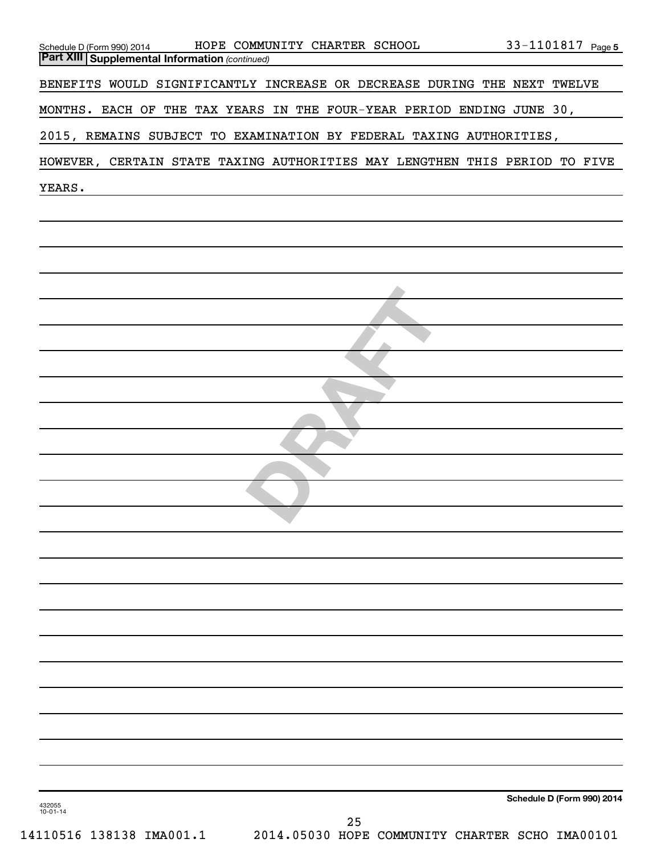| <b>Part XIII Supplemental Information (continued)</b> | Schedule D (Form 990) 2014 HOPE COMMUNITY CHARTER SCHOOL                   | 33-1101817 Page 5          |
|-------------------------------------------------------|----------------------------------------------------------------------------|----------------------------|
|                                                       | BENEFITS WOULD SIGNIFICANTLY INCREASE OR DECREASE DURING THE NEXT TWELVE   |                            |
|                                                       | MONTHS. EACH OF THE TAX YEARS IN THE FOUR-YEAR PERIOD ENDING JUNE 30,      |                            |
|                                                       | 2015, REMAINS SUBJECT TO EXAMINATION BY FEDERAL TAXING AUTHORITIES,        |                            |
|                                                       | HOWEVER, CERTAIN STATE TAXING AUTHORITIES MAY LENGTHEN THIS PERIOD TO FIVE |                            |
| YEARS.                                                |                                                                            |                            |
|                                                       |                                                                            |                            |
|                                                       |                                                                            |                            |
|                                                       |                                                                            |                            |
|                                                       |                                                                            |                            |
|                                                       |                                                                            |                            |
|                                                       |                                                                            |                            |
|                                                       |                                                                            |                            |
|                                                       |                                                                            |                            |
|                                                       |                                                                            |                            |
|                                                       |                                                                            |                            |
|                                                       |                                                                            |                            |
|                                                       |                                                                            |                            |
|                                                       |                                                                            |                            |
|                                                       |                                                                            |                            |
|                                                       |                                                                            |                            |
|                                                       |                                                                            |                            |
|                                                       |                                                                            |                            |
|                                                       |                                                                            |                            |
|                                                       |                                                                            |                            |
|                                                       |                                                                            |                            |
|                                                       |                                                                            |                            |
|                                                       |                                                                            |                            |
|                                                       |                                                                            |                            |
|                                                       |                                                                            | Schedule D (Form 990) 2014 |
| 432055<br>$10 - 01 - 14$                              | 25                                                                         |                            |
| 14110516 138138 IMA001.1                              | 2014.05030 HOPE COMMUNITY CHARTER SCHO IMA00101                            |                            |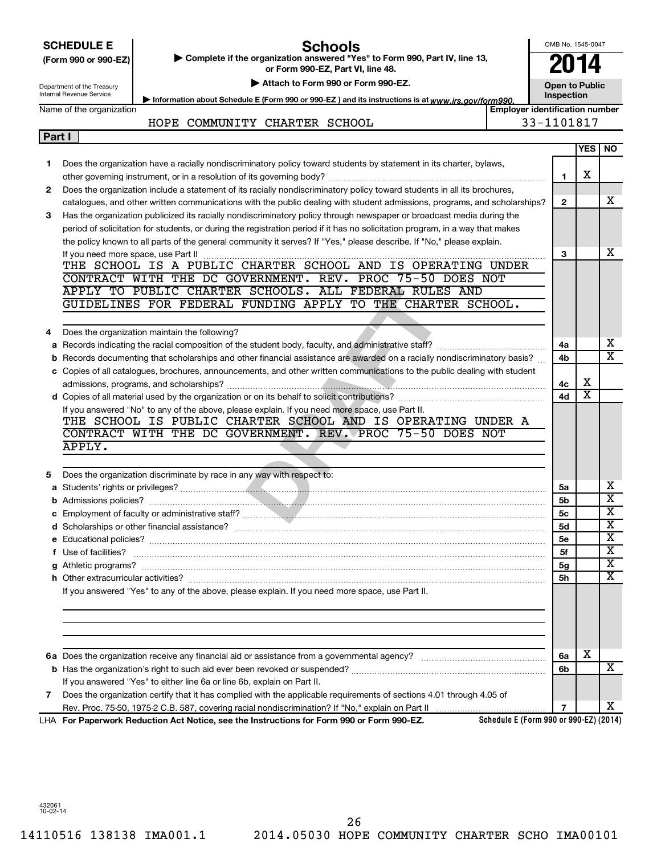|        | <b>Schools</b><br><b>SCHEDULE E</b><br>Complete if the organization answered "Yes" to Form 990, Part IV, line 13,<br>(Form 990 or 990-EZ)<br>or Form 990-EZ, Part VI, line 48.<br>Attach to Form 990 or Form 990-EZ.<br>Department of the Treasury<br>Internal Revenue Service |                                        | OMB No. 1545-0047<br><b>Open to Public</b><br>Inspection |                       |                         |
|--------|--------------------------------------------------------------------------------------------------------------------------------------------------------------------------------------------------------------------------------------------------------------------------------|----------------------------------------|----------------------------------------------------------|-----------------------|-------------------------|
|        | Information about Schedule E (Form 990 or 990-EZ) and its instructions is at www.irs.gov/form990.<br>Name of the organization                                                                                                                                                  | <b>Employer identification number</b>  |                                                          |                       |                         |
|        | HOPE COMMUNITY CHARTER SCHOOL                                                                                                                                                                                                                                                  | 33-1101817                             |                                                          |                       |                         |
| Part I |                                                                                                                                                                                                                                                                                |                                        |                                                          |                       |                         |
|        |                                                                                                                                                                                                                                                                                |                                        |                                                          | <b>YES</b>            | <b>NO</b>               |
| 1      | Does the organization have a racially nondiscriminatory policy toward students by statement in its charter, bylaws,                                                                                                                                                            |                                        | 1                                                        | х                     |                         |
| 2      | Does the organization include a statement of its racially nondiscriminatory policy toward students in all its brochures,                                                                                                                                                       |                                        |                                                          |                       |                         |
|        | catalogues, and other written communications with the public dealing with student admissions, programs, and scholarships?                                                                                                                                                      |                                        | $\mathbf{2}$                                             |                       | х                       |
| 3      | Has the organization publicized its racially nondiscriminatory policy through newspaper or broadcast media during the                                                                                                                                                          |                                        |                                                          |                       |                         |
|        | period of solicitation for students, or during the registration period if it has no solicitation program, in a way that makes                                                                                                                                                  |                                        |                                                          |                       |                         |
|        | the policy known to all parts of the general community it serves? If "Yes," please describe. If "No," please explain.                                                                                                                                                          |                                        |                                                          |                       |                         |
|        | If you need more space, use Part II<br>THE SCHOOL IS A PUBLIC CHARTER SCHOOL AND IS OPERATING UNDER                                                                                                                                                                            |                                        | З                                                        |                       | х                       |
|        | CONTRACT WITH THE DC GOVERNMENT. REV. PROC 75-50 DOES NOT                                                                                                                                                                                                                      |                                        |                                                          |                       |                         |
|        | APPLY TO PUBLIC CHARTER SCHOOLS. ALL FEDERAL RULES AND                                                                                                                                                                                                                         |                                        |                                                          |                       |                         |
|        | GUIDELINES FOR FEDERAL FUNDING APPLY TO THE CHARTER SCHOOL.                                                                                                                                                                                                                    |                                        |                                                          |                       |                         |
|        |                                                                                                                                                                                                                                                                                |                                        |                                                          |                       |                         |
| 4      | Does the organization maintain the following?                                                                                                                                                                                                                                  |                                        |                                                          |                       |                         |
|        |                                                                                                                                                                                                                                                                                |                                        | 4a                                                       |                       | х                       |
|        | b Records documenting that scholarships and other financial assistance are awarded on a racially nondiscriminatory basis?                                                                                                                                                      |                                        | 4b                                                       |                       | $\overline{\text{x}}$   |
|        | c Copies of all catalogues, brochures, announcements, and other written communications to the public dealing with student                                                                                                                                                      |                                        |                                                          |                       |                         |
|        |                                                                                                                                                                                                                                                                                |                                        | 4с                                                       | х                     |                         |
|        |                                                                                                                                                                                                                                                                                |                                        | 4d                                                       | $\overline{\text{x}}$ |                         |
|        | If you answered "No" to any of the above, please explain. If you need more space, use Part II.                                                                                                                                                                                 |                                        |                                                          |                       |                         |
|        | THE SCHOOL IS PUBLIC CHARTER SCHOOL AND IS OPERATING UNDER A<br>CONTRACT WITH THE DC GOVERNMENT. REV. PROC 75-50 DOES NOT                                                                                                                                                      |                                        |                                                          |                       |                         |
|        | APPLY.                                                                                                                                                                                                                                                                         |                                        |                                                          |                       |                         |
|        |                                                                                                                                                                                                                                                                                |                                        |                                                          |                       |                         |
| 5      | Does the organization discriminate by race in any way with respect to:                                                                                                                                                                                                         |                                        |                                                          |                       |                         |
|        |                                                                                                                                                                                                                                                                                |                                        | 5a                                                       |                       | х                       |
|        |                                                                                                                                                                                                                                                                                |                                        | 5b                                                       |                       | $\overline{\text{x}}$   |
|        | <b>c</b> Employment of faculty or administrative staff?                                                                                                                                                                                                                        |                                        | 5 <sub>c</sub>                                           |                       | $\overline{\text{x}}$   |
|        |                                                                                                                                                                                                                                                                                |                                        | 5d                                                       |                       | Χ                       |
|        |                                                                                                                                                                                                                                                                                |                                        | 5е                                                       |                       | X                       |
|        | f Use of facilities?                                                                                                                                                                                                                                                           |                                        | 5f                                                       |                       | $\overline{\textbf{x}}$ |
|        |                                                                                                                                                                                                                                                                                |                                        | 5g                                                       |                       | $\overline{\textbf{x}}$ |
|        |                                                                                                                                                                                                                                                                                |                                        | 5h                                                       |                       | $\overline{\text{X}}$   |
|        | If you answered "Yes" to any of the above, please explain. If you need more space, use Part II.                                                                                                                                                                                |                                        |                                                          |                       |                         |
|        |                                                                                                                                                                                                                                                                                |                                        |                                                          |                       |                         |
|        |                                                                                                                                                                                                                                                                                |                                        |                                                          |                       |                         |
|        |                                                                                                                                                                                                                                                                                |                                        |                                                          |                       |                         |
|        |                                                                                                                                                                                                                                                                                |                                        | 6a                                                       | X                     |                         |
|        |                                                                                                                                                                                                                                                                                |                                        | 6b                                                       |                       | X                       |
|        | If you answered "Yes" to either line 6a or line 6b, explain on Part II.                                                                                                                                                                                                        |                                        |                                                          |                       |                         |
| 7      | Does the organization certify that it has complied with the applicable requirements of sections 4.01 through 4.05 of                                                                                                                                                           |                                        |                                                          |                       |                         |
|        |                                                                                                                                                                                                                                                                                |                                        | 7                                                        |                       | x                       |
|        | LHA For Paperwork Reduction Act Notice, see the Instructions for Form 990 or Form 990-EZ.                                                                                                                                                                                      | Schedule E (Form 990 or 990-EZ) (2014) |                                                          |                       |                         |

432061 10-02-14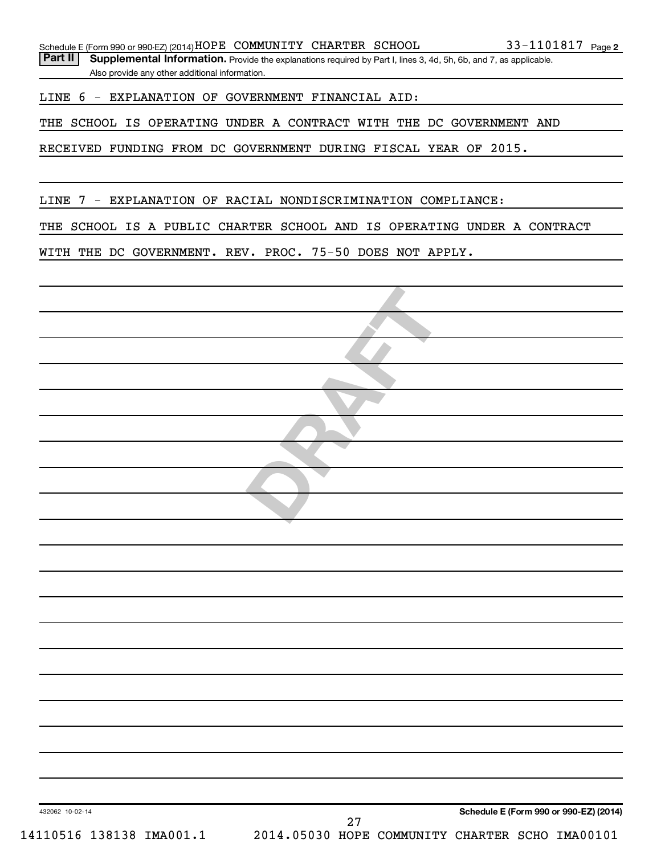Part II | Supplemental Information. Provide the explanations required by Part I, lines 3, 4d, 5h, 6b, and 7, as applicable. Also provide any other additional information.

LINE 6 - EXPLANATION OF GOVERNMENT FINANCIAL AID:

THE SCHOOL IS OPERATING UNDER A CONTRACT WITH THE DC GOVERNMENT AND

RECEIVED FUNDING FROM DC GOVERNMENT DURING FISCAL YEAR OF 2015.

LINE 7 - EXPLANATION OF RACIAL NONDISCRIMINATION COMPLIANCE:

THE SCHOOL IS A PUBLIC CHARTER SCHOOL AND IS OPERATING UNDER A CONTRACT

WITH THE DC GOVERNMENT. REV. PROC. 75-50 DOES NOT APPLY.

| 432062 10-02-14<br>14110516 138138 IMA001.1 | 2014.05030 HOPE COMMUNITY CHARTER SCHO IMA00101 | $2\,7$ |  | Schedule E (Form 990 or 990-EZ) (2014) |
|---------------------------------------------|-------------------------------------------------|--------|--|----------------------------------------|
|                                             |                                                 |        |  |                                        |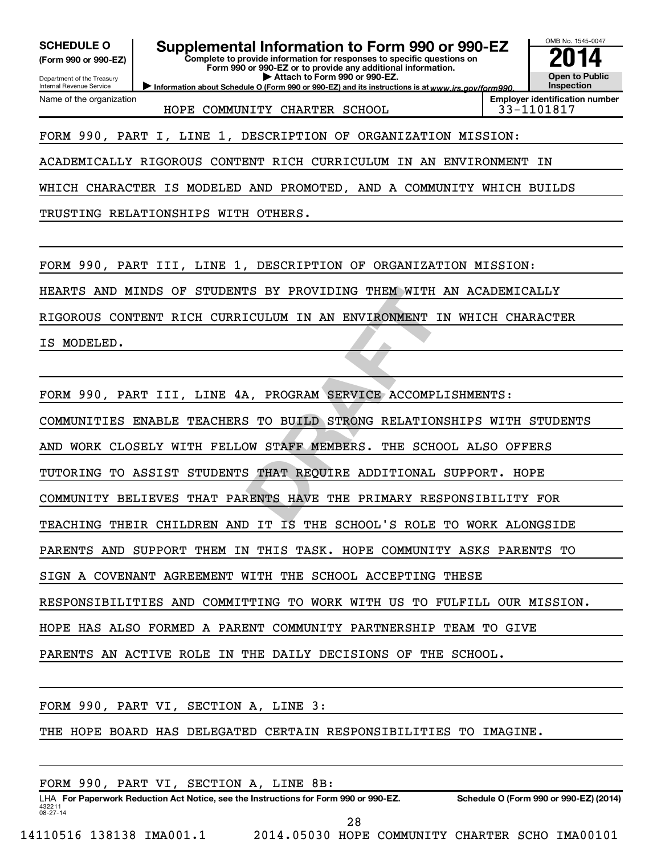**(Form 990 or 990-EZ)**

Department of the Treasury Internal Revenue Service Name of the organization

**SCHEDULE O Supplemental Information to Form 990 or 990-EZ 2014**<br>(Form 990 or 990-EZ) Complete to provide information for responses to specific questions on

**Complete to provide information for responses to specific questions on Form 990 or 990-EZ or to provide any additional information. | Attach to Form 990 or 990-EZ.**

OMB No. 1545-0047

**Open to Public Inspection Employer identification number**

Information about Schedule O (Form 990 or 990-EZ) and its instructions is at www.irs.gov/form990.

HOPE COMMUNITY CHARTER SCHOOL 33-1101817

FORM 990, PART I, LINE 1, DESCRIPTION OF ORGANIZATION MISSION:

ACADEMICALLY RIGOROUS CONTENT RICH CURRICULUM IN AN ENVIRONMENT IN

WHICH CHARACTER IS MODELED AND PROMOTED, AND A COMMUNITY WHICH BUILDS

TRUSTING RELATIONSHIPS WITH OTHERS.

FORM 990, PART III, LINE 1, DESCRIPTION OF ORGANIZATION MISSION:

HEARTS AND MINDS OF STUDENTS BY PROVIDING THEM WITH AN ACADEMICALLY

RIGOROUS CONTENT RICH CURRICULUM IN AN ENVIRONMENT IN WHICH CHARACTER

IS MODELED.

IS BY PROVIDING THEM WITH AN A<br>
ICULUM IN AN ENVIRONMENT IN WH<br>
A, PROGRAM SERVICE ACCOMPLISHM<br>
B TO BUILD STRONG RELATIONSHIP<br>
DW STAFF MEMBERS. THE SCHOOL A<br>
B THAT REQUIRE ADDITIONAL SUPP<br>
RENTS HAVE THE PRIMARY RESPONS FORM 990, PART III, LINE 4A, PROGRAM SERVICE ACCOMPLISHMENTS: COMMUNITIES ENABLE TEACHERS TO BUILD STRONG RELATIONSHIPS WITH STUDENTS AND WORK CLOSELY WITH FELLOW STAFF MEMBERS. THE SCHOOL ALSO OFFERS TUTORING TO ASSIST STUDENTS THAT REQUIRE ADDITIONAL SUPPORT. HOPE COMMUNITY BELIEVES THAT PARENTS HAVE THE PRIMARY RESPONSIBILITY FOR TEACHING THEIR CHILDREN AND IT IS THE SCHOOL'S ROLE TO WORK ALONGSIDE PARENTS AND SUPPORT THEM IN THIS TASK. HOPE COMMUNITY ASKS PARENTS TO SIGN A COVENANT AGREEMENT WITH THE SCHOOL ACCEPTING THESE RESPONSIBILITIES AND COMMITTING TO WORK WITH US TO FULFILL OUR MISSION. HOPE HAS ALSO FORMED A PARENT COMMUNITY PARTNERSHIP TEAM TO GIVE PARENTS AN ACTIVE ROLE IN THE DAILY DECISIONS OF THE SCHOOL.

FORM 990, PART VI, SECTION A, LINE 3:

THE HOPE BOARD HAS DELEGATED CERTAIN RESPONSIBILITIES TO IMAGINE.

|                          |  | FORM 990, PART VI, SECTION A, LINE 8B:                                               |  |    |                                                 |  |                                        |
|--------------------------|--|--------------------------------------------------------------------------------------|--|----|-------------------------------------------------|--|----------------------------------------|
| 432211<br>$08 - 27 - 14$ |  | LHA For Paperwork Reduction Act Notice, see the Instructions for Form 990 or 990-EZ. |  |    |                                                 |  | Schedule O (Form 990 or 990-EZ) (2014) |
|                          |  |                                                                                      |  | 28 |                                                 |  |                                        |
| 14110516 138138 IMA001.1 |  |                                                                                      |  |    | 2014.05030 HOPE COMMUNITY CHARTER SCHO IMA00101 |  |                                        |